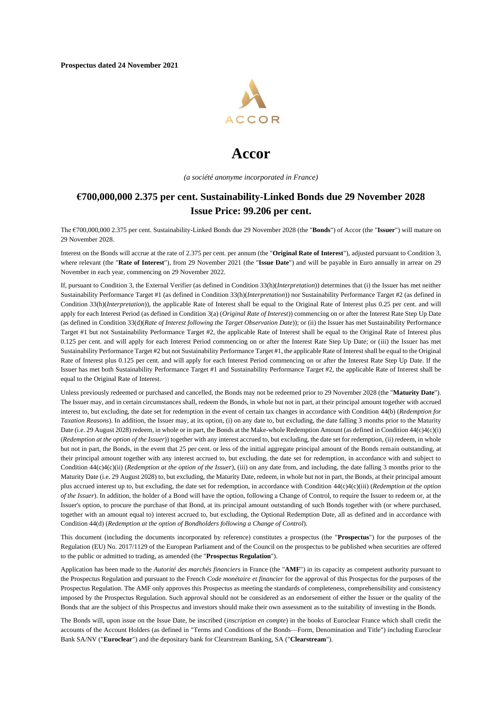**Prospectus dated 24 November 2021** 



# **Accor**

*(a société anonyme incorporated in France)*

# **€700,000,000 2.375 per cent. Sustainability-Linked Bonds due 29 November 2028 Issue Price: 99.206 per cent.**

The €700,000,000 2.375 per cent. Sustainability-Linked Bonds due 29 November 2028 (the "**Bonds**") of Accor (the "**Issuer**") will mature on 29 November 2028.

Interest on the Bonds will accrue at the rate of 2.375 per cent. per annum (the "**Original Rate of Interest**"), adjusted pursuant to Condition 3, where relevant (the "**Rate of Interest**"), from 29 November 2021 (the "**Issue Date**") and will be payable in Euro annually in arrear on 29 November in each year, commencing on 29 November 2022.

If, pursuant to Condition 3, the External Verifier (as defined in Condition [33\(h\)\(](#page-18-0)*[Interpretation](#page-18-0)*)) determines that (i) the Issuer has met neither Sustainability Performance Target #1 (as defined in Condition [33\(h\)\(](#page-18-0)*[Interpretation](#page-18-0)*)) nor Sustainability Performance Target #2 (as defined in Condition [33\(h\)\(](#page-18-0)*[Interpretation](#page-18-0)*)), the applicable Rate of Interest shall be equal to the Original Rate of Interest plus 0.25 per cent. and will apply for each Interest Period (as defined in Condition 3(a) (*[Original Rate of Interest](#page-17-0)*)) commencing on or after the Interest Rate Step Up Date (as defined in Condition [33\(d\)\(](#page-17-1)*Rate of Interest following the Target Observation Date*)); or (ii) the Issuer has met Sustainability Performance Target #1 but not Sustainability Performance Target #2, the applicable Rate of Interest shall be equal to the Original Rate of Interest plus 0.125 per cent. and will apply for each Interest Period commencing on or after the Interest Rate Step Up Date; or (iii) the Issuer has met Sustainability Performance Target #2 but not Sustainability Performance Target #1, the applicable Rate of Interest shall be equal to the Original Rate of Interest plus 0.125 per cent. and will apply for each Interest Period commencing on or after the Interest Rate Step Up Date. If the Issuer has met both Sustainability Performance Target #1 and Sustainability Performance Target #2, the applicable Rate of Interest shall be equal to the Original Rate of Interest.

Unless previously redeemed or purchased and cancelled, the Bonds may not be redeemed prior to 29 November 2028 (the "**Maturity Date**"). The Issuer may, and in certain circumstances shall, redeem the Bonds, in whole but not in part, at their principal amount together with accrued interest to, but excluding, the date set for redemption in the event of certain tax changes in accordance with Conditio[n 4](#page-19-0)[4\(b\)](#page-20-0) (*[Redemption for](#page-20-0)  [Taxation Reasons](#page-20-0)*). In addition, the Issuer may, at its option, (i) on any date to, but excluding, the date falling 3 months prior to the Maturity Date (i.e. 29 August 2028) redeem, in whole or in part, the Bonds at the Make-whole Redemption Amount (as defined in Conditio[n 4](#page-19-0)[4\(c\)](#page-20-1)[4\(c\)\(i\)](#page-20-2) (*[Redemption at the option of the Issuer](#page-20-1)*)) together with any interest accrued to, but excluding, the date set for redemption, (ii) redeem, in whole but not in part, the Bonds, in the event that 25 per cent. or less of the initial aggregate principal amount of the Bonds remain outstanding, at their principal amount together with any interest accrued to, but excluding, the date set for redemption, in accordance with and subject to Condition [4](#page-19-0)[4\(c\)](#page-20-1)[4\(c\)\(ii\)](#page-22-0) (*[Redemption at the option of the Issuer](#page-20-1)*), (iii) on any date from, and including, the date falling 3 months prior to the Maturity Date (i.e. 29 August 2028) to, but excluding, the Maturity Date, redeem, in whole but not in part, the Bonds, at their principal amount plus accrued interest up to, but excluding, the date set for redemption, in accordance with Condition [4](#page-19-0)[4\(c\)](#page-20-1)[4\(c\)\(iii\)](#page-22-1) (*[Redemption at the option](#page-20-1)  [of the Issuer](#page-20-1)*). In addition, the holder of a Bond will have the option, following a Change of Control, to require the Issuer to redeem or, at the Issuer's option, to procure the purchase of that Bond, at its principal amount outstanding of such Bonds together with (or where purchased, together with an amount equal to) interest accrued to, but excluding, the Optional Redemption Date, all as defined and in accordance with Condition [4](#page-19-0)[4\(d\)](#page-22-2) (*[Redemption at the option of Bondholders following a Change of Control](#page-22-2)*).

This document (including the documents incorporated by reference) constitutes a prospectus (the "**Prospectus**") for the purposes of the Regulation (EU) No. 2017/1129 of the European Parliament and of the Council on the prospectus to be published when securities are offered to the public or admitted to trading, as amended (the "**Prospectus Regulation**").

Application has been made to the *Autorité des marchés financier*s in France (the "**AMF**") in its capacity as competent authority pursuant to the Prospectus Regulation and pursuant to the French *Code monétaire et financier* for the approval of this Prospectus for the purposes of the Prospectus Regulation. The AMF only approves this Prospectus as meeting the standards of completeness, comprehensibility and consistency imposed by the Prospectus Regulation. Such approval should not be considered as an endorsement of either the Issuer or the quality of the Bonds that are the subject of this Prospectus and investors should make their own assessment as to the suitability of investing in the Bonds.

The Bonds will, upon issue on the Issue Date, be inscribed (*inscription en compte*) in the books of Euroclear France which shall credit the accounts of the Account Holders (as defined in "Terms and Conditions of the Bonds—Form, Denomination and Title") including Euroclear Bank SA/NV ("**Euroclear**") and the depositary bank for Clearstream Banking, SA ("**Clearstream**").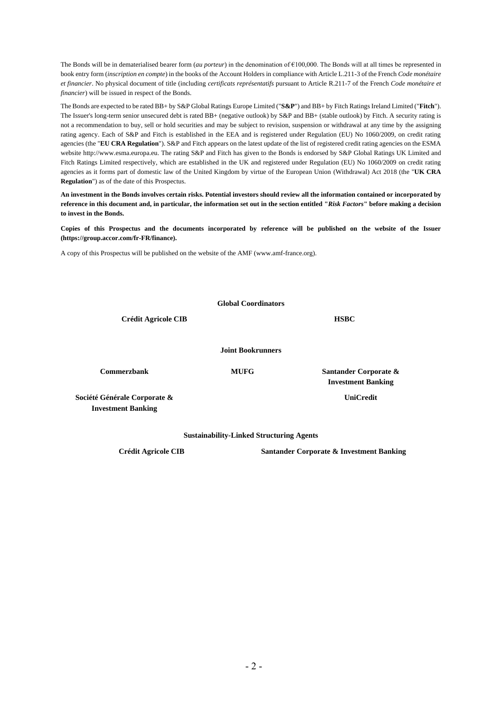The Bonds will be in dematerialised bearer form (*au porteur*) in the denomination of €100,000. The Bonds will at all times be represented in book entry form (*inscription en compte*) in the books of the Account Holders in compliance with Article L.211-3 of the French *Code monétaire et financier*. No physical document of title (including *certificats représentatifs* pursuant to Article R.211-7 of the French *Code monétaire et financier*) will be issued in respect of the Bonds.

The Bonds are expected to be rated BB+ by S&P Global Ratings Europe Limited ("**S&P**") and BB+ by Fitch Ratings Ireland Limited ("**Fitch**"). The Issuer's long-term senior unsecured debt is rated BB+ (negative outlook) by S&P and BB+ (stable outlook) by Fitch. A security rating is not a recommendation to buy, sell or hold securities and may be subject to revision, suspension or withdrawal at any time by the assigning rating agency. Each of S&P and Fitch is established in the EEA and is registered under Regulation (EU) No 1060/2009, on credit rating agencies (the "**EU CRA Regulation**"). S&P and Fitch appears on the latest update of the list of registered credit rating agencies on the ESMA websit[e http://www.esma.europa.eu.](http://www.esma.europa.eu/) The rating S&P and Fitch has given to the Bonds is endorsed by S&P Global Ratings UK Limited and Fitch Ratings Limited respectively, which are established in the UK and registered under Regulation (EU) No 1060/2009 on credit rating agencies as it forms part of domestic law of the United Kingdom by virtue of the European Union (Withdrawal) Act 2018 (the "**UK CRA Regulation**") as of the date of this Prospectus.

**An investment in the Bonds involves certain risks. Potential investors should review all the information contained or incorporated by reference in this document and, in particular, the information set out in the section entitled "***Risk Factors***" before making a decision to invest in the Bonds.**

**Copies of this Prospectus and the documents incorporated by reference will be published on the website of the Issuer [\(https://group.accor.com/fr-FR/finance\).](https://group.accor.com/fr-FR/finance)** 

A copy of this Prospectus will be published on the website of the AMF [\(www.amf-france.org\)](http://www.amf-france.org/).

|                                                           | <b>Global Coordinators</b> |                                                    |  |  |
|-----------------------------------------------------------|----------------------------|----------------------------------------------------|--|--|
| <b>Crédit Agricole CIB</b>                                |                            | <b>HSBC</b>                                        |  |  |
|                                                           | <b>Joint Bookrunners</b>   |                                                    |  |  |
| <b>Commerzbank</b>                                        | <b>MUFG</b>                | Santander Corporate &<br><b>Investment Banking</b> |  |  |
| Société Générale Corporate &<br><b>Investment Banking</b> |                            | <b>UniCredit</b>                                   |  |  |

**Sustainability-Linked Structuring Agents**

**Crédit Agricole CIB Santander Corporate & Investment Banking**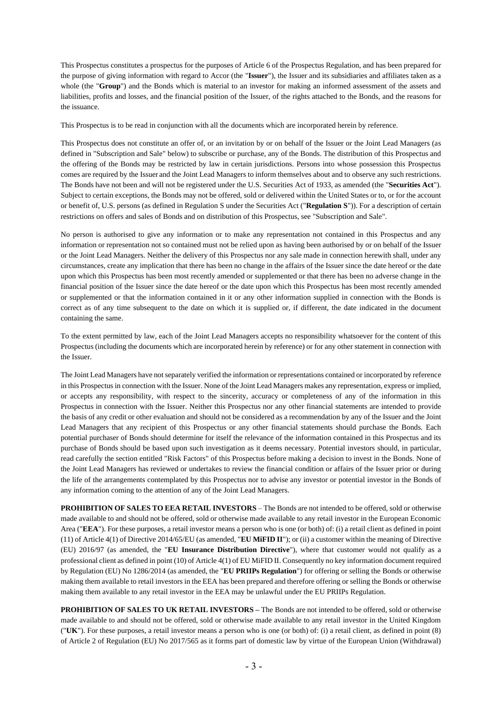This Prospectus constitutes a prospectus for the purposes of Article 6 of the Prospectus Regulation, and has been prepared for the purpose of giving information with regard to Accor (the "**Issuer**"), the Issuer and its subsidiaries and affiliates taken as a whole (the "**Group**") and the Bonds which is material to an investor for making an informed assessment of the assets and liabilities, profits and losses, and the financial position of the Issuer, of the rights attached to the Bonds, and the reasons for the issuance.

This Prospectus is to be read in conjunction with all the documents which are incorporated herein by reference.

This Prospectus does not constitute an offer of, or an invitation by or on behalf of the Issuer or the Joint Lead Managers (as defined in "Subscription and Sale" below) to subscribe or purchase, any of the Bonds. The distribution of this Prospectus and the offering of the Bonds may be restricted by law in certain jurisdictions. Persons into whose possession this Prospectus comes are required by the Issuer and the Joint Lead Managers to inform themselves about and to observe any such restrictions. The Bonds have not been and will not be registered under the U.S. Securities Act of 1933, as amended (the "**Securities Act**"). Subject to certain exceptions, the Bonds may not be offered, sold or delivered within the United States or to, or for the account or benefit of, U.S. persons (as defined in Regulation S under the Securities Act ("**Regulation S**")). For a description of certain restrictions on offers and sales of Bonds and on distribution of this Prospectus, see "Subscription and Sale".

No person is authorised to give any information or to make any representation not contained in this Prospectus and any information or representation not so contained must not be relied upon as having been authorised by or on behalf of the Issuer or the Joint Lead Managers. Neither the delivery of this Prospectus nor any sale made in connection herewith shall, under any circumstances, create any implication that there has been no change in the affairs of the Issuer since the date hereof or the date upon which this Prospectus has been most recently amended or supplemented or that there has been no adverse change in the financial position of the Issuer since the date hereof or the date upon which this Prospectus has been most recently amended or supplemented or that the information contained in it or any other information supplied in connection with the Bonds is correct as of any time subsequent to the date on which it is supplied or, if different, the date indicated in the document containing the same.

To the extent permitted by law, each of the Joint Lead Managers accepts no responsibility whatsoever for the content of this Prospectus (including the documents which are incorporated herein by reference) or for any other statement in connection with the Issuer.

The Joint Lead Managers have not separately verified the information or representations contained or incorporated by reference in this Prospectus in connection with the Issuer. None of the Joint Lead Managers makes any representation, express or implied, or accepts any responsibility, with respect to the sincerity, accuracy or completeness of any of the information in this Prospectus in connection with the Issuer. Neither this Prospectus nor any other financial statements are intended to provide the basis of any credit or other evaluation and should not be considered as a recommendation by any of the Issuer and the Joint Lead Managers that any recipient of this Prospectus or any other financial statements should purchase the Bonds. Each potential purchaser of Bonds should determine for itself the relevance of the information contained in this Prospectus and its purchase of Bonds should be based upon such investigation as it deems necessary. Potential investors should, in particular, read carefully the section entitled "Risk Factors" of this Prospectus before making a decision to invest in the Bonds. None of the Joint Lead Managers has reviewed or undertakes to review the financial condition or affairs of the Issuer prior or during the life of the arrangements contemplated by this Prospectus nor to advise any investor or potential investor in the Bonds of any information coming to the attention of any of the Joint Lead Managers.

**PROHIBITION OF SALES TO EEA RETAIL INVESTORS** – The Bonds are not intended to be offered, sold or otherwise made available to and should not be offered, sold or otherwise made available to any retail investor in the European Economic Area ("**EEA**"). For these purposes, a retail investor means a person who is one (or both) of: (i) a retail client as defined in point (11) of Article 4(1) of Directive 2014/65/EU (as amended, "**EU MiFID II**"); or (ii) a customer within the meaning of Directive (EU) 2016/97 (as amended, the "**EU Insurance Distribution Directive**"), where that customer would not qualify as a professional client as defined in point (10) of Article 4(1) of EU MiFID II. Consequently no key information document required by Regulation (EU) No 1286/2014 (as amended, the "**EU PRIIPs Regulation**") for offering or selling the Bonds or otherwise making them available to retail investors in the EEA has been prepared and therefore offering or selling the Bonds or otherwise making them available to any retail investor in the EEA may be unlawful under the EU PRIIPs Regulation.

**PROHIBITION OF SALES TO UK RETAIL INVESTORS –** The Bonds are not intended to be offered, sold or otherwise made available to and should not be offered, sold or otherwise made available to any retail investor in the United Kingdom ("**UK**"). For these purposes, a retail investor means a person who is one (or both) of: (i) a retail client, as defined in point (8) of Article 2 of Regulation (EU) No 2017/565 as it forms part of domestic law by virtue of the European Union (Withdrawal)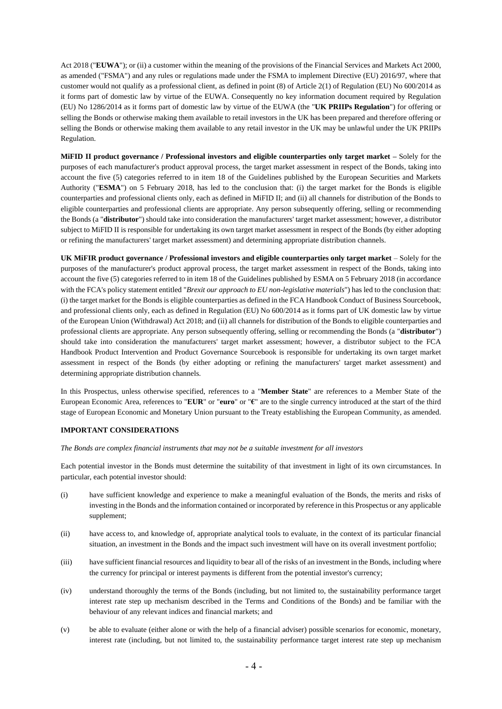Act 2018 ("**EUWA**"); or (ii) a customer within the meaning of the provisions of the Financial Services and Markets Act 2000, as amended ("FSMA") and any rules or regulations made under the FSMA to implement Directive (EU) 2016/97, where that customer would not qualify as a professional client, as defined in point (8) of Article 2(1) of Regulation (EU) No 600/2014 as it forms part of domestic law by virtue of the EUWA. Consequently no key information document required by Regulation (EU) No 1286/2014 as it forms part of domestic law by virtue of the EUWA (the "**UK PRIIPs Regulation**") for offering or selling the Bonds or otherwise making them available to retail investors in the UK has been prepared and therefore offering or selling the Bonds or otherwise making them available to any retail investor in the UK may be unlawful under the UK PRIIPs Regulation.

**MiFID II product governance / Professional investors and eligible counterparties only target market –** Solely for the purposes of each manufacturer's product approval process, the target market assessment in respect of the Bonds, taking into account the five (5) categories referred to in item 18 of the Guidelines published by the European Securities and Markets Authority ("**ESMA**") on 5 February 2018, has led to the conclusion that: (i) the target market for the Bonds is eligible counterparties and professional clients only, each as defined in MiFID II; and (ii) all channels for distribution of the Bonds to eligible counterparties and professional clients are appropriate. Any person subsequently offering, selling or recommending the Bonds (a "**distributor**") should take into consideration the manufacturers' target market assessment; however, a distributor subject to MiFID II is responsible for undertaking its own target market assessment in respect of the Bonds (by either adopting or refining the manufacturers' target market assessment) and determining appropriate distribution channels.

**UK MiFIR product governance / Professional investors and eligible counterparties only target market** – Solely for the purposes of the manufacturer's product approval process, the target market assessment in respect of the Bonds, taking into account the five (5) categories referred to in item 18 of the Guidelines published by ESMA on 5 February 2018 (in accordance with the FCA's policy statement entitled "*Brexit our approach to EU non-legislative materials*") has led to the conclusion that: (i) the target market for the Bonds is eligible counterparties as defined in the FCA Handbook Conduct of Business Sourcebook, and professional clients only, each as defined in Regulation (EU) No 600/2014 as it forms part of UK domestic law by virtue of the European Union (Withdrawal) Act 2018; and (ii) all channels for distribution of the Bonds to eligible counterparties and professional clients are appropriate. Any person subsequently offering, selling or recommending the Bonds (a "**distributor**") should take into consideration the manufacturers' target market assessment; however, a distributor subject to the FCA Handbook Product Intervention and Product Governance Sourcebook is responsible for undertaking its own target market assessment in respect of the Bonds (by either adopting or refining the manufacturers' target market assessment) and determining appropriate distribution channels.

In this Prospectus, unless otherwise specified, references to a "**Member State**" are references to a Member State of the European Economic Area, references to "**EUR**" or "**euro**" or "**€**" are to the single currency introduced at the start of the third stage of European Economic and Monetary Union pursuant to the Treaty establishing the European Community, as amended.

#### **IMPORTANT CONSIDERATIONS**

*The Bonds are complex financial instruments that may not be a suitable investment for all investors*

Each potential investor in the Bonds must determine the suitability of that investment in light of its own circumstances. In particular, each potential investor should:

- (i) have sufficient knowledge and experience to make a meaningful evaluation of the Bonds, the merits and risks of investing in the Bonds and the information contained or incorporated by reference in this Prospectus or any applicable supplement;
- (ii) have access to, and knowledge of, appropriate analytical tools to evaluate, in the context of its particular financial situation, an investment in the Bonds and the impact such investment will have on its overall investment portfolio;
- (iii) have sufficient financial resources and liquidity to bear all of the risks of an investment in the Bonds, including where the currency for principal or interest payments is different from the potential investor's currency;
- (iv) understand thoroughly the terms of the Bonds (including, but not limited to, the sustainability performance target interest rate step up mechanism described in the Terms and Conditions of the Bonds) and be familiar with the behaviour of any relevant indices and financial markets; and
- (v) be able to evaluate (either alone or with the help of a financial adviser) possible scenarios for economic, monetary, interest rate (including, but not limited to, the sustainability performance target interest rate step up mechanism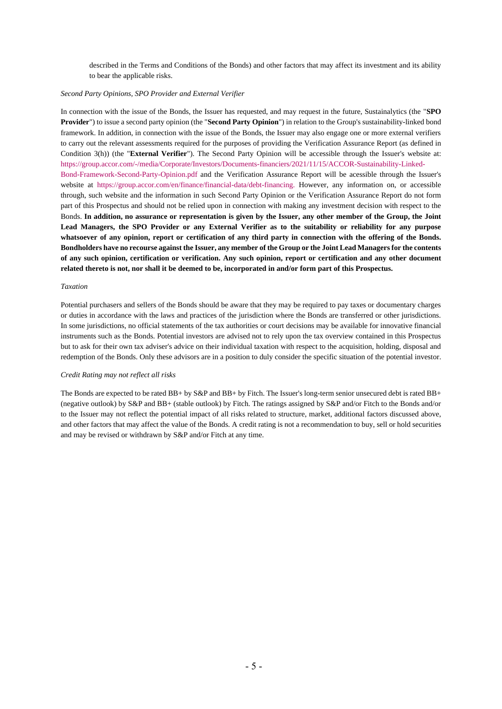described in the Terms and Conditions of the Bonds) and other factors that may affect its investment and its ability to bear the applicable risks.

#### *Second Party Opinions, SPO Provider and External Verifier*

In connection with the issue of the Bonds, the Issuer has requested, and may request in the future, Sustainalytics (the "**SPO Provider**") to issue a second party opinion (the "**Second Party Opinion**") in relation to the Group's sustainability-linked bond framework. In addition, in connection with the issue of the Bonds, the Issuer may also engage one or more external verifiers to carry out the relevant assessments required for the purposes of providing the Verification Assurance Report (as defined in Condition 3(h)) (the "**External Verifier**"). The Second Party Opinion will be accessible through the Issuer's website at: [https://group.accor.com/-/media/Corporate/Investors/Documents-financiers/2021/11/15/ACCOR-Sustainability-Linked-](https://group.accor.com/-/media/Corporate/Investors/Documents-financiers/2021/11/15/ACCOR-Sustainability-Linked-Bond-Framework-Second-Party-Opinion.pdf)[Bond-Framework-Second-Party-Opinion.pdf](https://group.accor.com/-/media/Corporate/Investors/Documents-financiers/2021/11/15/ACCOR-Sustainability-Linked-Bond-Framework-Second-Party-Opinion.pdf) and the Verification Assurance Report will be acessible through the Issuer's website at [https://group.accor.com/en/finance/financial-data/debt-financing.](https://group.accor.com/en/finance/financial-data/debt-financing) However, any information on, or accessible through, such website and the information in such Second Party Opinion or the Verification Assurance Report do not form part of this Prospectus and should not be relied upon in connection with making any investment decision with respect to the Bonds. **In addition, no assurance or representation is given by the Issuer, any other member of the Group, the Joint Lead Managers, the SPO Provider or any External Verifier as to the suitability or reliability for any purpose whatsoever of any opinion, report or certification of any third party in connection with the offering of the Bonds. Bondholders have no recourse against the Issuer, any member of the Group or the Joint Lead Managers for the contents of any such opinion, certification or verification. Any such opinion, report or certification and any other document related thereto is not, nor shall it be deemed to be, incorporated in and/or form part of this Prospectus.**

#### *Taxation*

Potential purchasers and sellers of the Bonds should be aware that they may be required to pay taxes or documentary charges or duties in accordance with the laws and practices of the jurisdiction where the Bonds are transferred or other jurisdictions. In some jurisdictions, no official statements of the tax authorities or court decisions may be available for innovative financial instruments such as the Bonds. Potential investors are advised not to rely upon the tax overview contained in this Prospectus but to ask for their own tax adviser's advice on their individual taxation with respect to the acquisition, holding, disposal and redemption of the Bonds. Only these advisors are in a position to duly consider the specific situation of the potential investor.

#### *Credit Rating may not reflect all risks*

The Bonds are expected to be rated BB+ by S&P and BB+ by Fitch. The Issuer's long-term senior unsecured debt is rated BB+ (negative outlook) by S&P and BB+ (stable outlook) by Fitch. The ratings assigned by S&P and/or Fitch to the Bonds and/or to the Issuer may not reflect the potential impact of all risks related to structure, market, additional factors discussed above, and other factors that may affect the value of the Bonds. A credit rating is not a recommendation to buy, sell or hold securities and may be revised or withdrawn by S&P and/or Fitch at any time.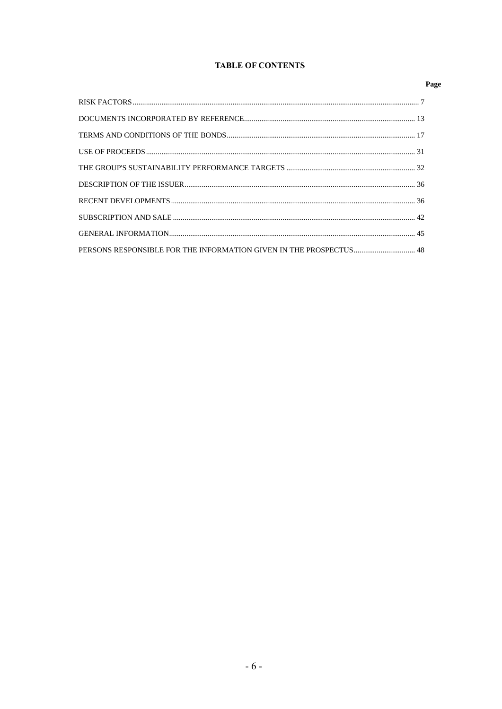## **TABLE OF CONTENTS**

## Page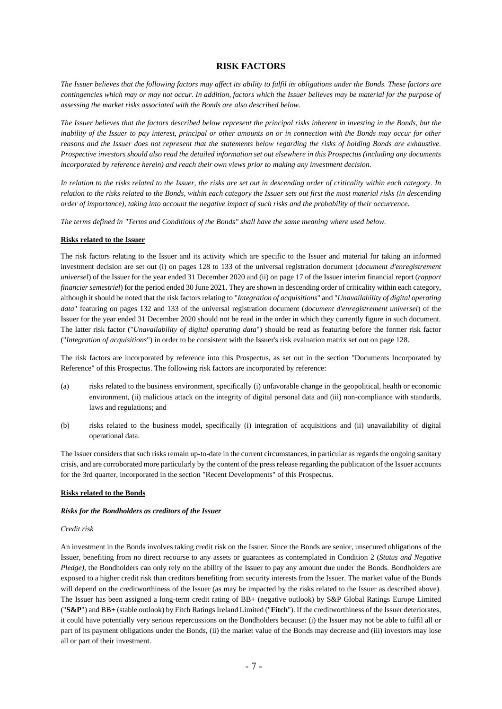## **RISK FACTORS**

*The Issuer believes that the following factors may affect its ability to fulfil its obligations under the Bonds. These factors are contingencies which may or may not occur. In addition, factors which the Issuer believes may be material for the purpose of assessing the market risks associated with the Bonds are also described below.*

*The Issuer believes that the factors described below represent the principal risks inherent in investing in the Bonds, but the inability of the Issuer to pay interest, principal or other amounts on or in connection with the Bonds may occur for other reasons and the Issuer does not represent that the statements below regarding the risks of holding Bonds are exhaustive. Prospective investors should also read the detailed information set out elsewhere in this Prospectus (including any documents incorporated by reference herein) and reach their own views prior to making any investment decision.*

*In relation to the risks related to the Issuer, the risks are set out in descending order of criticality within each category. In relation to the risks related to the Bonds, within each category the Issuer sets out first the most material risks (in descending order of importance), taking into account the negative impact of such risks and the probability of their occurrence.*

*The terms defined in "Terms and Conditions of the Bonds" shall have the same meaning where used below.*

#### **Risks related to the Issuer**

The risk factors relating to the Issuer and its activity which are specific to the Issuer and material for taking an informed investment decision are set out (i) on pages 128 to 133 of the universal registration document (*document d'enregistrement universel*) of the Issuer for the year ended 31 December 2020 and (ii) on page 17 of the Issuer interim financial report (*rapport financier semestriel*) for the period ended 30 June 2021. They are shown in descending order of criticality within each category, although it should be noted that the risk factors relating to "*Integration of acquisitions*" and "*Unavailability of digital operating data*" featuring on pages 132 and 133 of the universal registration document (*document d'enregistrement universel*) of the Issuer for the year ended 31 December 2020 should not be read in the order in which they currently figure in such document. The latter risk factor ("*Unavailability of digital operating data*") should be read as featuring before the former risk factor ("*Integration of acquisitions*") in order to be consistent with the Issuer's risk evaluation matrix set out on page 128.

The risk factors are incorporated by reference into this Prospectus, as set out in the section "Documents Incorporated by Reference" of this Prospectus. The following risk factors are incorporated by reference:

- (a) risks related to the business environment, specifically (i) unfavorable change in the geopolitical, health or economic environment, (ii) malicious attack on the integrity of digital personal data and (iii) non-compliance with standards, laws and regulations; and
- (b) risks related to the business model, specifically (i) integration of acquisitions and (ii) unavailability of digital operational data.

The Issuer considers that such risks remain up-to-date in the current circumstances, in particular as regards the ongoing sanitary crisis, and are corroborated more particularly by the content of the press release regarding the publication of the Issuer accounts for the 3rd quarter, incorporated in the section "Recent Developments" of this Prospectus.

#### **Risks related to the Bonds**

#### *Risks for the Bondholders as creditors of the Issuer*

#### *Credit risk*

An investment in the Bonds involves taking credit risk on the Issuer. Since the Bonds are senior, unsecured obligations of the Issuer, benefiting from no direct recourse to any assets or guarantees as contemplated in Condition [2](#page-16-0) (*[Status and Negative](#page-16-0)  [Pledge\)](#page-16-0)*, the Bondholders can only rely on the ability of the Issuer to pay any amount due under the Bonds. Bondholders are exposed to a higher credit risk than creditors benefiting from security interests from the Issuer. The market value of the Bonds will depend on the creditworthiness of the Issuer (as may be impacted by the risks related to the Issuer as described above). The Issuer has been assigned a long-term credit rating of BB+ (negative outlook) by S&P Global Ratings Europe Limited ("**S&P**") and BB+ (stable outlook) by Fitch Ratings Ireland Limited ("**Fitch**"). If the creditworthiness of the Issuer deteriorates, it could have potentially very serious repercussions on the Bondholders because: (i) the Issuer may not be able to fulfil all or part of its payment obligations under the Bonds, (ii) the market value of the Bonds may decrease and (iii) investors may lose all or part of their investment.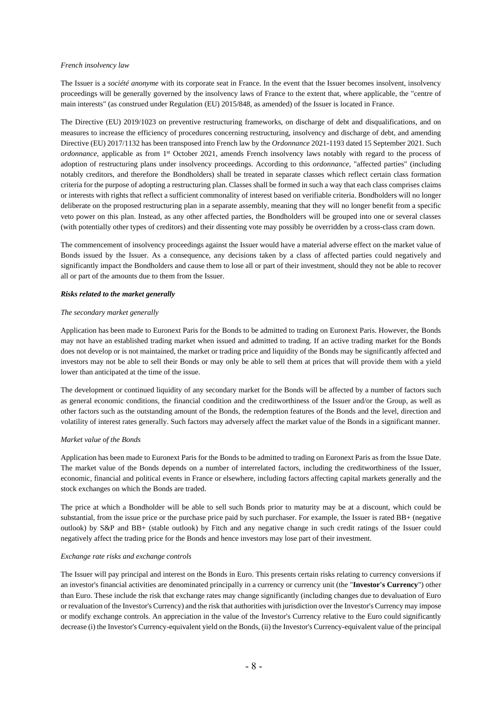#### *French insolvency law*

The Issuer is a *société anonyme* with its corporate seat in France. In the event that the Issuer becomes insolvent, insolvency proceedings will be generally governed by the insolvency laws of France to the extent that, where applicable, the "centre of main interests" (as construed under Regulation (EU) 2015/848, as amended) of the Issuer is located in France.

The Directive (EU) 2019/1023 on preventive restructuring frameworks, on discharge of debt and disqualifications, and on measures to increase the efficiency of procedures concerning restructuring, insolvency and discharge of debt, and amending Directive (EU) 2017/1132 has been transposed into French law by the *Ordonnance* 2021-1193 dated 15 September 2021. Such *ordonnance*, applicable as from 1<sup>st</sup> October 2021, amends French insolvency laws notably with regard to the process of adoption of restructuring plans under insolvency proceedings. According to this *ordonnance*, "affected parties" (including notably creditors, and therefore the Bondholders) shall be treated in separate classes which reflect certain class formation criteria for the purpose of adopting a restructuring plan. Classes shall be formed in such a way that each class comprises claims or interests with rights that reflect a sufficient commonality of interest based on verifiable criteria. Bondholders will no longer deliberate on the proposed restructuring plan in a separate assembly, meaning that they will no longer benefit from a specific veto power on this plan. Instead, as any other affected parties, the Bondholders will be grouped into one or several classes (with potentially other types of creditors) and their dissenting vote may possibly be overridden by a cross-class cram down.

The commencement of insolvency proceedings against the Issuer would have a material adverse effect on the market value of Bonds issued by the Issuer. As a consequence, any decisions taken by a class of affected parties could negatively and significantly impact the Bondholders and cause them to lose all or part of their investment, should they not be able to recover all or part of the amounts due to them from the Issuer.

#### *Risks related to the market generally*

#### *The secondary market generally*

Application has been made to Euronext Paris for the Bonds to be admitted to trading on Euronext Paris. However, the Bonds may not have an established trading market when issued and admitted to trading. If an active trading market for the Bonds does not develop or is not maintained, the market or trading price and liquidity of the Bonds may be significantly affected and investors may not be able to sell their Bonds or may only be able to sell them at prices that will provide them with a yield lower than anticipated at the time of the issue.

The development or continued liquidity of any secondary market for the Bonds will be affected by a number of factors such as general economic conditions, the financial condition and the creditworthiness of the Issuer and/or the Group, as well as other factors such as the outstanding amount of the Bonds, the redemption features of the Bonds and the level, direction and volatility of interest rates generally. Such factors may adversely affect the market value of the Bonds in a significant manner.

#### *Market value of the Bonds*

Application has been made to Euronext Paris for the Bonds to be admitted to trading on Euronext Paris as from the Issue Date. The market value of the Bonds depends on a number of interrelated factors, including the creditworthiness of the Issuer, economic, financial and political events in France or elsewhere, including factors affecting capital markets generally and the stock exchanges on which the Bonds are traded.

The price at which a Bondholder will be able to sell such Bonds prior to maturity may be at a discount, which could be substantial, from the issue price or the purchase price paid by such purchaser. For example, the Issuer is rated BB+ (negative outlook) by S&P and BB+ (stable outlook) by Fitch and any negative change in such credit ratings of the Issuer could negatively affect the trading price for the Bonds and hence investors may lose part of their investment.

#### *Exchange rate risks and exchange controls*

The Issuer will pay principal and interest on the Bonds in Euro. This presents certain risks relating to currency conversions if an investor's financial activities are denominated principally in a currency or currency unit (the "**Investor's Currency**") other than Euro. These include the risk that exchange rates may change significantly (including changes due to devaluation of Euro or revaluation of the Investor's Currency) and the risk that authorities with jurisdiction over the Investor's Currency may impose or modify exchange controls. An appreciation in the value of the Investor's Currency relative to the Euro could significantly decrease (i) the Investor's Currency-equivalent yield on the Bonds, (ii) the Investor's Currency-equivalent value of the principal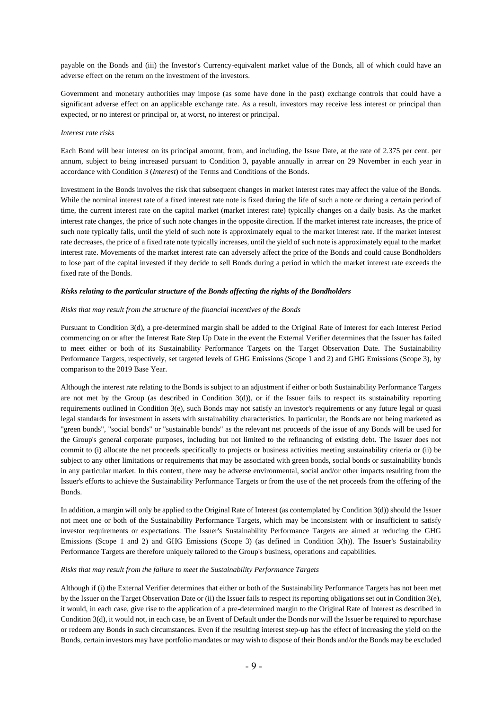payable on the Bonds and (iii) the Investor's Currency-equivalent market value of the Bonds, all of which could have an adverse effect on the return on the investment of the investors.

Government and monetary authorities may impose (as some have done in the past) exchange controls that could have a significant adverse effect on an applicable exchange rate. As a result, investors may receive less interest or principal than expected, or no interest or principal or, at worst, no interest or principal.

#### *Interest rate risks*

Each Bond will bear interest on its principal amount, from, and including, the Issue Date, at the rate of 2.375 per cent. per annum, subject to being increased pursuant to Condition 3, payable annually in arrear on 29 November in each year in accordance with Condition [3](#page-17-2) (*Interest*) of the Terms and Conditions of the Bonds.

Investment in the Bonds involves the risk that subsequent changes in market interest rates may affect the value of the Bonds. While the nominal interest rate of a fixed interest rate note is fixed during the life of such a note or during a certain period of time, the current interest rate on the capital market (market interest rate) typically changes on a daily basis. As the market interest rate changes, the price of such note changes in the opposite direction. If the market interest rate increases, the price of such note typically falls, until the yield of such note is approximately equal to the market interest rate. If the market interest rate decreases, the price of a fixed rate note typically increases, until the yield of such note is approximately equal to the market interest rate. Movements of the market interest rate can adversely affect the price of the Bonds and could cause Bondholders to lose part of the capital invested if they decide to sell Bonds during a period in which the market interest rate exceeds the fixed rate of the Bonds.

#### *Risks relating to the particular structure of the Bonds affecting the rights of the Bondholders*

#### *Risks that may result from the structure of the financial incentives of the Bonds*

Pursuant to Condition 3(d), a pre-determined margin shall be added to the Original Rate of Interest for each Interest Period commencing on or after the Interest Rate Step Up Date in the event the External Verifier determines that the Issuer has failed to meet either or both of its Sustainability Performance Targets on the Target Observation Date. The Sustainability Performance Targets, respectively, set targeted levels of GHG Emissions (Scope 1 and 2) and GHG Emissions (Scope 3), by comparison to the 2019 Base Year.

Although the interest rate relating to the Bonds is subject to an adjustment if either or both Sustainability Performance Targets are not met by the Group (as described in Condition 3(d)), or if the Issuer fails to respect its sustainability reporting requirements outlined in Condition 3(e), such Bonds may not satisfy an investor's requirements or any future legal or quasi legal standards for investment in assets with sustainability characteristics. In particular, the Bonds are not being marketed as "green bonds", "social bonds" or "sustainable bonds" as the relevant net proceeds of the issue of any Bonds will be used for the Group's general corporate purposes, including but not limited to the refinancing of existing debt. The Issuer does not commit to (i) allocate the net proceeds specifically to projects or business activities meeting sustainability criteria or (ii) be subject to any other limitations or requirements that may be associated with green bonds, social bonds or sustainability bonds in any particular market. In this context, there may be adverse environmental, social and/or other impacts resulting from the Issuer's efforts to achieve the Sustainability Performance Targets or from the use of the net proceeds from the offering of the Bonds.

In addition, a margin will only be applied to the Original Rate of Interest (as contemplated by Condition 3(d)) should the Issuer not meet one or both of the Sustainability Performance Targets, which may be inconsistent with or insufficient to satisfy investor requirements or expectations. The Issuer's Sustainability Performance Targets are aimed at reducing the GHG Emissions (Scope 1 and 2) and GHG Emissions (Scope 3) (as defined in Condition 3(h)). The Issuer's Sustainability Performance Targets are therefore uniquely tailored to the Group's business, operations and capabilities.

#### *Risks that may result from the failure to meet the Sustainability Performance Targets*

Although if (i) the External Verifier determines that either or both of the Sustainability Performance Targets has not been met by the Issuer on the Target Observation Date or (ii) the Issuer fails to respect its reporting obligations set out in Condition 3(e), it would, in each case, give rise to the application of a pre-determined margin to the Original Rate of Interest as described in Condition 3(d), it would not, in each case, be an Event of Default under the Bonds nor will the Issuer be required to repurchase or redeem any Bonds in such circumstances. Even if the resulting interest step-up has the effect of increasing the yield on the Bonds, certain investors may have portfolio mandates or may wish to dispose of their Bonds and/or the Bonds may be excluded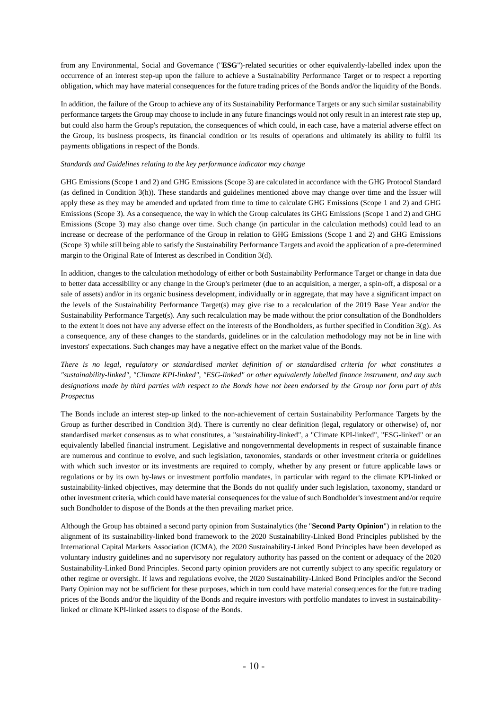from any Environmental, Social and Governance ("**ESG**")-related securities or other equivalently-labelled index upon the occurrence of an interest step-up upon the failure to achieve a Sustainability Performance Target or to respect a reporting obligation, which may have material consequences for the future trading prices of the Bonds and/or the liquidity of the Bonds.

In addition, the failure of the Group to achieve any of its Sustainability Performance Targets or any such similar sustainability performance targets the Group may choose to include in any future financings would not only result in an interest rate step up, but could also harm the Group's reputation, the consequences of which could, in each case, have a material adverse effect on the Group, its business prospects, its financial condition or its results of operations and ultimately its ability to fulfil its payments obligations in respect of the Bonds.

#### *Standards and Guidelines relating to the key performance indicator may change*

GHG Emissions (Scope 1 and 2) and GHG Emissions (Scope 3) are calculated in accordance with the GHG Protocol Standard (as defined in Condition 3(h)). These standards and guidelines mentioned above may change over time and the Issuer will apply these as they may be amended and updated from time to time to calculate GHG Emissions (Scope 1 and 2) and GHG Emissions (Scope 3). As a consequence, the way in which the Group calculates its GHG Emissions (Scope 1 and 2) and GHG Emissions (Scope 3) may also change over time. Such change (in particular in the calculation methods) could lead to an increase or decrease of the performance of the Group in relation to GHG Emissions (Scope 1 and 2) and GHG Emissions (Scope 3) while still being able to satisfy the Sustainability Performance Targets and avoid the application of a pre-determined margin to the Original Rate of Interest as described in Condition 3(d).

In addition, changes to the calculation methodology of either or both Sustainability Performance Target or change in data due to better data accessibility or any change in the Group's perimeter (due to an acquisition, a merger, a spin-off, a disposal or a sale of assets) and/or in its organic business development, individually or in aggregate, that may have a significant impact on the levels of the Sustainability Performance Target(s) may give rise to a recalculation of the 2019 Base Year and/or the Sustainability Performance Target(s). Any such recalculation may be made without the prior consultation of the Bondholders to the extent it does not have any adverse effect on the interests of the Bondholders, as further specified in Condition 3(g). As a consequence, any of these changes to the standards, guidelines or in the calculation methodology may not be in line with investors' expectations. Such changes may have a negative effect on the market value of the Bonds.

*There is no legal, regulatory or standardised market definition of or standardised criteria for what constitutes a "sustainability-linked", "Climate KPI-linked", "ESG-linked" or other equivalently labelled finance instrument, and any such designations made by third parties with respect to the Bonds have not been endorsed by the Group nor form part of this Prospectus*

The Bonds include an interest step-up linked to the non-achievement of certain Sustainability Performance Targets by the Group as further described in Condition 3(d). There is currently no clear definition (legal, regulatory or otherwise) of, nor standardised market consensus as to what constitutes, a "sustainability-linked", a "Climate KPI-linked", "ESG-linked" or an equivalently labelled financial instrument. Legislative and nongovernmental developments in respect of sustainable finance are numerous and continue to evolve, and such legislation, taxonomies, standards or other investment criteria or guidelines with which such investor or its investments are required to comply, whether by any present or future applicable laws or regulations or by its own by-laws or investment portfolio mandates, in particular with regard to the climate KPI-linked or sustainability-linked objectives, may determine that the Bonds do not qualify under such legislation, taxonomy, standard or other investment criteria, which could have material consequences for the value of such Bondholder's investment and/or require such Bondholder to dispose of the Bonds at the then prevailing market price.

Although the Group has obtained a second party opinion from Sustainalytics (the "**Second Party Opinion**") in relation to the alignment of its sustainability-linked bond framework to the 2020 Sustainability-Linked Bond Principles published by the International Capital Markets Association (ICMA), the 2020 Sustainability-Linked Bond Principles have been developed as voluntary industry guidelines and no supervisory nor regulatory authority has passed on the content or adequacy of the 2020 Sustainability-Linked Bond Principles. Second party opinion providers are not currently subject to any specific regulatory or other regime or oversight. If laws and regulations evolve, the 2020 Sustainability-Linked Bond Principles and/or the Second Party Opinion may not be sufficient for these purposes, which in turn could have material consequences for the future trading prices of the Bonds and/or the liquidity of the Bonds and require investors with portfolio mandates to invest in sustainabilitylinked or climate KPI-linked assets to dispose of the Bonds.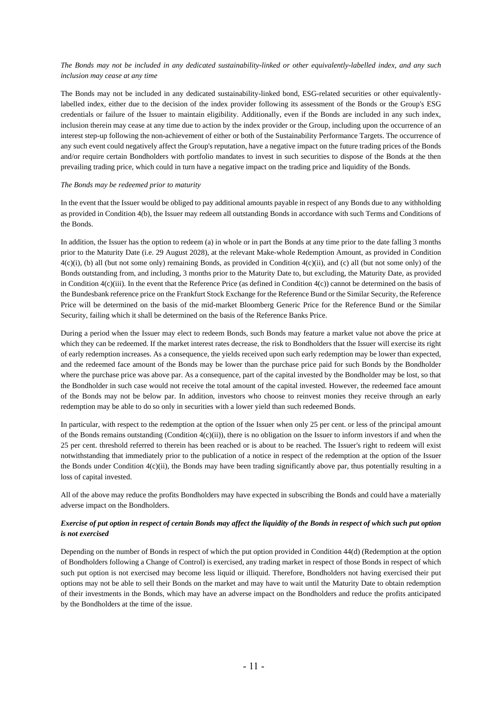## *The Bonds may not be included in any dedicated sustainability-linked or other equivalently-labelled index, and any such inclusion may cease at any time*

The Bonds may not be included in any dedicated sustainability-linked bond, ESG-related securities or other equivalentlylabelled index, either due to the decision of the index provider following its assessment of the Bonds or the Group's ESG credentials or failure of the Issuer to maintain eligibility. Additionally, even if the Bonds are included in any such index, inclusion therein may cease at any time due to action by the index provider or the Group, including upon the occurrence of an interest step-up following the non-achievement of either or both of the Sustainability Performance Targets. The occurrence of any such event could negatively affect the Group's reputation, have a negative impact on the future trading prices of the Bonds and/or require certain Bondholders with portfolio mandates to invest in such securities to dispose of the Bonds at the then prevailing trading price, which could in turn have a negative impact on the trading price and liquidity of the Bonds.

#### *The Bonds may be redeemed prior to maturity*

In the event that the Issuer would be obliged to pay additional amounts payable in respect of any Bonds due to any withholding as provided in Condition 4(b), the Issuer may redeem all outstanding Bonds in accordance with such Terms and Conditions of the Bonds.

In addition, the Issuer has the option to redeem (a) in whole or in part the Bonds at any time prior to the date falling 3 months prior to the Maturity Date (i.e. 29 August 2028), at the relevant Make-whole Redemption Amount, as provided in Condition  $4(c)(i)$ , (b) all (but not some only) remaining Bonds, as provided in Condition  $4(c)(ii)$ , and (c) all (but not some only) of the Bonds outstanding from, and including, 3 months prior to the Maturity Date to, but excluding, the Maturity Date, as provided in Condition  $4(c)$ (iii). In the event that the Reference Price (as defined in Condition  $4(c)$ ) cannot be determined on the basis of the Bundesbank reference price on the Frankfurt Stock Exchange for the Reference Bund or the Similar Security, the Reference Price will be determined on the basis of the mid-market Bloomberg Generic Price for the Reference Bund or the Similar Security, failing which it shall be determined on the basis of the Reference Banks Price.

During a period when the Issuer may elect to redeem Bonds, such Bonds may feature a market value not above the price at which they can be redeemed. If the market interest rates decrease, the risk to Bondholders that the Issuer will exercise its right of early redemption increases. As a consequence, the yields received upon such early redemption may be lower than expected, and the redeemed face amount of the Bonds may be lower than the purchase price paid for such Bonds by the Bondholder where the purchase price was above par. As a consequence, part of the capital invested by the Bondholder may be lost, so that the Bondholder in such case would not receive the total amount of the capital invested. However, the redeemed face amount of the Bonds may not be below par. In addition, investors who choose to reinvest monies they receive through an early redemption may be able to do so only in securities with a lower yield than such redeemed Bonds.

In particular, with respect to the redemption at the option of the Issuer when only 25 per cent. or less of the principal amount of the Bonds remains outstanding (Condition  $4(c)(ii)$ ), there is no obligation on the Issuer to inform investors if and when the 25 per cent. threshold referred to therein has been reached or is about to be reached. The Issuer's right to redeem will exist notwithstanding that immediately prior to the publication of a notice in respect of the redemption at the option of the Issuer the Bonds under Condition  $4(c)(ii)$ , the Bonds may have been trading significantly above par, thus potentially resulting in a loss of capital invested.

All of the above may reduce the profits Bondholders may have expected in subscribing the Bonds and could have a materially adverse impact on the Bondholders.

## *Exercise of put option in respect of certain Bonds may affect the liquidity of the Bonds in respect of which such put option is not exercised*

Depending on the number of Bonds in respect of which the put option provided in Condition [44\(d\)](#page-22-2) [\(Redemption at the option](#page-22-2)  [of Bondholders following a Change of Control\)](#page-22-2) is exercised, any trading market in respect of those Bonds in respect of which such put option is not exercised may become less liquid or illiquid. Therefore, Bondholders not having exercised their put options may not be able to sell their Bonds on the market and may have to wait until the Maturity Date to obtain redemption of their investments in the Bonds, which may have an adverse impact on the Bondholders and reduce the profits anticipated by the Bondholders at the time of the issue.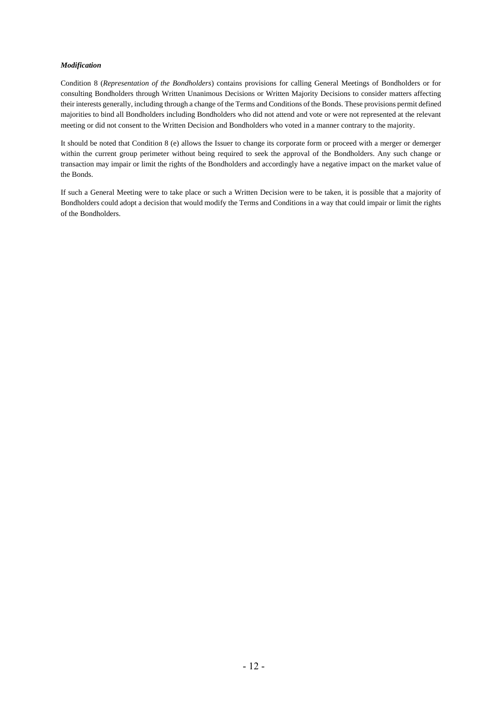#### *Modification*

Condition [8](#page-26-0) (*[Representation of the Bondholders](#page-26-0)*) contains provisions for calling General Meetings of Bondholders or for consulting Bondholders through Written Unanimous Decisions or Written Majority Decisions to consider matters affecting their interests generally, including through a change of the Terms and Conditions of the Bonds. These provisions permit defined majorities to bind all Bondholders including Bondholders who did not attend and vote or were not represented at the relevant meeting or did not consent to the Written Decision and Bondholders who voted in a manner contrary to the majority.

It should be noted that Condition 8 [\(e\)](#page-28-0) allows the Issuer to change its corporate form or proceed with a merger or demerger within the current group perimeter without being required to seek the approval of the Bondholders. Any such change or transaction may impair or limit the rights of the Bondholders and accordingly have a negative impact on the market value of the Bonds.

If such a General Meeting were to take place or such a Written Decision were to be taken, it is possible that a majority of Bondholders could adopt a decision that would modify the Terms and Conditions in a way that could impair or limit the rights of the Bondholders.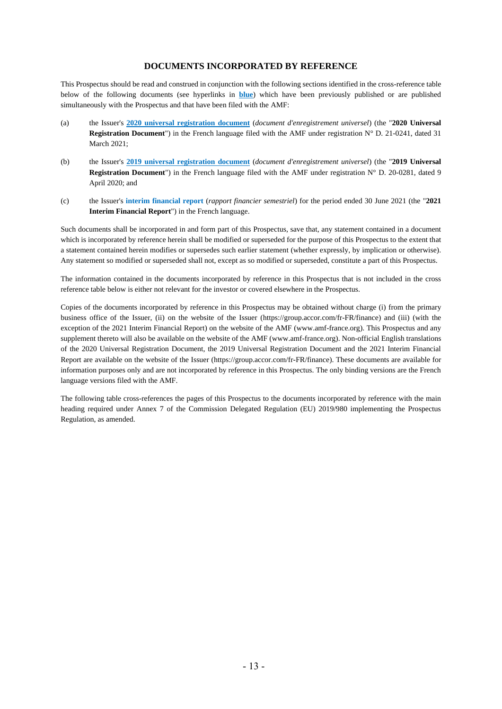## **DOCUMENTS INCORPORATED BY REFERENCE**

This Prospectus should be read and construed in conjunction with the following sections identified in the cross-reference table below of the following documents (see hyperlinks in **blue**) which have been previously published or are published simultaneously with the Prospectus and that have been filed with the AMF:

- (a) the Issuer's **[2020 universal registration document](https://group.accor.com/-/media/Corporate/Investors/Documents-de-reference/DEU_ACCOR_2020.pdf)** (*document d'enregistrement universel*) (the "**2020 Universal Registration Document**") in the French language filed with the AMF under registration N° D. 21-0241, dated 31 March 2021;
- (b) the Issuer's **[2019 universal registration document](https://group.accor.com/-/media/Corporate/Investors/Documents-de-reference/DEU_ACCOR_2019.pdf)** (*document d'enregistrement universel*) (the "**2019 Universal Registration Document**") in the French language filed with the AMF under registration N° D. 20-0281, dated 9 April 2020; and
- (c) the Issuer's **[interim financial report](https://group.accor.com/-/media/Corporate/Investors/Documents-financiers/2021/07-29-H1/Rapport-Financier-Semestriel-2021-du-Groupe-Accor-vDEF.pdf)** (*rapport financier semestriel*) for the period ended 30 June 2021 (the "**2021 Interim Financial Report**") in the French language.

Such documents shall be incorporated in and form part of this Prospectus, save that, any statement contained in a document which is incorporated by reference herein shall be modified or superseded for the purpose of this Prospectus to the extent that a statement contained herein modifies or supersedes such earlier statement (whether expressly, by implication or otherwise). Any statement so modified or superseded shall not, except as so modified or superseded, constitute a part of this Prospectus.

The information contained in the documents incorporated by reference in this Prospectus that is not included in the cross reference table below is either not relevant for the investor or covered elsewhere in the Prospectus.

Copies of the documents incorporated by reference in this Prospectus may be obtained without charge (i) from the primary business office of the Issuer, (ii) on the website of the Issuer [\(https://group.accor.com/fr-FR/finance\)](https://group.accor.com/fr-FR/finance) and (iii) (with the exception of the 2021 Interim Financial Report) on the website of the AMF [\(www.amf-france.org\)](http://www.amf-france.org/). This Prospectus and any supplement thereto will also be available on the website of the AMF [\(www.amf-france.org\)](http://www.amf-france.org/). Non-official English translations of the 2020 Universal Registration Document, the 2019 Universal Registration Document and the 2021 Interim Financial Report are available on the website of the Issuer [\(https://group.accor.com/fr-FR/finance\)](https://group.accor.com/fr-FR/finance). These documents are available for information purposes only and are not incorporated by reference in this Prospectus. The only binding versions are the French language versions filed with the AMF.

The following table cross-references the pages of this Prospectus to the documents incorporated by reference with the main heading required under Annex 7 of the Commission Delegated Regulation (EU) 2019/980 implementing the Prospectus Regulation, as amended.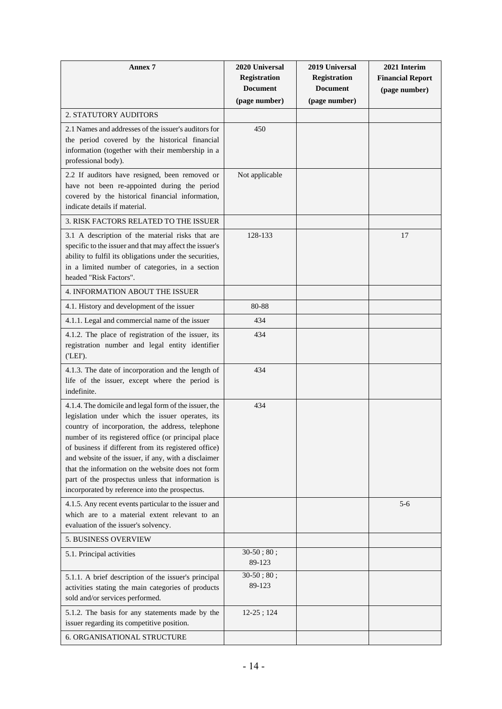| <b>Annex 7</b>                                                                                                                                                                                                                                                                                                                                                                                                                                                                                   | 2020 Universal<br><b>Registration</b><br><b>Document</b><br>(page number) | 2019 Universal<br><b>Registration</b><br><b>Document</b><br>(page number) | 2021 Interim<br><b>Financial Report</b><br>(page number) |
|--------------------------------------------------------------------------------------------------------------------------------------------------------------------------------------------------------------------------------------------------------------------------------------------------------------------------------------------------------------------------------------------------------------------------------------------------------------------------------------------------|---------------------------------------------------------------------------|---------------------------------------------------------------------------|----------------------------------------------------------|
| 2. STATUTORY AUDITORS                                                                                                                                                                                                                                                                                                                                                                                                                                                                            |                                                                           |                                                                           |                                                          |
| 2.1 Names and addresses of the issuer's auditors for<br>the period covered by the historical financial<br>information (together with their membership in a<br>professional body).                                                                                                                                                                                                                                                                                                                | 450                                                                       |                                                                           |                                                          |
| 2.2 If auditors have resigned, been removed or<br>have not been re-appointed during the period<br>covered by the historical financial information,<br>indicate details if material.                                                                                                                                                                                                                                                                                                              | Not applicable                                                            |                                                                           |                                                          |
| 3. RISK FACTORS RELATED TO THE ISSUER                                                                                                                                                                                                                                                                                                                                                                                                                                                            |                                                                           |                                                                           |                                                          |
| 3.1 A description of the material risks that are<br>specific to the issuer and that may affect the issuer's<br>ability to fulfil its obligations under the securities,<br>in a limited number of categories, in a section<br>headed "Risk Factors".                                                                                                                                                                                                                                              | 128-133                                                                   |                                                                           | 17                                                       |
| <b>4. INFORMATION ABOUT THE ISSUER</b>                                                                                                                                                                                                                                                                                                                                                                                                                                                           |                                                                           |                                                                           |                                                          |
| 4.1. History and development of the issuer                                                                                                                                                                                                                                                                                                                                                                                                                                                       | 80-88                                                                     |                                                                           |                                                          |
| 4.1.1. Legal and commercial name of the issuer                                                                                                                                                                                                                                                                                                                                                                                                                                                   | 434                                                                       |                                                                           |                                                          |
| 4.1.2. The place of registration of the issuer, its<br>registration number and legal entity identifier<br>('LEI').                                                                                                                                                                                                                                                                                                                                                                               | 434                                                                       |                                                                           |                                                          |
| 4.1.3. The date of incorporation and the length of<br>life of the issuer, except where the period is<br>indefinite.                                                                                                                                                                                                                                                                                                                                                                              | 434                                                                       |                                                                           |                                                          |
| 4.1.4. The domicile and legal form of the issuer, the<br>legislation under which the issuer operates, its<br>country of incorporation, the address, telephone<br>number of its registered office (or principal place<br>of business if different from its registered office)<br>and website of the issuer, if any, with a disclaimer<br>that the information on the website does not form<br>part of the prospectus unless that information is<br>incorporated by reference into the prospectus. | 434                                                                       |                                                                           |                                                          |
| 4.1.5. Any recent events particular to the issuer and<br>which are to a material extent relevant to an<br>evaluation of the issuer's solvency.                                                                                                                                                                                                                                                                                                                                                   |                                                                           |                                                                           | $5 - 6$                                                  |
| <b>5. BUSINESS OVERVIEW</b>                                                                                                                                                                                                                                                                                                                                                                                                                                                                      |                                                                           |                                                                           |                                                          |
| 5.1. Principal activities                                                                                                                                                                                                                                                                                                                                                                                                                                                                        | $30-50$ ; $80$ ;<br>89-123                                                |                                                                           |                                                          |
| 5.1.1. A brief description of the issuer's principal<br>activities stating the main categories of products<br>sold and/or services performed.                                                                                                                                                                                                                                                                                                                                                    | $30-50$ ; $80$ ;<br>89-123                                                |                                                                           |                                                          |
| 5.1.2. The basis for any statements made by the<br>issuer regarding its competitive position.                                                                                                                                                                                                                                                                                                                                                                                                    | $12-25$ ; 124                                                             |                                                                           |                                                          |
| <b>6. ORGANISATIONAL STRUCTURE</b>                                                                                                                                                                                                                                                                                                                                                                                                                                                               |                                                                           |                                                                           |                                                          |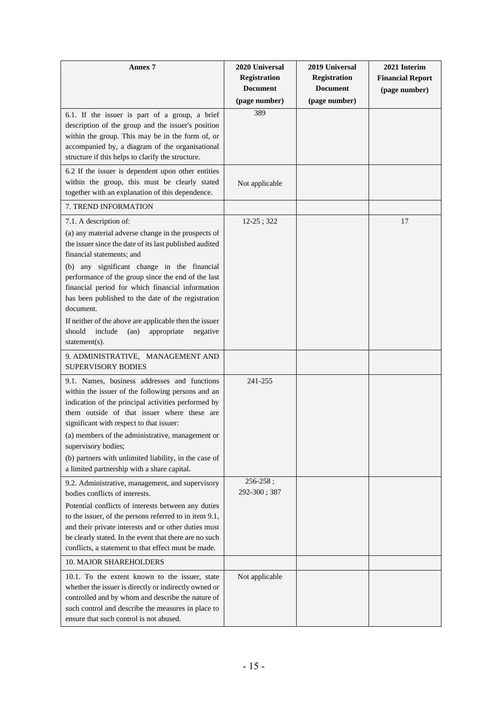| Annex 7                                                                                                                                                                                                                                                                                                                                                                                                                                                                                                                                  | 2020 Universal<br><b>Registration</b><br><b>Document</b><br>(page number) | 2019 Universal<br><b>Registration</b><br><b>Document</b><br>(page number) | 2021 Interim<br><b>Financial Report</b><br>(page number) |
|------------------------------------------------------------------------------------------------------------------------------------------------------------------------------------------------------------------------------------------------------------------------------------------------------------------------------------------------------------------------------------------------------------------------------------------------------------------------------------------------------------------------------------------|---------------------------------------------------------------------------|---------------------------------------------------------------------------|----------------------------------------------------------|
| 6.1. If the issuer is part of a group, a brief<br>description of the group and the issuer's position<br>within the group. This may be in the form of, or<br>accompanied by, a diagram of the organisational<br>structure if this helps to clarify the structure.                                                                                                                                                                                                                                                                         | 389                                                                       |                                                                           |                                                          |
| 6.2 If the issuer is dependent upon other entities<br>within the group, this must be clearly stated<br>together with an explanation of this dependence.                                                                                                                                                                                                                                                                                                                                                                                  | Not applicable                                                            |                                                                           |                                                          |
| 7. TREND INFORMATION                                                                                                                                                                                                                                                                                                                                                                                                                                                                                                                     |                                                                           |                                                                           |                                                          |
| 7.1. A description of:<br>(a) any material adverse change in the prospects of<br>the issuer since the date of its last published audited<br>financial statements; and<br>(b) any significant change in the financial<br>performance of the group since the end of the last<br>financial period for which financial information<br>has been published to the date of the registration<br>document.<br>If neither of the above are applicable then the issuer<br>should<br>include<br>appropriate<br>(an)<br>negative<br>statement $(s)$ . | $12-25$ ; 322                                                             |                                                                           | 17                                                       |
| 9. ADMINISTRATIVE, MANAGEMENT AND<br><b>SUPERVISORY BODIES</b>                                                                                                                                                                                                                                                                                                                                                                                                                                                                           |                                                                           |                                                                           |                                                          |
| 9.1. Names, business addresses and functions<br>within the issuer of the following persons and an<br>indication of the principal activities performed by<br>them outside of that issuer where these are<br>significant with respect to that issuer:<br>(a) members of the administrative, management or<br>supervisory bodies;<br>(b) partners with unlimited liability, in the case of<br>a limited partnership with a share capital.                                                                                                   | 241-255                                                                   |                                                                           |                                                          |
| 9.2. Administrative, management, and supervisory<br>bodies conflicts of interests.<br>Potential conflicts of interests between any duties<br>to the issuer, of the persons referred to in item 9.1,<br>and their private interests and or other duties must<br>be clearly stated. In the event that there are no such<br>conflicts, a statement to that effect must be made.<br>10. MAJOR SHAREHOLDERS                                                                                                                                   | $256 - 258$ ;<br>292-300; 387                                             |                                                                           |                                                          |
| 10.1. To the extent known to the issuer, state<br>whether the issuer is directly or indirectly owned or<br>controlled and by whom and describe the nature of<br>such control and describe the measures in place to<br>ensure that such control is not abused.                                                                                                                                                                                                                                                                            | Not applicable                                                            |                                                                           |                                                          |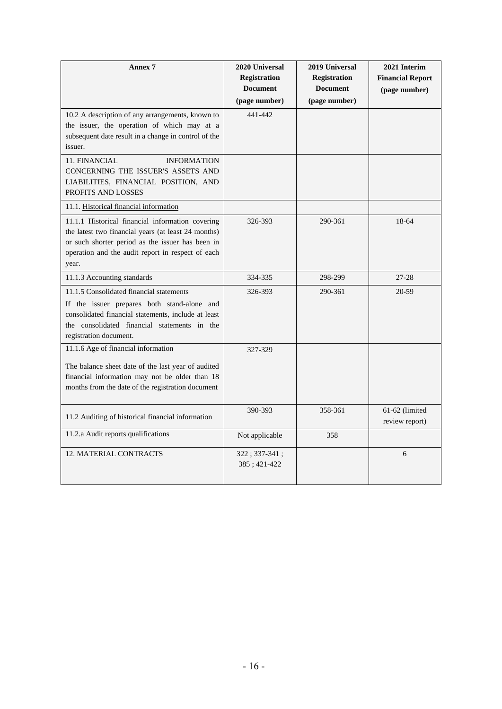| <b>Annex 7</b>                                                                                                                                                                                                            | 2020 Universal<br><b>Registration</b><br><b>Document</b><br>(page number) | 2019 Universal<br><b>Registration</b><br><b>Document</b><br>(page number) | 2021 Interim<br><b>Financial Report</b><br>(page number) |
|---------------------------------------------------------------------------------------------------------------------------------------------------------------------------------------------------------------------------|---------------------------------------------------------------------------|---------------------------------------------------------------------------|----------------------------------------------------------|
| 10.2 A description of any arrangements, known to<br>the issuer, the operation of which may at a<br>subsequent date result in a change in control of the<br>issuer.                                                        | 441-442                                                                   |                                                                           |                                                          |
| 11. FINANCIAL<br><b>INFORMATION</b><br>CONCERNING THE ISSUER'S ASSETS AND<br>LIABILITIES, FINANCIAL POSITION, AND<br>PROFITS AND LOSSES                                                                                   |                                                                           |                                                                           |                                                          |
| 11.1. Historical financial information                                                                                                                                                                                    |                                                                           |                                                                           |                                                          |
| 11.1.1 Historical financial information covering<br>the latest two financial years (at least 24 months)<br>or such shorter period as the issuer has been in<br>operation and the audit report in respect of each<br>year. | 326-393                                                                   | 290-361                                                                   | 18-64                                                    |
| 11.1.3 Accounting standards                                                                                                                                                                                               | 334-335                                                                   | 298-299                                                                   | $27 - 28$                                                |
| 11.1.5 Consolidated financial statements<br>If the issuer prepares both stand-alone and<br>consolidated financial statements, include at least<br>the consolidated financial statements in the<br>registration document.  | 326-393                                                                   | 290-361                                                                   | 20-59                                                    |
| 11.1.6 Age of financial information                                                                                                                                                                                       | 327-329                                                                   |                                                                           |                                                          |
| The balance sheet date of the last year of audited<br>financial information may not be older than 18<br>months from the date of the registration document                                                                 |                                                                           |                                                                           |                                                          |
| 11.2 Auditing of historical financial information                                                                                                                                                                         | 390-393                                                                   | 358-361                                                                   | 61-62 (limited<br>review report)                         |
| 11.2.a Audit reports qualifications                                                                                                                                                                                       | Not applicable                                                            | 358                                                                       |                                                          |
| <b>12. MATERIAL CONTRACTS</b>                                                                                                                                                                                             | $322; 337-341;$<br>385; 421-422                                           |                                                                           | 6                                                        |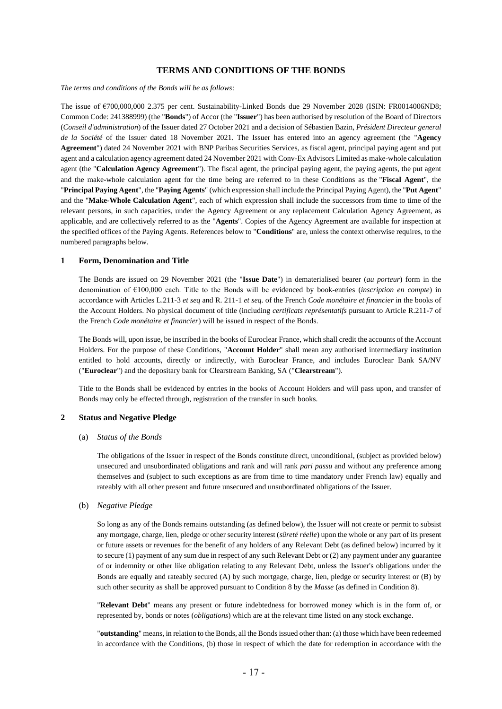## **TERMS AND CONDITIONS OF THE BONDS**

*The terms and conditions of the Bonds will be as follows*:

The issue of €700,000,000 2.375 per cent. Sustainability-Linked Bonds due 29 November 2028 (ISIN: FR0014006ND8; Common Code: 241388999) (the "**Bonds**") of Accor (the "**Issuer**") has been authorised by resolution of the Board of Directors (*Conseil d'administration*) of the Issuer dated 27 October 2021 and a decision of Sébastien Bazin, *Président Directeur general de la Société* of the Issuer dated 18 November 2021. The Issuer has entered into an agency agreement (the "**Agency Agreement**") dated 24 November 2021 with BNP Paribas Securities Services, as fiscal agent, principal paying agent and put agent and a calculation agency agreement dated 24 November 2021 with Conv-Ex Advisors Limited as make-whole calculation agent (the "**Calculation Agency Agreement**"). The fiscal agent, the principal paying agent, the paying agents, the put agent and the make-whole calculation agent for the time being are referred to in these Conditions as the "**Fiscal Agent**", the "**Principal Paying Agent**", the "**Paying Agents**" (which expression shall include the Principal Paying Agent), the "**Put Agent**" and the "**Make-Whole Calculation Agent**", each of which expression shall include the successors from time to time of the relevant persons, in such capacities, under the Agency Agreement or any replacement Calculation Agency Agreement, as applicable, and are collectively referred to as the "**Agents**". Copies of the Agency Agreement are available for inspection at the specified offices of the Paying Agents. References below to "**Conditions**" are, unless the context otherwise requires, to the numbered paragraphs below.

#### **1 Form, Denomination and Title**

The Bonds are issued on 29 November 2021 (the "**Issue Date**") in dematerialised bearer (*au porteur*) form in the denomination of €100,000 each. Title to the Bonds will be evidenced by book-entries (*inscription en compte*) in accordance with Articles L.211-3 *et seq* and R. 211-1 *et seq.* of the French *Code monétaire et financier* in the books of the Account Holders. No physical document of title (including *certificats représentatifs* pursuant to Article R.211-7 of the French *Code monétaire et financier*) will be issued in respect of the Bonds.

The Bonds will, upon issue, be inscribed in the books of Euroclear France, which shall credit the accounts of the Account Holders. For the purpose of these Conditions, "**Account Holder**" shall mean any authorised intermediary institution entitled to hold accounts, directly or indirectly, with Euroclear France, and includes Euroclear Bank SA/NV ("**Euroclear**") and the depositary bank for Clearstream Banking, SA ("**Clearstream**").

Title to the Bonds shall be evidenced by entries in the books of Account Holders and will pass upon, and transfer of Bonds may only be effected through, registration of the transfer in such books.

#### <span id="page-16-0"></span>**2 Status and Negative Pledge**

#### (a) *Status of the Bonds*

The obligations of the Issuer in respect of the Bonds constitute direct, unconditional, (subject as provided below) unsecured and unsubordinated obligations and rank and will rank *pari passu* and without any preference among themselves and (subject to such exceptions as are from time to time mandatory under French law) equally and rateably with all other present and future unsecured and unsubordinated obligations of the Issuer.

#### (b) *Negative Pledge*

So long as any of the Bonds remains outstanding (as defined below), the Issuer will not create or permit to subsist any mortgage, charge, lien, pledge or other security interest (*sûreté réelle*) upon the whole or any part of its present or future assets or revenues for the benefit of any holders of any Relevant Debt (as defined below) incurred by it to secure (1) payment of any sum due in respect of any such Relevant Debt or (2) any payment under any guarantee of or indemnity or other like obligation relating to any Relevant Debt, unless the Issuer's obligations under the Bonds are equally and rateably secured (A) by such mortgage, charge, lien, pledge or security interest or (B) by such other security as shall be approved pursuant to Condition [8](#page-26-0) by the *Masse* (as defined in Condition 8).

"**Relevant Debt**" means any present or future indebtedness for borrowed money which is in the form of, or represented by, bonds or notes (*obligations*) which are at the relevant time listed on any stock exchange.

"**outstanding**" means, in relation to the Bonds, all the Bonds issued other than: (a) those which have been redeemed in accordance with the Conditions, (b) those in respect of which the date for redemption in accordance with the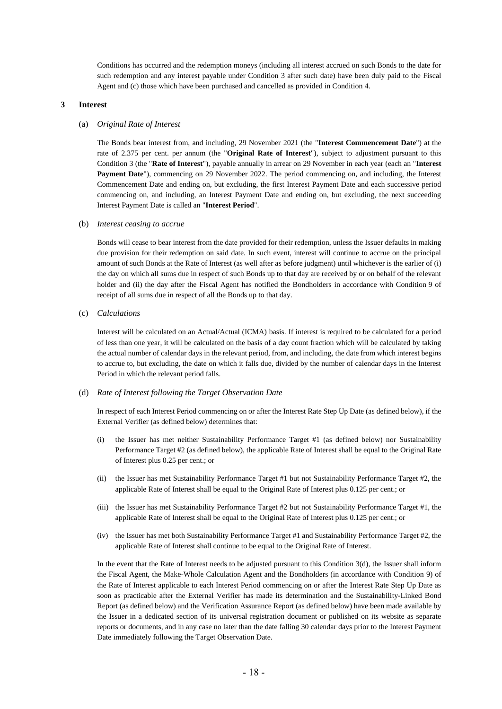Conditions has occurred and the redemption moneys (including all interest accrued on such Bonds to the date for such redemption and any interest payable under Condition [3](#page-17-2) after such date) have been duly paid to the Fiscal Agent and (c) those which have been purchased and cancelled as provided in Conditio[n 4.](#page-19-0)

#### <span id="page-17-2"></span><span id="page-17-0"></span>**3 Interest**

#### (a) *Original Rate of Interest*

The Bonds bear interest from, and including, 29 November 2021 (the "**Interest Commencement Date**") at the rate of 2.375 per cent. per annum (the "**Original Rate of Interest**"), subject to adjustment pursuant to this Condition 3 (the "**Rate of Interest**"), payable annually in arrear on 29 November in each year (each an "**Interest Payment Date**"), commencing on 29 November 2022. The period commencing on, and including, the Interest Commencement Date and ending on, but excluding, the first Interest Payment Date and each successive period commencing on, and including, an Interest Payment Date and ending on, but excluding, the next succeeding Interest Payment Date is called an "**Interest Period**".

#### (b) *Interest ceasing to accrue*

Bonds will cease to bear interest from the date provided for their redemption, unless the Issuer defaults in making due provision for their redemption on said date. In such event, interest will continue to accrue on the principal amount of such Bonds at the Rate of Interest (as well after as before judgment) until whichever is the earlier of (i) the day on which all sums due in respect of such Bonds up to that day are received by or on behalf of the relevant holder and (ii) the day after the Fiscal Agent has notified the Bondholders in accordance with Condition [9](#page-29-0) of receipt of all sums due in respect of all the Bonds up to that day.

(c) *Calculations*

Interest will be calculated on an Actual/Actual (ICMA) basis. If interest is required to be calculated for a period of less than one year, it will be calculated on the basis of a day count fraction which will be calculated by taking the actual number of calendar days in the relevant period, from, and including, the date from which interest begins to accrue to, but excluding, the date on which it falls due, divided by the number of calendar days in the Interest Period in which the relevant period falls.

#### <span id="page-17-1"></span>(d) *Rate of Interest following the Target Observation Date*

In respect of each Interest Period commencing on or after the Interest Rate Step Up Date (as defined below), if the External Verifier (as defined below) determines that:

- (i) the Issuer has met neither Sustainability Performance Target #1 (as defined below) nor Sustainability Performance Target #2 (as defined below), the applicable Rate of Interest shall be equal to the Original Rate of Interest plus 0.25 per cent.; or
- (ii) the Issuer has met Sustainability Performance Target #1 but not Sustainability Performance Target #2, the applicable Rate of Interest shall be equal to the Original Rate of Interest plus 0.125 per cent.; or
- (iii) the Issuer has met Sustainability Performance Target #2 but not Sustainability Performance Target #1, the applicable Rate of Interest shall be equal to the Original Rate of Interest plus 0.125 per cent.; or
- (iv) the Issuer has met both Sustainability Performance Target #1 and Sustainability Performance Target #2, the applicable Rate of Interest shall continue to be equal to the Original Rate of Interest.

In the event that the Rate of Interest needs to be adjusted pursuant to this Condition 3(d), the Issuer shall inform the Fiscal Agent, the Make-Whole Calculation Agent and the Bondholders (in accordance with Condition 9) of the Rate of Interest applicable to each Interest Period commencing on or after the Interest Rate Step Up Date as soon as practicable after the External Verifier has made its determination and the Sustainability-Linked Bond Report (as defined below) and the Verification Assurance Report (as defined below) have been made available by the Issuer in a dedicated section of its universal registration document or published on its website as separate reports or documents, and in any case no later than the date falling 30 calendar days prior to the Interest Payment Date immediately following the Target Observation Date.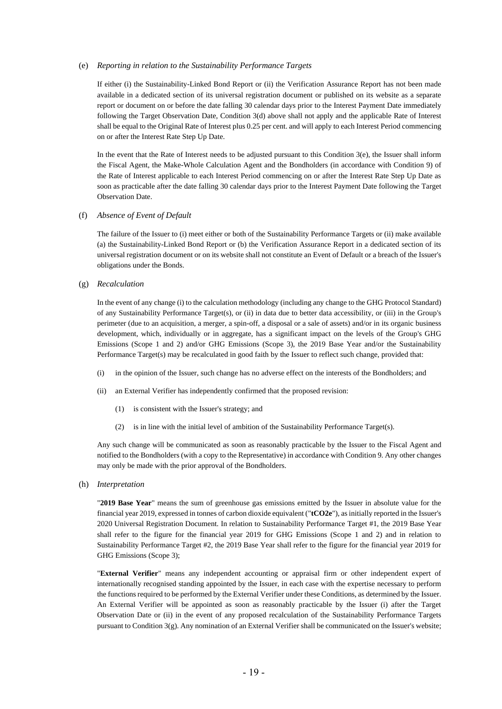#### (e) *Reporting in relation to the Sustainability Performance Targets*

If either (i) the Sustainability-Linked Bond Report or (ii) the Verification Assurance Report has not been made available in a dedicated section of its universal registration document or published on its website as a separate report or document on or before the date falling 30 calendar days prior to the Interest Payment Date immediately following the Target Observation Date, Condition 3(d) above shall not apply and the applicable Rate of Interest shall be equal to the Original Rate of Interest plus 0.25 per cent. and will apply to each Interest Period commencing on or after the Interest Rate Step Up Date.

In the event that the Rate of Interest needs to be adjusted pursuant to this Condition  $3(e)$ , the Issuer shall inform the Fiscal Agent, the Make-Whole Calculation Agent and the Bondholders (in accordance with Condition 9) of the Rate of Interest applicable to each Interest Period commencing on or after the Interest Rate Step Up Date as soon as practicable after the date falling 30 calendar days prior to the Interest Payment Date following the Target Observation Date.

#### (f) *Absence of Event of Default*

The failure of the Issuer to (i) meet either or both of the Sustainability Performance Targets or (ii) make available (a) the Sustainability-Linked Bond Report or (b) the Verification Assurance Report in a dedicated section of its universal registration document or on its website shall not constitute an Event of Default or a breach of the Issuer's obligations under the Bonds.

(g) *Recalculation*

In the event of any change (i) to the calculation methodology (including any change to the GHG Protocol Standard) of any Sustainability Performance Target(s), or (ii) in data due to better data accessibility, or (iii) in the Group's perimeter (due to an acquisition, a merger, a spin-off, a disposal or a sale of assets) and/or in its organic business development, which, individually or in aggregate, has a significant impact on the levels of the Group's GHG Emissions (Scope 1 and 2) and/or GHG Emissions (Scope 3), the 2019 Base Year and/or the Sustainability Performance Target(s) may be recalculated in good faith by the Issuer to reflect such change, provided that:

- (i) in the opinion of the Issuer, such change has no adverse effect on the interests of the Bondholders; and
- (ii) an External Verifier has independently confirmed that the proposed revision:
	- (1) is consistent with the Issuer's strategy; and
	- (2) is in line with the initial level of ambition of the Sustainability Performance Target(s).

Any such change will be communicated as soon as reasonably practicable by the Issuer to the Fiscal Agent and notified to the Bondholders (with a copy to the Representative) in accordance with Condition 9. Any other changes may only be made with the prior approval of the Bondholders.

<span id="page-18-0"></span>(h) *Interpretation*

"**2019 Base Year**" means the sum of greenhouse gas emissions emitted by the Issuer in absolute value for the financial year 2019, expressed in tonnes of carbon dioxide equivalent ("**tCO2e**"), as initially reported in the Issuer's 2020 Universal Registration Document. In relation to Sustainability Performance Target #1, the 2019 Base Year shall refer to the figure for the financial year 2019 for GHG Emissions (Scope 1 and 2) and in relation to Sustainability Performance Target #2, the 2019 Base Year shall refer to the figure for the financial year 2019 for GHG Emissions (Scope 3);

"**External Verifier**" means any independent accounting or appraisal firm or other independent expert of internationally recognised standing appointed by the Issuer, in each case with the expertise necessary to perform the functions required to be performed by the External Verifier under these Conditions, as determined by the Issuer. An External Verifier will be appointed as soon as reasonably practicable by the Issuer (i) after the Target Observation Date or (ii) in the event of any proposed recalculation of the Sustainability Performance Targets pursuant to Condition 3(g). Any nomination of an External Verifier shall be communicated on the Issuer's website;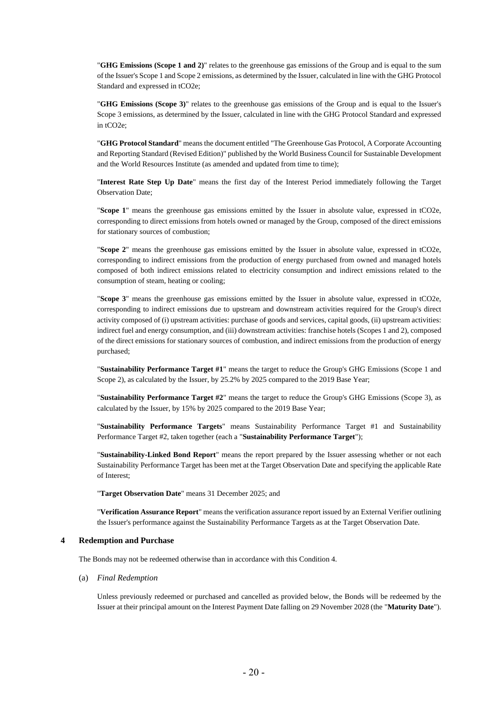"**GHG Emissions (Scope 1 and 2)**" relates to the greenhouse gas emissions of the Group and is equal to the sum of the Issuer's Scope 1 and Scope 2 emissions, as determined by the Issuer, calculated in line with the GHG Protocol Standard and expressed in tCO2e;

"**GHG Emissions (Scope 3)**" relates to the greenhouse gas emissions of the Group and is equal to the Issuer's Scope 3 emissions, as determined by the Issuer, calculated in line with the GHG Protocol Standard and expressed in tCO2e;

"**GHG Protocol Standard**" means the document entitled "The Greenhouse Gas Protocol, A Corporate Accounting and Reporting Standard (Revised Edition)" published by the World Business Council for Sustainable Development and the World Resources Institute (as amended and updated from time to time);

"**Interest Rate Step Up Date**" means the first day of the Interest Period immediately following the Target Observation Date;

"**Scope 1**" means the greenhouse gas emissions emitted by the Issuer in absolute value, expressed in tCO2e, corresponding to direct emissions from hotels owned or managed by the Group, composed of the direct emissions for stationary sources of combustion;

"**Scope 2**" means the greenhouse gas emissions emitted by the Issuer in absolute value, expressed in tCO2e, corresponding to indirect emissions from the production of energy purchased from owned and managed hotels composed of both indirect emissions related to electricity consumption and indirect emissions related to the consumption of steam, heating or cooling;

"**Scope 3**" means the greenhouse gas emissions emitted by the Issuer in absolute value, expressed in tCO2e, corresponding to indirect emissions due to upstream and downstream activities required for the Group's direct activity composed of (i) upstream activities: purchase of goods and services, capital goods, (ii) upstream activities: indirect fuel and energy consumption, and (iii) downstream activities: franchise hotels (Scopes 1 and 2), composed of the direct emissions for stationary sources of combustion, and indirect emissions from the production of energy purchased;

"**Sustainability Performance Target #1**" means the target to reduce the Group's GHG Emissions (Scope 1 and Scope 2), as calculated by the Issuer, by 25.2% by 2025 compared to the 2019 Base Year;

"**Sustainability Performance Target #2**" means the target to reduce the Group's GHG Emissions (Scope 3), as calculated by the Issuer, by 15% by 2025 compared to the 2019 Base Year;

"**Sustainability Performance Targets**" means Sustainability Performance Target #1 and Sustainability Performance Target #2, taken together (each a "**Sustainability Performance Target**");

"**Sustainability-Linked Bond Report**" means the report prepared by the Issuer assessing whether or not each Sustainability Performance Target has been met at the Target Observation Date and specifying the applicable Rate of Interest;

"**Target Observation Date**" means 31 December 2025; and

"**Verification Assurance Report**" means the verification assurance report issued by an External Verifier outlining the Issuer's performance against the Sustainability Performance Targets as at the Target Observation Date.

#### <span id="page-19-0"></span>**4 Redemption and Purchase**

The Bonds may not be redeemed otherwise than in accordance with this Condition 4.

(a) *Final Redemption*

Unless previously redeemed or purchased and cancelled as provided below, the Bonds will be redeemed by the Issuer at their principal amount on the Interest Payment Date falling on 29 November 2028 (the "**Maturity Date**").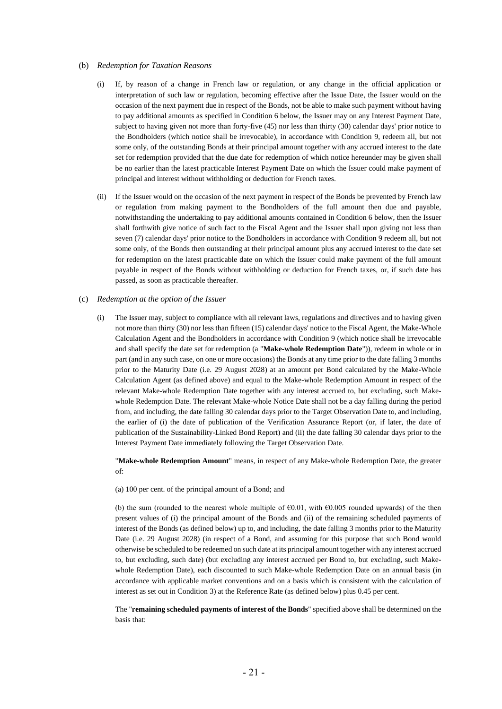#### <span id="page-20-0"></span>(b) *Redemption for Taxation Reasons*

- (i) If, by reason of a change in French law or regulation, or any change in the official application or interpretation of such law or regulation, becoming effective after the Issue Date, the Issuer would on the occasion of the next payment due in respect of the Bonds, not be able to make such payment without having to pay additional amounts as specified in Conditio[n 6](#page-25-0) below, the Issuer may on any Interest Payment Date, subject to having given not more than forty-five (45) nor less than thirty (30) calendar days' prior notice to the Bondholders (which notice shall be irrevocable), in accordance with Condition [9,](#page-29-0) redeem all, but not some only, of the outstanding Bonds at their principal amount together with any accrued interest to the date set for redemption provided that the due date for redemption of which notice hereunder may be given shall be no earlier than the latest practicable Interest Payment Date on which the Issuer could make payment of principal and interest without withholding or deduction for French taxes.
- (ii) If the Issuer would on the occasion of the next payment in respect of the Bonds be prevented by French law or regulation from making payment to the Bondholders of the full amount then due and payable, notwithstanding the undertaking to pay additional amounts contained in Condition [6](#page-25-0) below, then the Issuer shall forthwith give notice of such fact to the Fiscal Agent and the Issuer shall upon giving not less than seven (7) calendar days' prior notice to the Bondholders in accordance with Condition [9](#page-29-0) redeem all, but not some only, of the Bonds then outstanding at their principal amount plus any accrued interest to the date set for redemption on the latest practicable date on which the Issuer could make payment of the full amount payable in respect of the Bonds without withholding or deduction for French taxes, or, if such date has passed, as soon as practicable thereafter.

#### <span id="page-20-2"></span><span id="page-20-1"></span>(c) *Redemption at the option of the Issuer*

(i) The Issuer may, subject to compliance with all relevant laws, regulations and directives and to having given not more than thirty (30) nor less than fifteen (15) calendar days' notice to the Fiscal Agent, the Make-Whole Calculation Agent and the Bondholders in accordance with Condition 9 (which notice shall be irrevocable and shall specify the date set for redemption (a "**Make-whole Redemption Date**")), redeem in whole or in part (and in any such case, on one or more occasions) the Bonds at any time prior to the date falling 3 months prior to the Maturity Date (i.e. 29 August 2028) at an amount per Bond calculated by the Make-Whole Calculation Agent (as defined above) and equal to the Make-whole Redemption Amount in respect of the relevant Make-whole Redemption Date together with any interest accrued to, but excluding, such Makewhole Redemption Date. The relevant Make-whole Notice Date shall not be a day falling during the period from, and including, the date falling 30 calendar days prior to the Target Observation Date to, and including, the earlier of (i) the date of publication of the Verification Assurance Report (or, if later, the date of publication of the Sustainability-Linked Bond Report) and (ii) the date falling 30 calendar days prior to the Interest Payment Date immediately following the Target Observation Date.

"**Make-whole Redemption Amount**" means, in respect of any Make-whole Redemption Date, the greater of:

(a) 100 per cent. of the principal amount of a Bond; and

(b) the sum (rounded to the nearest whole multiple of  $\epsilon 0.01$ , with  $\epsilon 0.005$  rounded upwards) of the then present values of (i) the principal amount of the Bonds and (ii) of the remaining scheduled payments of interest of the Bonds (as defined below) up to, and including, the date falling 3 months prior to the Maturity Date (i.e. 29 August 2028) (in respect of a Bond, and assuming for this purpose that such Bond would otherwise be scheduled to be redeemed on such date at its principal amount together with any interest accrued to, but excluding, such date) (but excluding any interest accrued per Bond to, but excluding, such Makewhole Redemption Date), each discounted to such Make-whole Redemption Date on an annual basis (in accordance with applicable market conventions and on a basis which is consistent with the calculation of interest as set out in Condition 3) at the Reference Rate (as defined below) plus 0.45 per cent.

The "**remaining scheduled payments of interest of the Bonds**" specified above shall be determined on the basis that: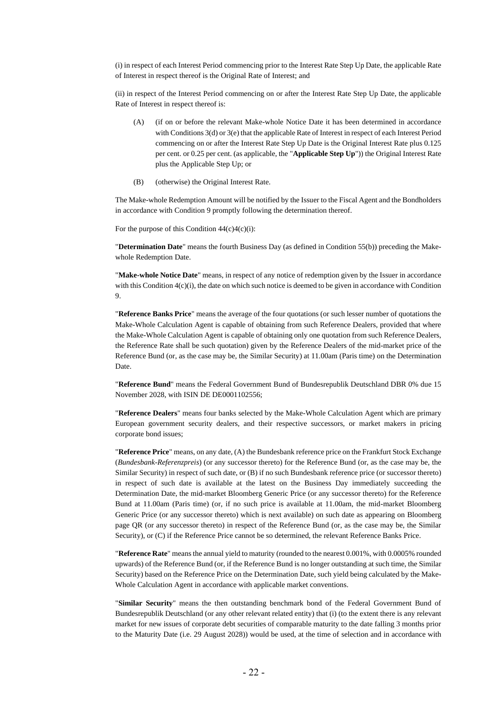(i) in respect of each Interest Period commencing prior to the Interest Rate Step Up Date, the applicable Rate of Interest in respect thereof is the Original Rate of Interest; and

(ii) in respect of the Interest Period commencing on or after the Interest Rate Step Up Date, the applicable Rate of Interest in respect thereof is:

- (A) (if on or before the relevant Make-whole Notice Date it has been determined in accordance with Conditions 3(d) or 3(e) that the applicable Rate of Interest in respect of each Interest Period commencing on or after the Interest Rate Step Up Date is the Original Interest Rate plus 0.125 per cent. or 0.25 per cent. (as applicable, the "**Applicable Step Up**")) the Original Interest Rate plus the Applicable Step Up; or
- (B) (otherwise) the Original Interest Rate.

The Make-whole Redemption Amount will be notified by the Issuer to the Fiscal Agent and the Bondholders in accordance with Conditio[n 9](#page-29-0) promptly following the determination thereof.

For the purpose of this Condition  $44(c)(i)$  $44(c)(i)$  $44(c)(i)$ :

"**Determination Date**" means the fourth Business Day (as defined in Conditio[n 5](#page-24-0)[5\(b\)\)](#page-24-1) preceding the Makewhole Redemption Date.

"**Make-whole Notice Date**" means, in respect of any notice of redemption given by the Issuer in accordance with this Condition  $4(c)(i)$ , the date on which such notice is deemed to be given in accordance with Condition 9.

"**Reference Banks Price**" means the average of the four quotations (or such lesser number of quotations the Make-Whole Calculation Agent is capable of obtaining from such Reference Dealers, provided that where the Make-Whole Calculation Agent is capable of obtaining only one quotation from such Reference Dealers, the Reference Rate shall be such quotation) given by the Reference Dealers of the mid-market price of the Reference Bund (or, as the case may be, the Similar Security) at 11.00am (Paris time) on the Determination Date.

"**Reference Bund**" means the Federal Government Bund of Bundesrepublik Deutschland DBR 0% due 15 November 2028, with ISIN DE DE0001102556;

"**Reference Dealers**" means four banks selected by the Make-Whole Calculation Agent which are primary European government security dealers, and their respective successors, or market makers in pricing corporate bond issues;

"**Reference Price**" means, on any date, (A) the Bundesbank reference price on the Frankfurt Stock Exchange (*Bundesbank-Referenzpreis*) (or any successor thereto) for the Reference Bund (or, as the case may be, the Similar Security) in respect of such date, or (B) if no such Bundesbank reference price (or successor thereto) in respect of such date is available at the latest on the Business Day immediately succeeding the Determination Date, the mid-market Bloomberg Generic Price (or any successor thereto) for the Reference Bund at 11.00am (Paris time) (or, if no such price is available at 11.00am, the mid-market Bloomberg Generic Price (or any successor thereto) which is next available) on such date as appearing on Bloomberg page QR (or any successor thereto) in respect of the Reference Bund (or, as the case may be, the Similar Security), or (C) if the Reference Price cannot be so determined, the relevant Reference Banks Price.

"**Reference Rate**" means the annual yield to maturity (rounded to the nearest 0.001%, with 0.0005% rounded upwards) of the Reference Bund (or, if the Reference Bund is no longer outstanding at such time, the Similar Security) based on the Reference Price on the Determination Date, such yield being calculated by the Make-Whole Calculation Agent in accordance with applicable market conventions.

"**Similar Security**" means the then outstanding benchmark bond of the Federal Government Bund of Bundesrepublik Deutschland (or any other relevant related entity) that (i) (to the extent there is any relevant market for new issues of corporate debt securities of comparable maturity to the date falling 3 months prior to the Maturity Date (i.e. 29 August 2028)) would be used, at the time of selection and in accordance with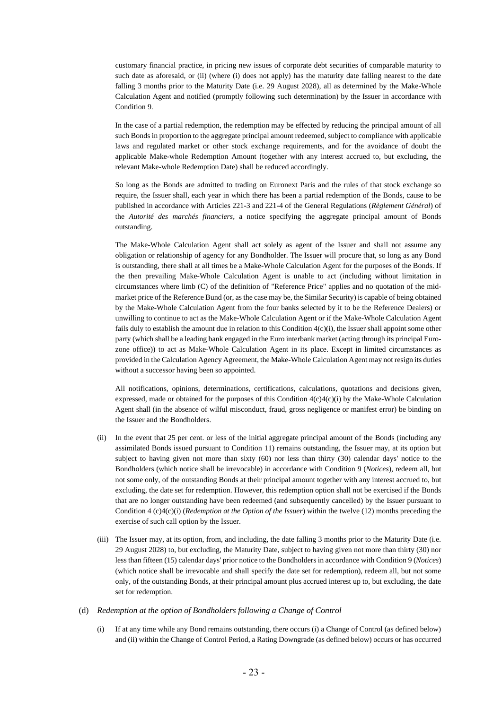customary financial practice, in pricing new issues of corporate debt securities of comparable maturity to such date as aforesaid, or (ii) (where (i) does not apply) has the maturity date falling nearest to the date falling 3 months prior to the Maturity Date (i.e. 29 August 2028), all as determined by the Make-Whole Calculation Agent and notified (promptly following such determination) by the Issuer in accordance with Condition [9.](#page-29-0)

In the case of a partial redemption, the redemption may be effected by reducing the principal amount of all such Bonds in proportion to the aggregate principal amount redeemed, subject to compliance with applicable laws and regulated market or other stock exchange requirements, and for the avoidance of doubt the applicable Make-whole Redemption Amount (together with any interest accrued to, but excluding, the relevant Make-whole Redemption Date) shall be reduced accordingly.

So long as the Bonds are admitted to trading on Euronext Paris and the rules of that stock exchange so require, the Issuer shall, each year in which there has been a partial redemption of the Bonds, cause to be published in accordance with Articles 221-3 and 221-4 of the General Regulations (*Règlement Général*) of the *Autorité des marchés financiers*, a notice specifying the aggregate principal amount of Bonds outstanding.

The Make-Whole Calculation Agent shall act solely as agent of the Issuer and shall not assume any obligation or relationship of agency for any Bondholder. The Issuer will procure that, so long as any Bond is outstanding, there shall at all times be a Make-Whole Calculation Agent for the purposes of the Bonds. If the then prevailing Make-Whole Calculation Agent is unable to act (including without limitation in circumstances where limb (C) of the definition of "Reference Price" applies and no quotation of the midmarket price of the Reference Bund (or, as the case may be, the Similar Security) is capable of being obtained by the Make-Whole Calculation Agent from the four banks selected by it to be the Reference Dealers) or unwilling to continue to act as the Make-Whole Calculation Agent or if the Make-Whole Calculation Agent fails duly to establish the amount due in relation to this Conditio[n 4](#page-19-0)[\(c\)\(](#page-20-1)i), the Issuer shall appoint some other party (which shall be a leading bank engaged in the Euro interbank market (acting through its principal Eurozone office)) to act as Make-Whole Calculation Agent in its place. Except in limited circumstances as provided in the Calculation Agency Agreement, the Make-Whole Calculation Agent may not resign its duties without a successor having been so appointed.

All notifications, opinions, determinations, certifications, calculations, quotations and decisions given, expressed, made or obtained for the purposes of this Condition  $4(c)4(c)(i)$  $4(c)4(c)(i)$  $4(c)4(c)(i)$  by the Make-Whole Calculation Agent shall (in the absence of wilful misconduct, fraud, gross negligence or manifest error) be binding on the Issuer and the Bondholders.

- <span id="page-22-0"></span>(ii) In the event that 25 per cent. or less of the initial aggregate principal amount of the Bonds (including any assimilated Bonds issued pursuant to Condition 11) remains outstanding, the Issuer may, at its option but subject to having given not more than sixty (60) nor less than thirty (30) calendar days' notice to the Bondholders (which notice shall be irrevocable) in accordance with Condition [9](#page-29-0) (*[Notices](#page-29-0)*), redeem all, but not some only, of the outstanding Bonds at their principal amount together with any interest accrued to, but excluding, the date set for redemption. However, this redemption option shall not be exercised if the Bonds that are no longer outstanding have been redeemed (and subsequently cancelled) by the Issuer pursuant to Condition [4 \(c\)](#page-20-1)[4\(c\)\(i\)](#page-20-2) (*Redemption at the Option of the Issuer*) within the twelve (12) months preceding the exercise of such call option by the Issuer.
- <span id="page-22-1"></span>(iii) The Issuer may, at its option, from, and including, the date falling 3 months prior to the Maturity Date (i.e. 29 August 2028) to, but excluding, the Maturity Date, subject to having given not more than thirty (30) nor less than fifteen (15) calendar days' prior notice to the Bondholders in accordance with Conditio[n 9](#page-29-0) (*[Notices](#page-29-0)*) (which notice shall be irrevocable and shall specify the date set for redemption), redeem all, but not some only, of the outstanding Bonds, at their principal amount plus accrued interest up to, but excluding, the date set for redemption.

#### <span id="page-22-2"></span>(d) *Redemption at the option of Bondholders following a Change of Control*

(i) If at any time while any Bond remains outstanding, there occurs (i) a Change of Control (as defined below) and (ii) within the Change of Control Period, a Rating Downgrade (as defined below) occurs or has occurred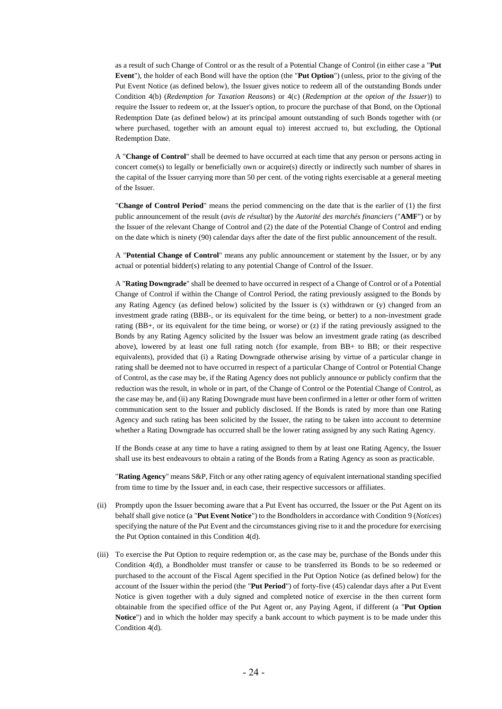as a result of such Change of Control or as the result of a Potential Change of Control (in either case a "**Put Event**"), the holder of each Bond will have the option (the "**Put Option**") (unless, prior to the giving of the Put Event Notice (as defined below), the Issuer gives notice to redeem all of the outstanding Bonds under Condition [4](#page-19-0)[\(b\)](#page-20-0) (*[Redemption for Taxation Reasons](#page-20-0)*) or 4(c) (*Redemption at the option of the Issuer*)) to require the Issuer to redeem or, at the Issuer's option, to procure the purchase of that Bond, on the Optional Redemption Date (as defined below) at its principal amount outstanding of such Bonds together with (or where purchased, together with an amount equal to) interest accrued to, but excluding, the Optional Redemption Date.

A "**Change of Control**" shall be deemed to have occurred at each time that any person or persons acting in concert come(s) to legally or beneficially own or acquire(s) directly or indirectly such number of shares in the capital of the Issuer carrying more than 50 per cent. of the voting rights exercisable at a general meeting of the Issuer.

"**Change of Control Period**" means the period commencing on the date that is the earlier of (1) the first public announcement of the result (*avis de résultat*) by the *Autorité des marchés financiers* ("**AMF**") or by the Issuer of the relevant Change of Control and (2) the date of the Potential Change of Control and ending on the date which is ninety (90) calendar days after the date of the first public announcement of the result.

A "**Potential Change of Control**" means any public announcement or statement by the Issuer, or by any actual or potential bidder(s) relating to any potential Change of Control of the Issuer.

A "**Rating Downgrade**" shall be deemed to have occurred in respect of a Change of Control or of a Potential Change of Control if within the Change of Control Period, the rating previously assigned to the Bonds by any Rating Agency (as defined below) solicited by the Issuer is  $(x)$  withdrawn or  $(y)$  changed from an investment grade rating (BBB-, or its equivalent for the time being, or better) to a non-investment grade rating (BB+, or its equivalent for the time being, or worse) or (z) if the rating previously assigned to the Bonds by any Rating Agency solicited by the Issuer was below an investment grade rating (as described above), lowered by at least one full rating notch (for example, from BB+ to BB; or their respective equivalents), provided that (i) a Rating Downgrade otherwise arising by virtue of a particular change in rating shall be deemed not to have occurred in respect of a particular Change of Control or Potential Change of Control, as the case may be, if the Rating Agency does not publicly announce or publicly confirm that the reduction was the result, in whole or in part, of the Change of Control or the Potential Change of Control, as the case may be, and (ii) any Rating Downgrade must have been confirmed in a letter or other form of written communication sent to the Issuer and publicly disclosed. If the Bonds is rated by more than one Rating Agency and such rating has been solicited by the Issuer, the rating to be taken into account to determine whether a Rating Downgrade has occurred shall be the lower rating assigned by any such Rating Agency.

If the Bonds cease at any time to have a rating assigned to them by at least one Rating Agency, the Issuer shall use its best endeavours to obtain a rating of the Bonds from a Rating Agency as soon as practicable.

"**Rating Agency**" means S&P, Fitch or any other rating agency of equivalent international standing specified from time to time by the Issuer and, in each case, their respective successors or affiliates.

- (ii) Promptly upon the Issuer becoming aware that a Put Event has occurred, the Issuer or the Put Agent on its behalf shall give notice (a "**Put Event Notice**") to the Bondholders in accordance with Conditio[n 9](#page-29-0) (*[Notices](#page-29-0)*) specifying the nature of the Put Event and the circumstances giving rise to it and the procedure for exercising the Put Option contained in this Conditio[n 4](#page-19-0)[\(d\).](#page-22-2)
- (iii) To exercise the Put Option to require redemption or, as the case may be, purchase of the Bonds under this Condition [4](#page-19-0)[\(d\),](#page-22-2) a Bondholder must transfer or cause to be transferred its Bonds to be so redeemed or purchased to the account of the Fiscal Agent specified in the Put Option Notice (as defined below) for the account of the Issuer within the period (the "**Put Period**") of forty-five (45) calendar days after a Put Event Notice is given together with a duly signed and completed notice of exercise in the then current form obtainable from the specified office of the Put Agent or, any Paying Agent, if different (a "**Put Option Notice**") and in which the holder may specify a bank account to which payment is to be made under this Condition [4](#page-19-0)[\(d\).](#page-22-2)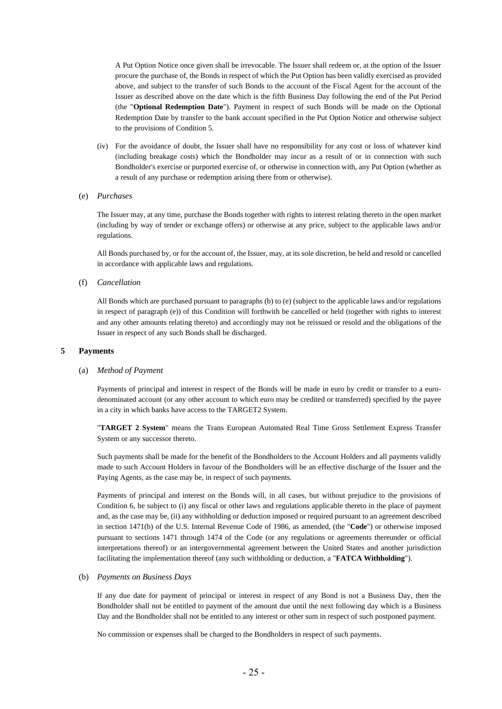A Put Option Notice once given shall be irrevocable. The Issuer shall redeem or, at the option of the Issuer procure the purchase of, the Bonds in respect of which the Put Option has been validly exercised as provided above, and subject to the transfer of such Bonds to the account of the Fiscal Agent for the account of the Issuer as described above on the date which is the fifth Business Day following the end of the Put Period (the "**Optional Redemption Date**"). Payment in respect of such Bonds will be made on the Optional Redemption Date by transfer to the bank account specified in the Put Option Notice and otherwise subject to the provisions of Condition [5.](#page-24-0)

- (iv) For the avoidance of doubt, the Issuer shall have no responsibility for any cost or loss of whatever kind (including breakage costs) which the Bondholder may incur as a result of or in connection with such Bondholder's exercise or purported exercise of, or otherwise in connection with, any Put Option (whether as a result of any purchase or redemption arising there from or otherwise).
- (e) *Purchases*

The Issuer may, at any time, purchase the Bonds together with rights to interest relating thereto in the open market (including by way of tender or exchange offers) or otherwise at any price, subject to the applicable laws and/or regulations.

All Bonds purchased by, or for the account of, the Issuer, may, at its sole discretion, be held and resold or cancelled in accordance with applicable laws and regulations.

(f) *Cancellation*

All Bonds which are purchased pursuant to paragraphs (b) to (e) (subject to the applicable laws and/or regulations in respect of paragraph (e)) of this Condition will forthwith be cancelled or held (together with rights to interest and any other amounts relating thereto) and accordingly may not be reissued or resold and the obligations of the Issuer in respect of any such Bonds shall be discharged.

#### <span id="page-24-0"></span>**5 Payments**

#### (a) *Method of Payment*

Payments of principal and interest in respect of the Bonds will be made in euro by credit or transfer to a eurodenominated account (or any other account to which euro may be credited or transferred) specified by the payee in a city in which banks have access to the TARGET2 System.

"**TARGET 2 System**" means the Trans European Automated Real Time Gross Settlement Express Transfer System or any successor thereto.

Such payments shall be made for the benefit of the Bondholders to the Account Holders and all payments validly made to such Account Holders in favour of the Bondholders will be an effective discharge of the Issuer and the Paying Agents, as the case may be, in respect of such payments.

Payments of principal and interest on the Bonds will, in all cases, but without prejudice to the provisions of Condition [6,](#page-25-0) be subject to (i) any fiscal or other laws and regulations applicable thereto in the place of payment and, as the case may be, (ii) any withholding or deduction imposed or required pursuant to an agreement described in section 1471(b) of the U.S. Internal Revenue Code of 1986, as amended, (the "**Code**") or otherwise imposed pursuant to sections 1471 through 1474 of the Code (or any regulations or agreements thereunder or official interpretations thereof) or an intergovernmental agreement between the United States and another jurisdiction facilitating the implementation thereof (any such withholding or deduction, a "**FATCA Withholding**").

#### <span id="page-24-1"></span>(b) *Payments on Business Days*

If any due date for payment of principal or interest in respect of any Bond is not a Business Day, then the Bondholder shall not be entitled to payment of the amount due until the next following day which is a Business Day and the Bondholder shall not be entitled to any interest or other sum in respect of such postponed payment.

No commission or expenses shall be charged to the Bondholders in respect of such payments.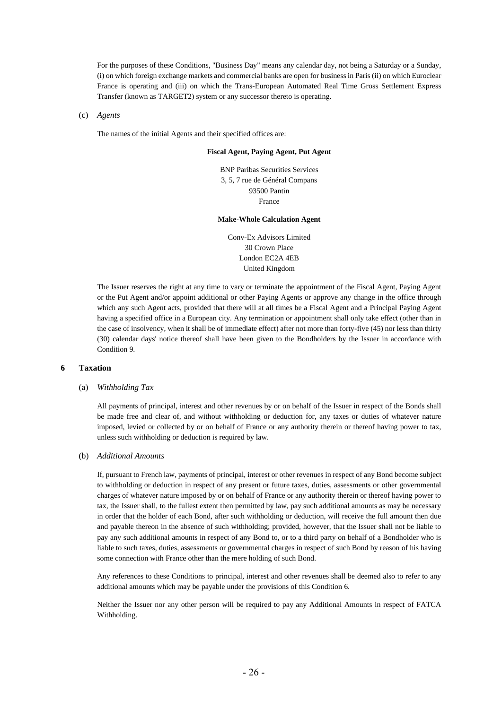For the purposes of these Conditions, "Business Day" means any calendar day, not being a Saturday or a Sunday, (i) on which foreign exchange markets and commercial banks are open for business in Paris (ii) on which Euroclear France is operating and (iii) on which the Trans-European Automated Real Time Gross Settlement Express Transfer (known as TARGET2) system or any successor thereto is operating.

#### (c) *Agents*

The names of the initial Agents and their specified offices are:

### **Fiscal Agent, Paying Agent, Put Agent**

BNP Paribas Securities Services 3, 5, 7 rue de Général Compans 93500 Pantin France

#### **Make-Whole Calculation Agent**

Conv-Ex Advisors Limited 30 Crown Place London EC2A 4EB United Kingdom

The Issuer reserves the right at any time to vary or terminate the appointment of the Fiscal Agent, Paying Agent or the Put Agent and/or appoint additional or other Paying Agents or approve any change in the office through which any such Agent acts, provided that there will at all times be a Fiscal Agent and a Principal Paying Agent having a specified office in a European city. Any termination or appointment shall only take effect (other than in the case of insolvency, when it shall be of immediate effect) after not more than forty-five (45) nor less than thirty (30) calendar days' notice thereof shall have been given to the Bondholders by the Issuer in accordance with Condition [9.](#page-29-0)

#### <span id="page-25-0"></span>**6 Taxation**

#### (a) *Withholding Tax*

All payments of principal, interest and other revenues by or on behalf of the Issuer in respect of the Bonds shall be made free and clear of, and without withholding or deduction for, any taxes or duties of whatever nature imposed, levied or collected by or on behalf of France or any authority therein or thereof having power to tax, unless such withholding or deduction is required by law.

#### (b) *Additional Amounts*

If, pursuant to French law, payments of principal, interest or other revenues in respect of any Bond become subject to withholding or deduction in respect of any present or future taxes, duties, assessments or other governmental charges of whatever nature imposed by or on behalf of France or any authority therein or thereof having power to tax, the Issuer shall, to the fullest extent then permitted by law, pay such additional amounts as may be necessary in order that the holder of each Bond, after such withholding or deduction, will receive the full amount then due and payable thereon in the absence of such withholding; provided, however, that the Issuer shall not be liable to pay any such additional amounts in respect of any Bond to, or to a third party on behalf of a Bondholder who is liable to such taxes, duties, assessments or governmental charges in respect of such Bond by reason of his having some connection with France other than the mere holding of such Bond.

Any references to these Conditions to principal, interest and other revenues shall be deemed also to refer to any additional amounts which may be payable under the provisions of this Condition [6.](#page-25-0) 

Neither the Issuer nor any other person will be required to pay any Additional Amounts in respect of FATCA Withholding.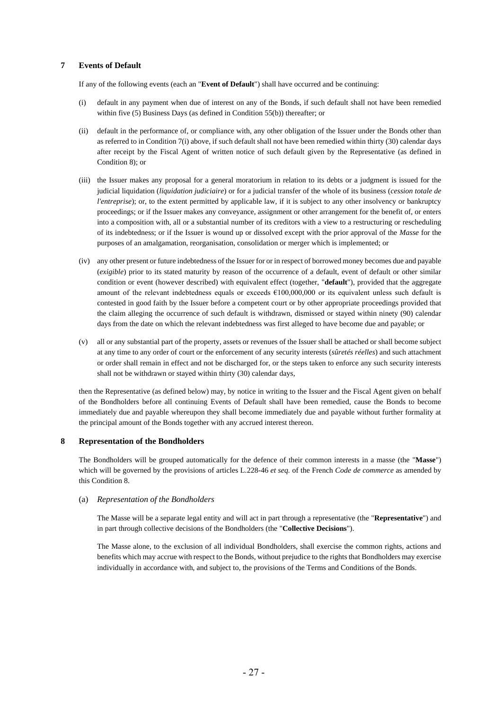## <span id="page-26-1"></span>**7 Events of Default**

If any of the following events (each an "**Event of Default**") shall have occurred and be continuing:

- <span id="page-26-2"></span>(i) default in any payment when due of interest on any of the Bonds, if such default shall not have been remedied within five (5) Business Days (as defined in Condition [5](#page-24-0)[5\(b\)\)](#page-24-1) thereafter; or
- (ii) default in the performance of, or compliance with, any other obligation of the Issuer under the Bonds other than as referred to in Conditio[n 7](#page-26-1)[\(i\)](#page-26-2) above, if such default shall not have been remedied within thirty (30) calendar days after receipt by the Fiscal Agent of written notice of such default given by the Representative (as defined in Conditio[n 8\)](#page-26-0); or
- (iii) the Issuer makes any proposal for a general moratorium in relation to its debts or a judgment is issued for the judicial liquidation (*liquidation judiciaire*) or for a judicial transfer of the whole of its business (*cession totale de l'entreprise*); or, to the extent permitted by applicable law, if it is subject to any other insolvency or bankruptcy proceedings; or if the Issuer makes any conveyance, assignment or other arrangement for the benefit of, or enters into a composition with, all or a substantial number of its creditors with a view to a restructuring or rescheduling of its indebtedness; or if the Issuer is wound up or dissolved except with the prior approval of the *Masse* for the purposes of an amalgamation, reorganisation, consolidation or merger which is implemented; or
- (iv) any other present or future indebtedness of the Issuer for or in respect of borrowed money becomes due and payable (*exigible*) prior to its stated maturity by reason of the occurrence of a default, event of default or other similar condition or event (however described) with equivalent effect (together, "**default**"), provided that the aggregate amount of the relevant indebtedness equals or exceeds  $\epsilon$ 100,000,000 or its equivalent unless such default is contested in good faith by the Issuer before a competent court or by other appropriate proceedings provided that the claim alleging the occurrence of such default is withdrawn, dismissed or stayed within ninety (90) calendar days from the date on which the relevant indebtedness was first alleged to have become due and payable; or
- (v) all or any substantial part of the property, assets or revenues of the Issuer shall be attached or shall become subject at any time to any order of court or the enforcement of any security interests (*sûretés réelles*) and such attachment or order shall remain in effect and not be discharged for, or the steps taken to enforce any such security interests shall not be withdrawn or stayed within thirty (30) calendar days,

then the Representative (as defined below) may, by notice in writing to the Issuer and the Fiscal Agent given on behalf of the Bondholders before all continuing Events of Default shall have been remedied, cause the Bonds to become immediately due and payable whereupon they shall become immediately due and payable without further formality at the principal amount of the Bonds together with any accrued interest thereon.

## <span id="page-26-0"></span>**8 Representation of the Bondholders**

The Bondholders will be grouped automatically for the defence of their common interests in a masse (the "**Masse**") which will be governed by the provisions of articles L.228-46 *et seq.* of the French *Code de commerce* as amended by this Condition 8.

#### (a) *Representation of the Bondholders*

The Masse will be a separate legal entity and will act in part through a representative (the "**Representative**") and in part through collective decisions of the Bondholders (the "**Collective Decisions**").

The Masse alone, to the exclusion of all individual Bondholders, shall exercise the common rights, actions and benefits which may accrue with respect to the Bonds, without prejudice to the rights that Bondholders may exercise individually in accordance with, and subject to, the provisions of the Terms and Conditions of the Bonds.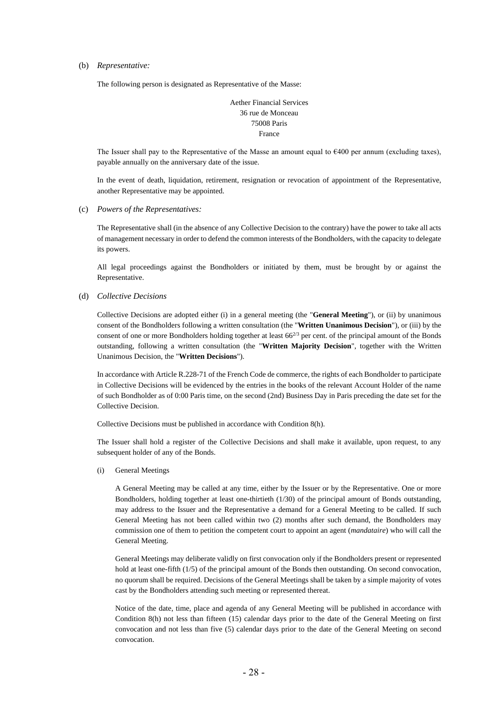(b) *Representative:* 

The following person is designated as Representative of the Masse:

Aether Financial Services 36 rue de Monceau 75008 Paris France

The Issuer shall pay to the Representative of the Masse an amount equal to  $\epsilon$ 400 per annum (excluding taxes), payable annually on the anniversary date of the issue.

In the event of death, liquidation, retirement, resignation or revocation of appointment of the Representative, another Representative may be appointed.

(c) *Powers of the Representatives:* 

The Representative shall (in the absence of any Collective Decision to the contrary) have the power to take all acts of management necessary in order to defend the common interests of the Bondholders, with the capacity to delegate its powers.

All legal proceedings against the Bondholders or initiated by them, must be brought by or against the Representative.

(d) *Collective Decisions*

Collective Decisions are adopted either (i) in a general meeting (the "**General Meeting**"), or (ii) by unanimous consent of the Bondholders following a written consultation (the "**Written Unanimous Decision**"), or (iii) by the consent of one or more Bondholders holding together at least  $66^{2/3}$  per cent. of the principal amount of the Bonds outstanding, following a written consultation (the "**Written Majority Decision**", together with the Written Unanimous Decision, the "**Written Decisions**").

In accordance with Article R.228-71 of the French Code de commerce, the rights of each Bondholder to participate in Collective Decisions will be evidenced by the entries in the books of the relevant Account Holder of the name of such Bondholder as of 0:00 Paris time, on the second (2nd) Business Day in Paris preceding the date set for the Collective Decision.

Collective Decisions must be published in accordance with Condition 8(h).

The Issuer shall hold a register of the Collective Decisions and shall make it available, upon request, to any subsequent holder of any of the Bonds.

(i) General Meetings

A General Meeting may be called at any time, either by the Issuer or by the Representative. One or more Bondholders, holding together at least one-thirtieth (1/30) of the principal amount of Bonds outstanding, may address to the Issuer and the Representative a demand for a General Meeting to be called. If such General Meeting has not been called within two (2) months after such demand, the Bondholders may commission one of them to petition the competent court to appoint an agent (*mandataire*) who will call the General Meeting.

General Meetings may deliberate validly on first convocation only if the Bondholders present or represented hold at least one-fifth (1/5) of the principal amount of the Bonds then outstanding. On second convocation, no quorum shall be required. Decisions of the General Meetings shall be taken by a simple majority of votes cast by the Bondholders attending such meeting or represented thereat.

Notice of the date, time, place and agenda of any General Meeting will be published in accordance with Condition 8(h) not less than fifteen (15) calendar days prior to the date of the General Meeting on first convocation and not less than five (5) calendar days prior to the date of the General Meeting on second convocation.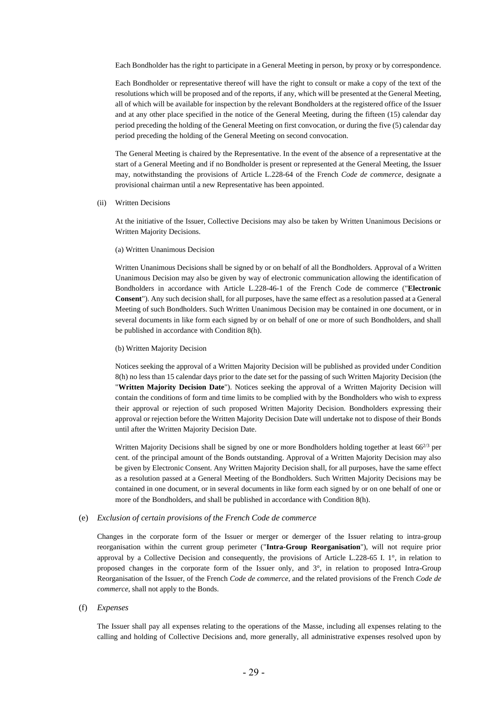Each Bondholder has the right to participate in a General Meeting in person, by proxy or by correspondence.

Each Bondholder or representative thereof will have the right to consult or make a copy of the text of the resolutions which will be proposed and of the reports, if any, which will be presented at the General Meeting, all of which will be available for inspection by the relevant Bondholders at the registered office of the Issuer and at any other place specified in the notice of the General Meeting, during the fifteen (15) calendar day period preceding the holding of the General Meeting on first convocation, or during the five (5) calendar day period preceding the holding of the General Meeting on second convocation.

The General Meeting is chaired by the Representative. In the event of the absence of a representative at the start of a General Meeting and if no Bondholder is present or represented at the General Meeting, the Issuer may, notwithstanding the provisions of Article L.228-64 of the French *Code de commerce*, designate a provisional chairman until a new Representative has been appointed.

(ii) Written Decisions

At the initiative of the Issuer, Collective Decisions may also be taken by Written Unanimous Decisions or Written Majority Decisions.

(a) Written Unanimous Decision

Written Unanimous Decisions shall be signed by or on behalf of all the Bondholders. Approval of a Written Unanimous Decision may also be given by way of electronic communication allowing the identification of Bondholders in accordance with Article L.228-46-1 of the French Code de commerce ("**Electronic Consent**"). Any such decision shall, for all purposes, have the same effect as a resolution passed at a General Meeting of such Bondholders. Such Written Unanimous Decision may be contained in one document, or in several documents in like form each signed by or on behalf of one or more of such Bondholders, and shall be published in accordance with Condition 8(h).

#### (b) Written Majority Decision

Notices seeking the approval of a Written Majority Decision will be published as provided under Condition 8(h) no less than 15 calendar days prior to the date set for the passing of such Written Majority Decision (the "**Written Majority Decision Date**"). Notices seeking the approval of a Written Majority Decision will contain the conditions of form and time limits to be complied with by the Bondholders who wish to express their approval or rejection of such proposed Written Majority Decision. Bondholders expressing their approval or rejection before the Written Majority Decision Date will undertake not to dispose of their Bonds until after the Written Majority Decision Date.

Written Majority Decisions shall be signed by one or more Bondholders holding together at least  $66^{2/3}$  per cent. of the principal amount of the Bonds outstanding. Approval of a Written Majority Decision may also be given by Electronic Consent. Any Written Majority Decision shall, for all purposes, have the same effect as a resolution passed at a General Meeting of the Bondholders. Such Written Majority Decisions may be contained in one document, or in several documents in like form each signed by or on one behalf of one or more of the Bondholders, and shall be published in accordance with Condition 8(h).

#### <span id="page-28-0"></span>(e) *Exclusion of certain provisions of the French Code de commerce*

Changes in the corporate form of the Issuer or merger or demerger of the Issuer relating to intra-group reorganisation within the current group perimeter ("**Intra-Group Reorganisation**"), will not require prior approval by a Collective Decision and consequently, the provisions of Article L.228-65 I. 1°, in relation to proposed changes in the corporate form of the Issuer only, and 3°, in relation to proposed Intra-Group Reorganisation of the Issuer, of the French *Code de commerce*, and the related provisions of the French *Code de commerce*, shall not apply to the Bonds.

#### (f) *Expenses*

The Issuer shall pay all expenses relating to the operations of the Masse, including all expenses relating to the calling and holding of Collective Decisions and, more generally, all administrative expenses resolved upon by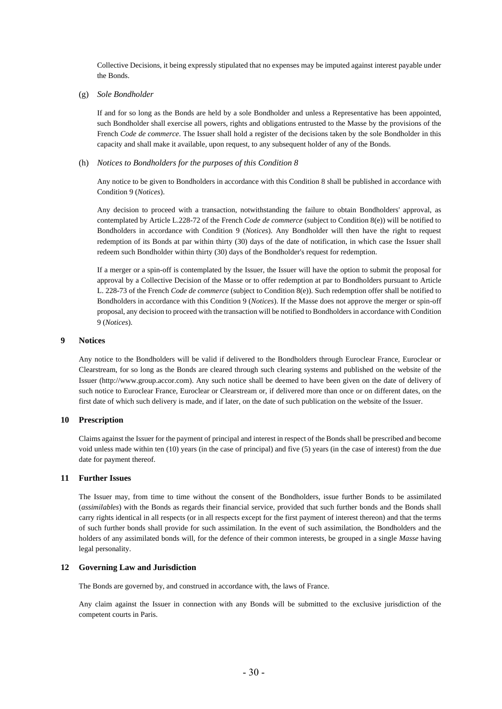Collective Decisions, it being expressly stipulated that no expenses may be imputed against interest payable under the Bonds.

(g) *Sole Bondholder*

If and for so long as the Bonds are held by a sole Bondholder and unless a Representative has been appointed, such Bondholder shall exercise all powers, rights and obligations entrusted to the Masse by the provisions of the French *Code de commerce*. The Issuer shall hold a register of the decisions taken by the sole Bondholder in this capacity and shall make it available, upon request, to any subsequent holder of any of the Bonds.

#### (h) *Notices to Bondholders for the purposes of this Condition 8*

Any notice to be given to Bondholders in accordance with this Condition 8 shall be published in accordance with Conditio[n 9](#page-29-0) (*[Notices](#page-29-0)*).

Any decision to proceed with a transaction, notwithstanding the failure to obtain Bondholders' approval, as contemplated by Article L.228-72 of the French *Code de commerce* (subject to Condition 8(e)) will be notified to Bondholders in accordance with Condition [9](#page-29-0) (*[Notices](#page-29-0)*). Any Bondholder will then have the right to request redemption of its Bonds at par within thirty (30) days of the date of notification, in which case the Issuer shall redeem such Bondholder within thirty (30) days of the Bondholder's request for redemption.

If a merger or a spin-off is contemplated by the Issuer, the Issuer will have the option to submit the proposal for approval by a Collective Decision of the Masse or to offer redemption at par to Bondholders pursuant to Article L. 228-73 of the French *Code de commerce* (subject to Condition 8(e)). Such redemption offer shall be notified to Bondholders in accordance with this Condition [9](#page-29-0) (*[Notices](#page-29-0)*). If the Masse does not approve the merger or spin-off proposal, any decision to proceed with the transaction will be notified to Bondholders in accordance with Condition [9](#page-29-0) (*[Notices](#page-29-0)*).

#### <span id="page-29-0"></span>**9 Notices**

Any notice to the Bondholders will be valid if delivered to the Bondholders through Euroclear France, Euroclear or Clearstream, for so long as the Bonds are cleared through such clearing systems and published on the website of the Issuer (http://www.group.accor.com). Any such notice shall be deemed to have been given on the date of delivery of such notice to Euroclear France, Euroclear or Clearstream or, if delivered more than once or on different dates, on the first date of which such delivery is made, and if later, on the date of such publication on the website of the Issuer.

#### **10 Prescription**

Claims against the Issuer for the payment of principal and interest in respect of the Bonds shall be prescribed and become void unless made within ten (10) years (in the case of principal) and five (5) years (in the case of interest) from the due date for payment thereof.

#### **11 Further Issues**

The Issuer may, from time to time without the consent of the Bondholders, issue further Bonds to be assimilated (*assimilables*) with the Bonds as regards their financial service, provided that such further bonds and the Bonds shall carry rights identical in all respects (or in all respects except for the first payment of interest thereon) and that the terms of such further bonds shall provide for such assimilation. In the event of such assimilation, the Bondholders and the holders of any assimilated bonds will, for the defence of their common interests, be grouped in a single *Masse* having legal personality.

#### **12 Governing Law and Jurisdiction**

The Bonds are governed by, and construed in accordance with, the laws of France.

Any claim against the Issuer in connection with any Bonds will be submitted to the exclusive jurisdiction of the competent courts in Paris.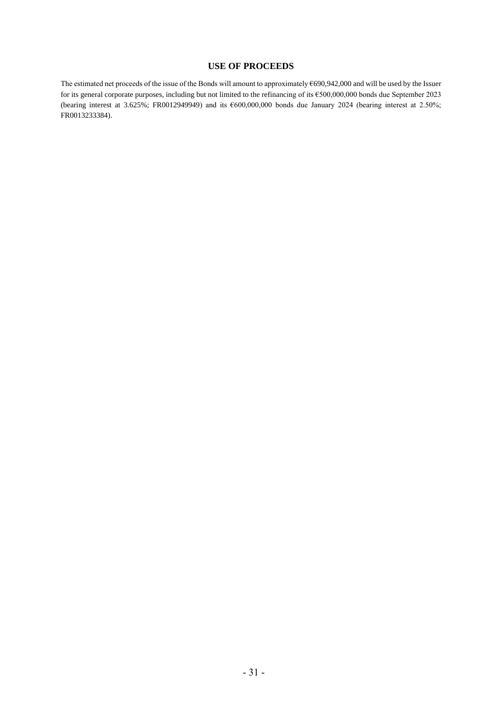## **USE OF PROCEEDS**

The estimated net proceeds of the issue of the Bonds will amount to approximately €690,942,000 and will be used by the Issuer for its general corporate purposes, including but not limited to the refinancing of its €500,000,000 bonds due September 2023 (bearing interest at 3.625%; FR0012949949) and its €600,000,000 bonds due January 2024 (bearing interest at 2.50%; FR0013233384).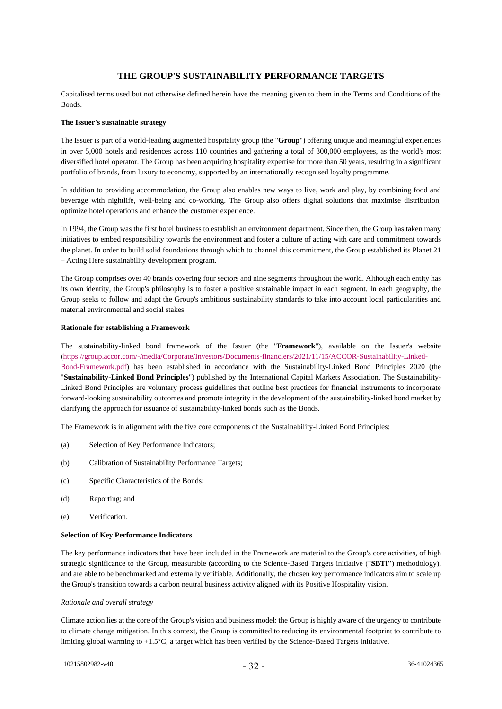## **THE GROUP'S SUSTAINABILITY PERFORMANCE TARGETS**

Capitalised terms used but not otherwise defined herein have the meaning given to them in the Terms and Conditions of the Bonds.

#### **The Issuer's sustainable strategy**

The Issuer is part of a world-leading augmented hospitality group (the "**Group**") offering unique and meaningful experiences in over 5,000 hotels and residences across 110 countries and gathering a total of 300,000 employees, as the world's most diversified hotel operator. The Group has been acquiring hospitality expertise for more than 50 years, resulting in a significant portfolio of brands, from luxury to economy, supported by an internationally recognised loyalty programme.

In addition to providing accommodation, the Group also enables new ways to live, work and play, by combining food and beverage with nightlife, well-being and co-working. The Group also offers digital solutions that maximise distribution, optimize hotel operations and enhance the customer experience.

In 1994, the Group was the first hotel business to establish an environment department. Since then, the Group has taken many initiatives to embed responsibility towards the environment and foster a culture of acting with care and commitment towards the planet. In order to build solid foundations through which to channel this commitment, the Group established its Planet 21 – Acting Here sustainability development program.

The Group comprises over 40 brands covering four sectors and nine segments throughout the world. Although each entity has its own identity, the Group's philosophy is to foster a positive sustainable impact in each segment. In each geography, the Group seeks to follow and adapt the Group's ambitious sustainability standards to take into account local particularities and material environmental and social stakes.

#### **Rationale for establishing a Framework**

The sustainability-linked bond framework of the Issuer (the "**Framework**"), available on the Issuer's website [\(https://group.accor.com/-/media/Corporate/Investors/Documents-financiers/2021/11/15/ACCOR-Sustainability-Linked-](https://group.accor.com/-/media/Corporate/Investors/Documents-financiers/2021/11/15/ACCOR-Sustainability-Linked-Bond-Framework.pdf)[Bond-Framework.pdf\)](https://group.accor.com/-/media/Corporate/Investors/Documents-financiers/2021/11/15/ACCOR-Sustainability-Linked-Bond-Framework.pdf) has been established in accordance with the Sustainability-Linked Bond Principles 2020 (the "**Sustainability-Linked Bond Principles**") published by the International Capital Markets Association. The Sustainability-Linked Bond Principles are voluntary process guidelines that outline best practices for financial instruments to incorporate forward-looking sustainability outcomes and promote integrity in the development of the sustainability-linked bond market by clarifying the approach for issuance of sustainability-linked bonds such as the Bonds.

The Framework is in alignment with the five core components of the Sustainability-Linked Bond Principles:

- (a) Selection of Key Performance Indicators;
- (b) Calibration of Sustainability Performance Targets;
- (c) Specific Characteristics of the Bonds;
- (d) Reporting; and
- (e) Verification.

### **Selection of Key Performance Indicators**

The key performance indicators that have been included in the Framework are material to the Group's core activities, of high strategic significance to the Group, measurable (according to the Science-Based Targets initiative ("**SBTi"**) methodology), and are able to be benchmarked and externally verifiable. Additionally, the chosen key performance indicators aim to scale up the Group's transition towards a carbon neutral business activity aligned with its Positive Hospitality vision.

#### *Rationale and overall strategy*

Climate action lies at the core of the Group's vision and business model: the Group is highly aware of the urgency to contribute to climate change mitigation. In this context, the Group is committed to reducing its environmental footprint to contribute to limiting global warming to +1.5°C; a target which has been verified by the Science-Based Targets initiative.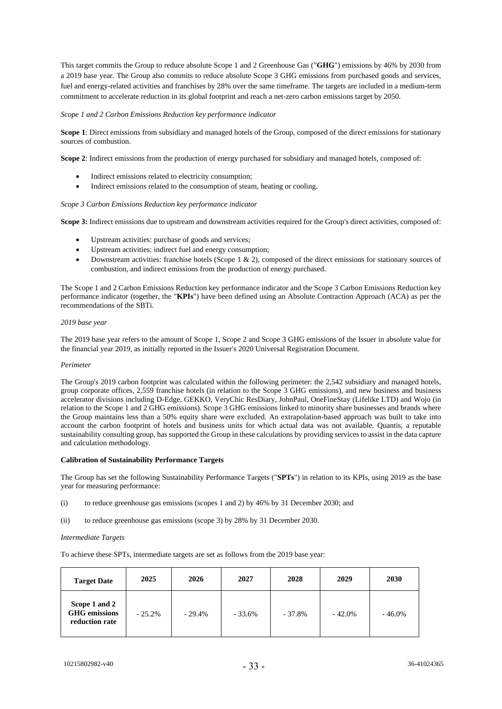This target commits the Group to reduce absolute Scope 1 and 2 Greenhouse Gas ("**GHG**") emissions by 46% by 2030 from a 2019 base year. The Group also commits to reduce absolute Scope 3 GHG emissions from purchased goods and services, fuel and energy-related activities and franchises by 28% over the same timeframe. The targets are included in a medium-term commitment to accelerate reduction in its global footprint and reach a net-zero carbon emissions target by 2050.

#### *Scope 1 and 2 Carbon Emissions Reduction key performance indicator*

**Scope 1**: Direct emissions from subsidiary and managed hotels of the Group, composed of the direct emissions for stationary sources of combustion.

**Scope 2**: Indirect emissions from the production of energy purchased for subsidiary and managed hotels, composed of:

- Indirect emissions related to electricity consumption;
- Indirect emissions related to the consumption of steam, heating or cooling.

#### *Scope 3 Carbon Emissions Reduction key performance indicator*

**Scope 3:** Indirect emissions due to upstream and downstream activities required for the Group's direct activities, composed of:

- Upstream activities: purchase of goods and services;
- Upstream activities: indirect fuel and energy consumption;
- Downstream activities: franchise hotels (Scope 1 & 2), composed of the direct emissions for stationary sources of combustion, and indirect emissions from the production of energy purchased.

The Scope 1 and 2 Carbon Emissions Reduction key performance indicator and the Scope 3 Carbon Emissions Reduction key performance indicator (together, the "**KPIs**") have been defined using an Absolute Contraction Approach (ACA) as per the recommendations of the SBTi.

#### *2019 base year*

The 2019 base year refers to the amount of Scope 1, Scope 2 and Scope 3 GHG emissions of the Issuer in absolute value for the financial year 2019, as initially reported in the Issuer's 2020 Universal Registration Document.

#### *Perimeter*

The Group's 2019 carbon footprint was calculated within the following perimeter: the 2,542 subsidiary and managed hotels, group corporate offices, 2,559 franchise hotels (in relation to the Scope 3 GHG emissions), and new business and business accelerator divisions including D-Edge, GEKKO, VeryChic ResDiary, JohnPaul, OneFineStay (Lifelike LTD) and Wojo (in relation to the Scope 1 and 2 GHG emissions). Scope 3 GHG emissions linked to minority share businesses and brands where the Group maintains less than a 50% equity share were excluded. An extrapolation-based approach was built to take into account the carbon footprint of hotels and business units for which actual data was not available. Quantis, a reputable sustainability consulting group, has supported the Group in these calculations by providing services to assist in the data capture and calculation methodology.

#### **Calibration of Sustainability Performance Targets**

The Group has set the following Sustainability Performance Targets ("**SPTs**") in relation to its KPIs, using 2019 as the base year for measuring performance:

- (i) to reduce greenhouse gas emissions (scopes 1 and 2) by 46% by 31 December 2030; and
- (ii) to reduce greenhouse gas emissions (scope 3) by 28% by 31 December 2030.

#### *Intermediate Targets*

To achieve these SPTs, intermediate targets are set as follows from the 2019 base year:

| <b>Target Date</b>                                      | 2025      | 2026     | 2027     | 2028      | 2029      | 2030      |
|---------------------------------------------------------|-----------|----------|----------|-----------|-----------|-----------|
| Scope 1 and 2<br><b>GHG</b> emissions<br>reduction rate | $-25.2\%$ | $-29.4%$ | $-33.6%$ | $-37.8\%$ | $-42.0\%$ | $-46.0\%$ |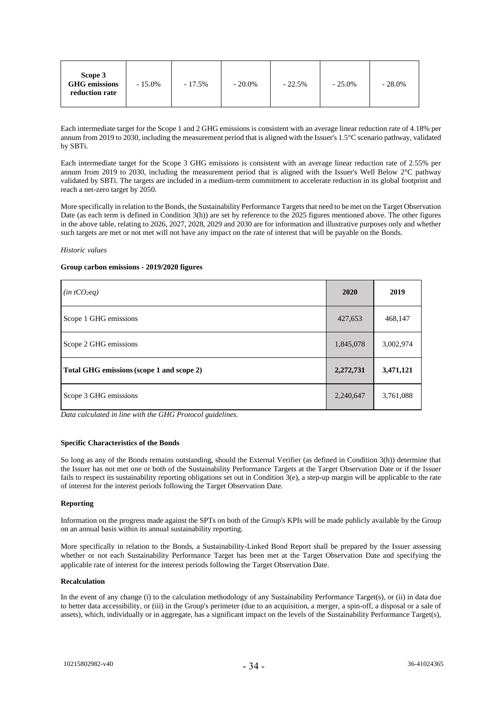| Scope 3<br><b>GHG</b> emissions<br>reduction rate | $-15.0\%$ | $-17.5%$ | $-20.0\%$ | $-22.5%$ | $-25.0\%$ | $-28.0\%$ |
|---------------------------------------------------|-----------|----------|-----------|----------|-----------|-----------|
|---------------------------------------------------|-----------|----------|-----------|----------|-----------|-----------|

Each intermediate target for the Scope 1 and 2 GHG emissions is consistent with an average linear reduction rate of 4.18% per annum from 2019 to 2030, including the measurement period that is aligned with the Issuer's 1.5°C scenario pathway, validated by SBTi.

Each intermediate target for the Scope 3 GHG emissions is consistent with an average linear reduction rate of 2.55% per annum from 2019 to 2030, including the measurement period that is aligned with the Issuer's Well Below 2°C pathway validated by SBTi. The targets are included in a medium-term commitment to accelerate reduction in its global footprint and reach a net-zero target by 2050.

More specifically in relation to the Bonds, the Sustainability Performance Targets that need to be met on the Target Observation Date (as each term is defined in Condition 3(h)) are set by reference to the 2025 figures mentioned above. The other figures in the above table, relating to 2026, 2027, 2028, 2029 and 2030 are for information and illustrative purposes only and whether such targets are met or not met will not have any impact on the rate of interest that will be payable on the Bonds.

#### *Historic values*

#### **Group carbon emissions - 2019/2020 figures**

| $(in tCO_2eq)$                            | 2020      | 2019      |
|-------------------------------------------|-----------|-----------|
| Scope 1 GHG emissions                     | 427,653   | 468,147   |
| Scope 2 GHG emissions                     | 1,845,078 | 3,002,974 |
| Total GHG emissions (scope 1 and scope 2) | 2,272,731 | 3,471,121 |
| Scope 3 GHG emissions                     | 2,240,647 | 3,761,088 |

*Data calculated in line with the GHG Protocol guidelines.*

#### **Specific Characteristics of the Bonds**

So long as any of the Bonds remains outstanding, should the External Verifier (as defined in Condition 3(h)) determine that the Issuer has not met one or both of the Sustainability Performance Targets at the Target Observation Date or if the Issuer fails to respect its sustainability reporting obligations set out in Condition 3(e), a step-up margin will be applicable to the rate of interest for the interest periods following the Target Observation Date.

#### **Reporting**

Information on the progress made against the SPTs on both of the Group's KPIs will be made publicly available by the Group on an annual basis within its annual sustainability reporting.

More specifically in relation to the Bonds, a Sustainability-Linked Bond Report shall be prepared by the Issuer assessing whether or not each Sustainability Performance Target has been met at the Target Observation Date and specifying the applicable rate of interest for the interest periods following the Target Observation Date.

#### **Recalculation**

In the event of any change (i) to the calculation methodology of any Sustainability Performance Target(s), or (ii) in data due to better data accessibility, or (iii) in the Group's perimeter (due to an acquisition, a merger, a spin-off, a disposal or a sale of assets), which, individually or in aggregate, has a significant impact on the levels of the Sustainability Performance Target(s),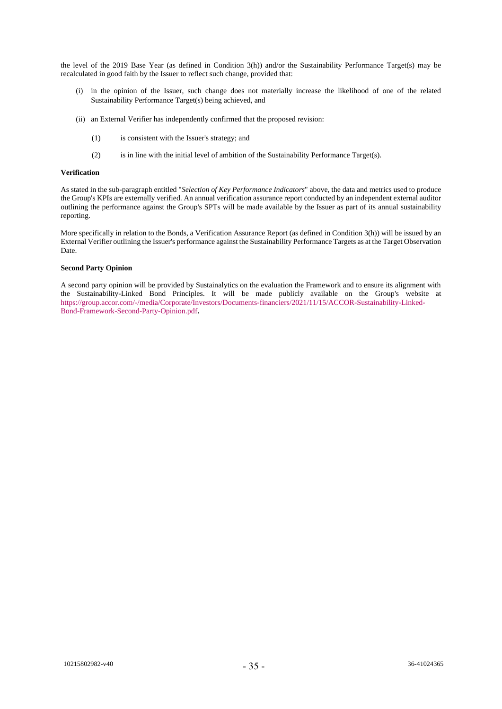the level of the 2019 Base Year (as defined in Condition 3(h)) and/or the Sustainability Performance Target(s) may be recalculated in good faith by the Issuer to reflect such change, provided that:

- (i) in the opinion of the Issuer, such change does not materially increase the likelihood of one of the related Sustainability Performance Target(s) being achieved, and
- (ii) an External Verifier has independently confirmed that the proposed revision:
	- (1) is consistent with the Issuer's strategy; and
	- (2) is in line with the initial level of ambition of the Sustainability Performance Target(s).

#### **Verification**

As stated in the sub-paragraph entitled "*Selection of Key Performance Indicators*" above, the data and metrics used to produce the Group's KPIs are externally verified. An annual verification assurance report conducted by an independent external auditor outlining the performance against the Group's SPTs will be made available by the Issuer as part of its annual sustainability reporting.

More specifically in relation to the Bonds, a Verification Assurance Report (as defined in Condition 3(h)) will be issued by an External Verifier outlining the Issuer's performance against the Sustainability Performance Targets as at the Target Observation Date.

#### **Second Party Opinion**

A second party opinion will be provided by Sustainalytics on the evaluation the Framework and to ensure its alignment with the Sustainability-Linked Bond Principles. It will be made publicly available on the Group's website at [https://group.accor.com/-/media/Corporate/Investors/Documents-financiers/2021/11/15/ACCOR-Sustainability-Linked-](https://group.accor.com/-/media/Corporate/Investors/Documents-financiers/2021/11/15/ACCOR-Sustainability-Linked-Bond-Framework-Second-Party-Opinion.pdf)[Bond-Framework-Second-Party-Opinion.pdf](https://group.accor.com/-/media/Corporate/Investors/Documents-financiers/2021/11/15/ACCOR-Sustainability-Linked-Bond-Framework-Second-Party-Opinion.pdf)**.**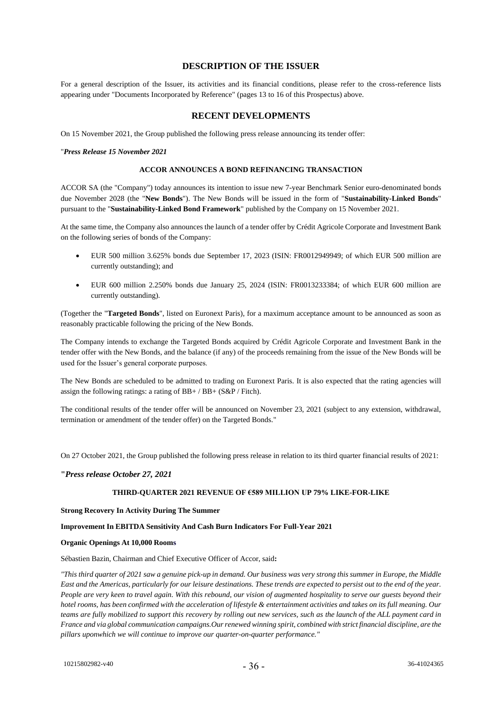## **DESCRIPTION OF THE ISSUER**

For a general description of the Issuer, its activities and its financial conditions, please refer to the cross-reference lists appearing under "Documents Incorporated by Reference" (pages 13 to 16 of this Prospectus) above.

## **RECENT DEVELOPMENTS**

On 15 November 2021, the Group published the following press release announcing its tender offer:

#### "*Press Release 15 November 2021*

#### **ACCOR ANNOUNCES A BOND REFINANCING TRANSACTION**

ACCOR SA (the "Company") today announces its intention to issue new 7-year Benchmark Senior euro-denominated bonds due November 2028 (the "**New Bonds**"). The New Bonds will be issued in the form of "**Sustainability-Linked Bonds**" pursuant to the "**Sustainability-Linked Bond Framework**" published by the Company on 15 November 2021.

At the same time, the Company also announces the launch of a tender offer by Crédit Agricole Corporate and Investment Bank on the following series of bonds of the Company:

- EUR 500 million 3.625% bonds due September 17, 2023 (ISIN: FR0012949949; of which EUR 500 million are currently outstanding); and
- EUR 600 million 2.250% bonds due January 25, 2024 (ISIN: FR0013233384; of which EUR 600 million are currently outstanding).

(Together the "**Targeted Bonds**", listed on Euronext Paris), for a maximum acceptance amount to be announced as soon as reasonably practicable following the pricing of the New Bonds.

The Company intends to exchange the Targeted Bonds acquired by Crédit Agricole Corporate and Investment Bank in the tender offer with the New Bonds, and the balance (if any) of the proceeds remaining from the issue of the New Bonds will be used for the Issuer's general corporate purposes.

The New Bonds are scheduled to be admitted to trading on Euronext Paris. It is also expected that the rating agencies will assign the following ratings: a rating of BB+ / BB+ (S&P / Fitch).

The conditional results of the tender offer will be announced on November 23, 2021 (subject to any extension, withdrawal, termination or amendment of the tender offer) on the Targeted Bonds."

On 27 October 2021, the Group published the following press release in relation to its third quarter financial results of 2021:

#### **"***Press release October 27, 2021*

#### **THIRD-QUARTER 2021 REVENUE OF €589 MILLION UP 79% LIKE-FOR-LIKE**

#### **Strong Recovery In Activity During The Summer**

#### **Improvement In EBITDA Sensitivity And Cash Burn Indicators For Full-Year 2021**

#### **Organic Openings At 10,000 Rooms**

Sébastien Bazin, Chairman and Chief Executive Officer of Accor, said**:**

*"This third quarter of 2021 saw a genuine pick-up in demand. Our business was very strong this summer in Europe, the Middle East and the Americas, particularly for our leisure destinations. These trends are expected to persist out to the end of the year. People are very keen to travel again. With this rebound, our vision of augmented hospitality to serve our guests beyond their hotel rooms, has been confirmed with the acceleration of lifestyle & entertainment activities and takes on its full meaning. Our teams are fully mobilized to support this recovery by rolling out new services, such as the launch of the ALL payment card in* France and via global communication campaigns. Our renewed winning spirit, combined with strict financial discipline, are the *pillars uponwhich we will continue to improve our quarter-on-quarter performance."*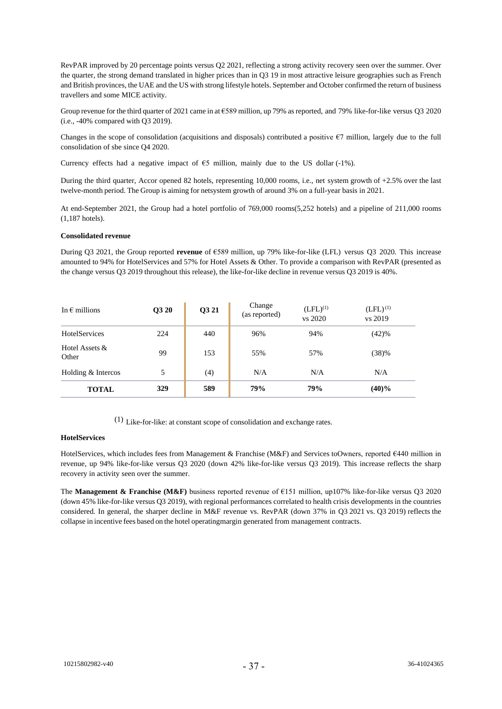RevPAR improved by 20 percentage points versus Q2 2021, reflecting a strong activity recovery seen over the summer. Over the quarter, the strong demand translated in higher prices than in Q3 19 in most attractive leisure geographies such as French and British provinces, the UAE and the US with strong lifestyle hotels. September and October confirmed the return of business travellers and some MICE activity.

Group revenue for the third quarter of 2021 came in at  $6589$  million, up 79% as reported, and 79% like-for-like versus O3 2020 (i.e., -40% compared with Q3 2019).

Changes in the scope of consolidation (acquisitions and disposals) contributed a positive €7 million, largely due to the full consolidation of sbe since Q4 2020.

Currency effects had a negative impact of €5 million, mainly due to the US dollar (-1%).

During the third quarter, Accor opened 82 hotels, representing 10,000 rooms, i.e., net system growth of +2.5% over the last twelve-month period. The Group is aiming for netsystem growth of around 3% on a full-year basis in 2021.

At end-September 2021, the Group had a hotel portfolio of 769,000 rooms(5,252 hotels) and a pipeline of 211,000 rooms (1,187 hotels).

#### **Consolidated revenue**

During Q3 2021, the Group reported **revenue** of €589 million, up 79% like-for-like (LFL) versus Q3 2020. This increase amounted to 94% for HotelServices and 57% for Hotel Assets & Other. To provide a comparison with RevPAR (presented as the change versus Q3 2019 throughout this release), the like-for-like decline in revenue versus Q3 2019 is 40%.

| In $\epsilon$ millions  | <b>O3 20</b> | <b>O3 21</b> | Change<br>(as reported) | $(LFL)^{(1)}$<br>vs 2020 | $(LFL)^{(1)}$<br>vs 2019 |
|-------------------------|--------------|--------------|-------------------------|--------------------------|--------------------------|
| <b>HotelServices</b>    | 224          | 440          | 96%                     | 94%                      | (42)%                    |
| Hotel Assets &<br>Other | 99           | 153          | 55%                     | 57%                      | (38)%                    |
| Holding & Intercos      | 5            | (4)          | N/A                     | N/A                      | N/A                      |
| TOTAL                   | 329          | 589          | 79%                     | 79%                      | $(40)\%$                 |

(1) Like-for-like: at constant scope of consolidation and exchange rates.

### **HotelServices**

HotelServices, which includes fees from Management & Franchise (M&F) and Services toOwners, reported €440 million in revenue, up 94% like-for-like versus Q3 2020 (down 42% like-for-like versus Q3 2019). This increase reflects the sharp recovery in activity seen over the summer.

The **Management & Franchise (M&F)** business reported revenue of €151 million, up107% like-for-like versus Q3 2020 (down 45% like-for-like versus Q3 2019), with regional performances correlated to health crisis developments in the countries considered. In general, the sharper decline in M&F revenue vs. RevPAR (down 37% in Q3 2021 vs. Q3 2019) reflects the collapse in incentive fees based on the hotel operatingmargin generated from management contracts.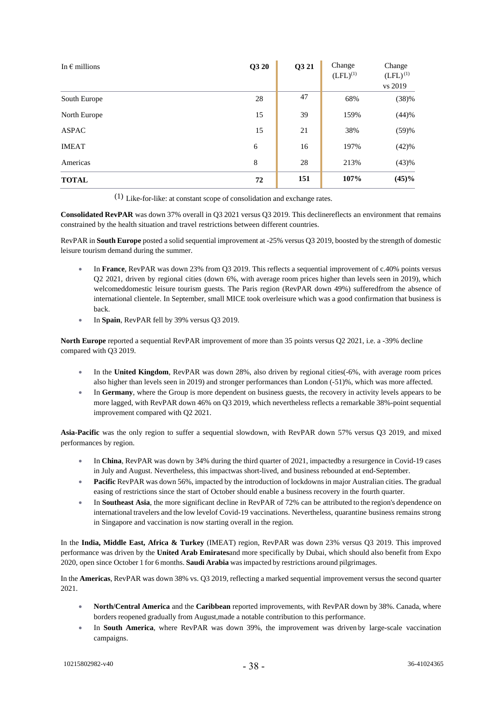| In $\epsilon$ millions | Q3 20 | Q3 21 | Change<br>$(LFL)^{(1)}$ | Change<br>$(LFL)^{(1)}$<br>vs 2019 |
|------------------------|-------|-------|-------------------------|------------------------------------|
| South Europe           | 28    | 47    | 68%                     | (38)%                              |
| North Europe           | 15    | 39    | 159%                    | (44)%                              |
| <b>ASPAC</b>           | 15    | 21    | 38%                     | (59)%                              |
| <b>IMEAT</b>           | 6     | 16    | 197%                    | (42)%                              |
| Americas               | 8     | 28    | 213%                    | (43)%                              |
| <b>TOTAL</b>           | 72    | 151   | 107%                    | (45)%                              |

(1) Like-for-like: at constant scope of consolidation and exchange rates.

**Consolidated RevPAR** was down 37% overall in Q3 2021 versus Q3 2019. This declinereflects an environment that remains constrained by the health situation and travel restrictions between different countries.

RevPAR in **South Europe** posted a solid sequential improvement at -25% versus Q3 2019, boosted by the strength of domestic leisure tourism demand during the summer.

- In **France**, RevPAR was down 23% from Q3 2019. This reflects a sequential improvement of c.40% points versus Q2 2021, driven by regional cities (down 6%, with average room prices higher than levels seen in 2019), which welcomeddomestic leisure tourism guests. The Paris region (RevPAR down 49%) sufferedfrom the absence of international clientele. In September, small MICE took overleisure which was a good confirmation that business is back.
- In **Spain**, RevPAR fell by 39% versus Q3 2019.

**North Europe** reported a sequential RevPAR improvement of more than 35 points versus Q2 2021, i.e. a -39% decline compared with Q3 2019.

- In the **United Kingdom**, RevPAR was down 28%, also driven by regional cities(-6%, with average room prices also higher than levels seen in 2019) and stronger performances than London (-51)%, which was more affected.
- In **Germany**, where the Group is more dependent on business guests, the recovery in activity levels appears to be more lagged, with RevPAR down 46% on Q3 2019, which nevertheless reflects a remarkable 38%-point sequential improvement compared with Q2 2021.

**Asia-Pacific** was the only region to suffer a sequential slowdown, with RevPAR down 57% versus Q3 2019, and mixed performances by region.

- In **China**, RevPAR was down by 34% during the third quarter of 2021, impactedby a resurgence in Covid-19 cases in July and August. Nevertheless, this impactwas short-lived, and business rebounded at end-September.
- **Pacific** RevPAR was down 56%, impacted by the introduction of lockdowns in major Australian cities. The gradual easing of restrictions since the start of October should enable a business recovery in the fourth quarter.
- In **Southeast Asia**, the more significant decline in RevPAR of 72% can be attributed to the region's dependence on international travelers and the low levelof Covid-19 vaccinations. Nevertheless, quarantine business remains strong in Singapore and vaccination is now starting overall in the region.

In the **India, Middle East, Africa & Turkey** (IMEAT) region, RevPAR was down 23% versus Q3 2019. This improved performance was driven by the **United Arab Emirates**and more specifically by Dubai, which should also benefit from Expo 2020, open since October 1 for 6 months. **Saudi Arabia** wasimpacted by restrictions around pilgrimages.

In the **Americas**, RevPAR was down 38% vs. Q3 2019, reflecting a marked sequential improvement versus the second quarter 2021.

- **North/Central America** and the **Caribbean** reported improvements, with RevPAR down by 38%. Canada, where borders reopened gradually from August,made a notable contribution to this performance.
- In **South America**, where RevPAR was down 39%, the improvement was driven by large-scale vaccination campaigns.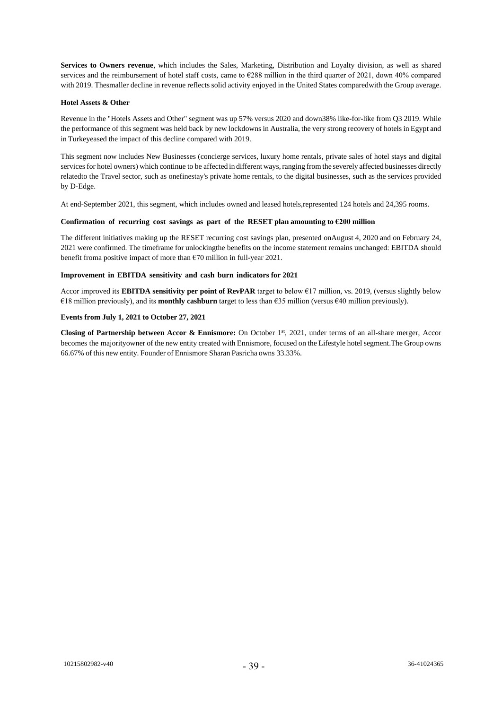**Services to Owners revenue**, which includes the Sales, Marketing, Distribution and Loyalty division, as well as shared services and the reimbursement of hotel staff costs, came to  $\epsilon$ 288 million in the third quarter of 2021, down 40% compared with 2019. Thesmaller decline in revenue reflects solid activity enjoyed in the United States comparedwith the Group average.

#### **Hotel Assets & Other**

Revenue in the "Hotels Assets and Other" segment was up 57% versus 2020 and down38% like-for-like from Q3 2019. While the performance of this segment was held back by new lockdowns in Australia, the very strong recovery of hotels in Egypt and in Turkeyeased the impact of this decline compared with 2019.

This segment now includes New Businesses (concierge services, luxury home rentals, private sales of hotel stays and digital services for hotel owners) which continue to be affected in different ways, ranging from the severely affected businesses directly relatedto the Travel sector, such as onefinestay's private home rentals, to the digital businesses, such as the services provided by D-Edge.

At end-September 2021, this segment, which includes owned and leased hotels,represented 124 hotels and 24,395 rooms.

#### **Confirmation of recurring cost savings as part of the RESET plan amounting to €200 million**

The different initiatives making up the RESET recurring cost savings plan, presented onAugust 4, 2020 and on February 24, 2021 were confirmed. The timeframe for unlockingthe benefits on the income statement remains unchanged: EBITDA should benefit froma positive impact of more than  $\epsilon$ 70 million in full-year 2021.

#### **Improvement in EBITDA sensitivity and cash burn indicators for 2021**

Accor improved its **EBITDA sensitivity per point of RevPAR** target to below €17 million, vs. 2019, (versus slightly below €18 million previously), and its **monthly cashburn** target to less than €35 million (versus €40 million previously).

#### **Events from July 1, 2021 to October 27, 2021**

**Closing of Partnership between Accor & Ennismore:** On October 1st, 2021, under terms of an all-share merger, Accor becomes the majorityowner of the new entity created with Ennismore, focused on the Lifestyle hotel segment.The Group owns 66.67% of this new entity. Founder of Ennismore Sharan Pasricha owns 33.33%.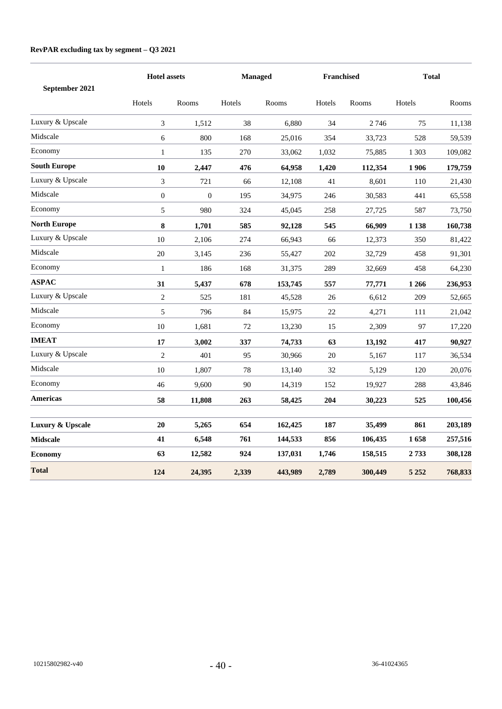## **RevPAR excluding tax by segment – Q3 2021**

| September 2021      |                  | <b>Hotel assets</b> |        | <b>Managed</b> |        | Franchised |         | <b>Total</b> |  |
|---------------------|------------------|---------------------|--------|----------------|--------|------------|---------|--------------|--|
|                     | Hotels           | Rooms               | Hotels | Rooms          | Hotels | Rooms      | Hotels  | Rooms        |  |
| Luxury & Upscale    | 3                | 1,512               | 38     | 6,880          | 34     | 2746       | 75      | 11,138       |  |
| Midscale            | 6                | 800                 | 168    | 25,016         | 354    | 33,723     | 528     | 59,539       |  |
| Economy             | $\mathbf{1}$     | 135                 | 270    | 33,062         | 1,032  | 75,885     | 1 3 0 3 | 109,082      |  |
| <b>South Europe</b> | 10               | 2,447               | 476    | 64,958         | 1,420  | 112,354    | 1906    | 179,759      |  |
| Luxury & Upscale    | 3                | 721                 | 66     | 12,108         | 41     | 8,601      | 110     | 21,430       |  |
| Midscale            | $\boldsymbol{0}$ | $\boldsymbol{0}$    | 195    | 34,975         | 246    | 30,583     | 441     | 65,558       |  |
| Economy             | 5                | 980                 | 324    | 45,045         | 258    | 27,725     | 587     | 73,750       |  |
| <b>North Europe</b> | 8                | 1,701               | 585    | 92,128         | 545    | 66,909     | 1 1 38  | 160,738      |  |
| Luxury & Upscale    | 10               | 2,106               | 274    | 66,943         | 66     | 12,373     | 350     | 81,422       |  |
| Midscale            | 20               | 3,145               | 236    | 55,427         | 202    | 32,729     | 458     | 91,301       |  |
| Economy             | 1                | 186                 | 168    | 31,375         | 289    | 32,669     | 458     | 64,230       |  |
| <b>ASPAC</b>        | 31               | 5,437               | 678    | 153,745        | 557    | 77,771     | 1 2 6 6 | 236,953      |  |
| Luxury & Upscale    | $\sqrt{2}$       | 525                 | 181    | 45,528         | 26     | 6,612      | 209     | 52,665       |  |
| Midscale            | 5                | 796                 | 84     | 15,975         | 22     | 4,271      | 111     | 21,042       |  |
| Economy             | 10               | 1,681               | 72     | 13,230         | 15     | 2,309      | 97      | 17,220       |  |
| <b>IMEAT</b>        | 17               | 3,002               | 337    | 74,733         | 63     | 13,192     | 417     | 90,927       |  |
| Luxury & Upscale    | $\sqrt{2}$       | 401                 | 95     | 30,966         | 20     | 5,167      | 117     | 36,534       |  |
| Midscale            | $10\,$           | 1,807               | 78     | 13,140         | 32     | 5,129      | 120     | 20,076       |  |
| Economy             | 46               | 9,600               | 90     | 14,319         | 152    | 19,927     | 288     | 43,846       |  |
| <b>Americas</b>     | 58               | 11,808              | 263    | 58,425         | 204    | 30,223     | 525     | 100,456      |  |
| Luxury & Upscale    | 20               | 5,265               | 654    | 162,425        | 187    | 35,499     | 861     | 203,189      |  |
| <b>Midscale</b>     | 41               | 6,548               | 761    | 144,533        | 856    | 106,435    | 1658    | 257,516      |  |
| <b>Economy</b>      | 63               | 12,582              | 924    | 137,031        | 1,746  | 158,515    | 2733    | 308,128      |  |
| <b>Total</b>        | 124              | 24,395              | 2,339  | 443,989        | 2,789  | 300,449    | 5 2 5 2 | 768,833      |  |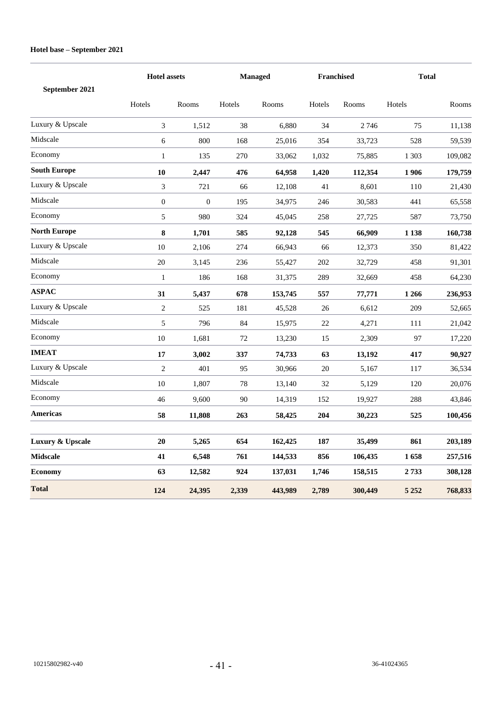## **Hotel base – September 2021**

| September 2021      |                  | <b>Hotel assets</b> |        | <b>Managed</b> |        | <b>Franchised</b> | <b>Total</b> |         |
|---------------------|------------------|---------------------|--------|----------------|--------|-------------------|--------------|---------|
|                     | Hotels           | Rooms               | Hotels | Rooms          | Hotels | Rooms             | Hotels       | Rooms   |
| Luxury & Upscale    | 3                | 1,512               | 38     | 6,880          | 34     | 2746              | 75           | 11,138  |
| Midscale            | 6                | 800                 | 168    | 25,016         | 354    | 33,723            | 528          | 59,539  |
| Economy             | 1                | 135                 | 270    | 33,062         | 1,032  | 75,885            | 1 3 0 3      | 109,082 |
| <b>South Europe</b> | 10               | 2,447               | 476    | 64,958         | 1,420  | 112,354           | 1906         | 179,759 |
| Luxury & Upscale    | 3                | 721                 | 66     | 12,108         | 41     | 8,601             | 110          | 21,430  |
| Midscale            | $\boldsymbol{0}$ | $\boldsymbol{0}$    | 195    | 34,975         | 246    | 30,583            | 441          | 65,558  |
| Economy             | 5                | 980                 | 324    | 45,045         | 258    | 27,725            | 587          | 73,750  |
| <b>North Europe</b> | 8                | 1,701               | 585    | 92,128         | 545    | 66,909            | 1 1 3 8      | 160,738 |
| Luxury & Upscale    | 10               | 2,106               | 274    | 66,943         | 66     | 12,373            | 350          | 81,422  |
| Midscale            | 20               | 3,145               | 236    | 55,427         | 202    | 32,729            | 458          | 91,301  |
| Economy             | $\mathbf{1}$     | 186                 | 168    | 31,375         | 289    | 32,669            | 458          | 64,230  |
| <b>ASPAC</b>        | 31               | 5,437               | 678    | 153,745        | 557    | 77,771            | 1 2 6 6      | 236,953 |
| Luxury & Upscale    | $\mathbf{2}$     | 525                 | 181    | 45,528         | 26     | 6,612             | 209          | 52,665  |
| Midscale            | 5                | 796                 | 84     | 15,975         | 22     | 4,271             | 111          | 21,042  |
| Economy             | 10               | 1,681               | 72     | 13,230         | 15     | 2,309             | 97           | 17,220  |
| <b>IMEAT</b>        | 17               | 3,002               | 337    | 74,733         | 63     | 13,192            | 417          | 90,927  |
| Luxury & Upscale    | $\mathbf{2}$     | 401                 | 95     | 30,966         | 20     | 5,167             | 117          | 36,534  |
| Midscale            | 10               | 1,807               | 78     | 13,140         | 32     | 5,129             | 120          | 20,076  |
| Economy             | 46               | 9,600               | 90     | 14,319         | 152    | 19,927            | 288          | 43,846  |
| Americas            | 58               | 11,808              | 263    | 58,425         | 204    | 30,223            | 525          | 100,456 |
| Luxury & Upscale    | 20               | 5,265               | 654    | 162,425        | 187    | 35,499            | 861          | 203,189 |
| <b>Midscale</b>     | 41               | 6,548               | 761    | 144,533        | 856    | 106,435           | 1658         | 257,516 |
| <b>Economy</b>      | 63               | 12,582              | 924    | 137,031        | 1,746  | 158,515           | 2733         | 308,128 |
| <b>Total</b>        | 124              | 24,395              | 2,339  | 443,989        | 2,789  | 300,449           | 5 2 5 2      | 768,833 |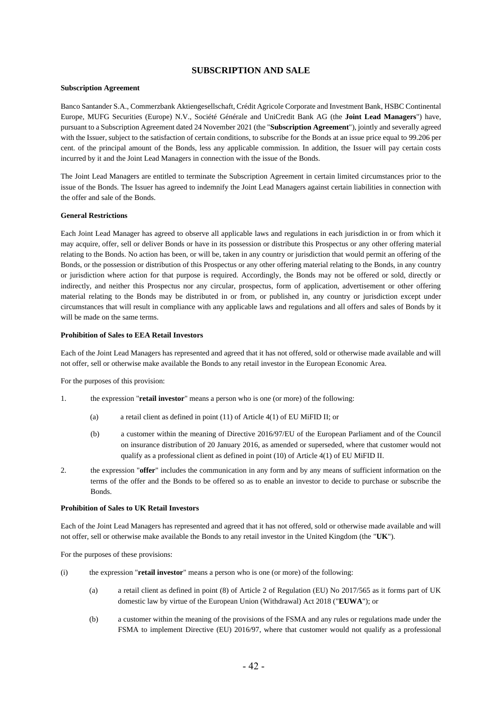## **SUBSCRIPTION AND SALE**

#### **Subscription Agreement**

Banco Santander S.A., Commerzbank Aktiengesellschaft, Crédit Agricole Corporate and Investment Bank, HSBC Continental Europe, MUFG Securities (Europe) N.V., Société Générale and UniCredit Bank AG (the **Joint Lead Managers**") have, pursuant to a Subscription Agreement dated 24 November 2021 (the "**Subscription Agreement**"), jointly and severally agreed with the Issuer, subject to the satisfaction of certain conditions, to subscribe for the Bonds at an issue price equal to 99.206 per cent. of the principal amount of the Bonds, less any applicable commission. In addition, the Issuer will pay certain costs incurred by it and the Joint Lead Managers in connection with the issue of the Bonds.

The Joint Lead Managers are entitled to terminate the Subscription Agreement in certain limited circumstances prior to the issue of the Bonds. The Issuer has agreed to indemnify the Joint Lead Managers against certain liabilities in connection with the offer and sale of the Bonds.

#### **General Restrictions**

Each Joint Lead Manager has agreed to observe all applicable laws and regulations in each jurisdiction in or from which it may acquire, offer, sell or deliver Bonds or have in its possession or distribute this Prospectus or any other offering material relating to the Bonds. No action has been, or will be, taken in any country or jurisdiction that would permit an offering of the Bonds, or the possession or distribution of this Prospectus or any other offering material relating to the Bonds, in any country or jurisdiction where action for that purpose is required. Accordingly, the Bonds may not be offered or sold, directly or indirectly, and neither this Prospectus nor any circular, prospectus, form of application, advertisement or other offering material relating to the Bonds may be distributed in or from, or published in, any country or jurisdiction except under circumstances that will result in compliance with any applicable laws and regulations and all offers and sales of Bonds by it will be made on the same terms.

#### **Prohibition of Sales to EEA Retail Investors**

Each of the Joint Lead Managers has represented and agreed that it has not offered, sold or otherwise made available and will not offer, sell or otherwise make available the Bonds to any retail investor in the European Economic Area.

For the purposes of this provision:

- 1. the expression "**retail investor**" means a person who is one (or more) of the following:
	- (a) a retail client as defined in point (11) of Article 4(1) of EU MiFID II; or
	- (b) a customer within the meaning of Directive 2016/97/EU of the European Parliament and of the Council on insurance distribution of 20 January 2016, as amended or superseded, where that customer would not qualify as a professional client as defined in point (10) of Article 4(1) of EU MiFID II.
- 2. the expression "**offer**" includes the communication in any form and by any means of sufficient information on the terms of the offer and the Bonds to be offered so as to enable an investor to decide to purchase or subscribe the Bonds.

#### **Prohibition of Sales to UK Retail Investors**

Each of the Joint Lead Managers has represented and agreed that it has not offered, sold or otherwise made available and will not offer, sell or otherwise make available the Bonds to any retail investor in the United Kingdom (the "**UK**").

For the purposes of these provisions:

- (i) the expression "**retail investor**" means a person who is one (or more) of the following:
	- (a) a retail client as defined in point (8) of Article 2 of Regulation (EU) No 2017/565 as it forms part of UK domestic law by virtue of the European Union (Withdrawal) Act 2018 ("**EUWA**"); or
	- (b) a customer within the meaning of the provisions of the FSMA and any rules or regulations made under the FSMA to implement Directive (EU) 2016/97, where that customer would not qualify as a professional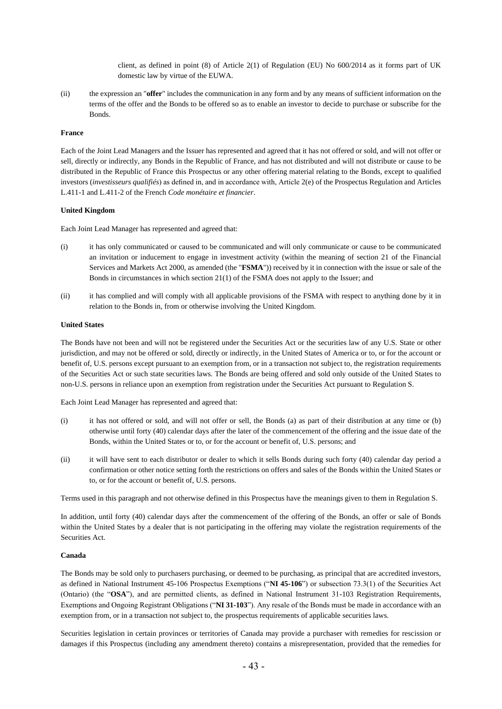client, as defined in point (8) of Article 2(1) of Regulation (EU) No 600/2014 as it forms part of UK domestic law by virtue of the EUWA.

(ii) the expression an "**offer**" includes the communication in any form and by any means of sufficient information on the terms of the offer and the Bonds to be offered so as to enable an investor to decide to purchase or subscribe for the Bonds.

#### **France**

Each of the Joint Lead Managers and the Issuer has represented and agreed that it has not offered or sold, and will not offer or sell, directly or indirectly, any Bonds in the Republic of France, and has not distributed and will not distribute or cause to be distributed in the Republic of France this Prospectus or any other offering material relating to the Bonds, except to qualified investors (*investisseurs qualifiés*) as defined in, and in accordance with, Article 2(e) of the Prospectus Regulation and Articles L.411-1 and L.411-2 of the French *Code monétaire et financier*.

#### **United Kingdom**

Each Joint Lead Manager has represented and agreed that:

- (i) it has only communicated or caused to be communicated and will only communicate or cause to be communicated an invitation or inducement to engage in investment activity (within the meaning of section 21 of the Financial Services and Markets Act 2000, as amended (the "**FSMA**")) received by it in connection with the issue or sale of the Bonds in circumstances in which section 21(1) of the FSMA does not apply to the Issuer; and
- (ii) it has complied and will comply with all applicable provisions of the FSMA with respect to anything done by it in relation to the Bonds in, from or otherwise involving the United Kingdom.

#### **United States**

The Bonds have not been and will not be registered under the Securities Act or the securities law of any U.S. State or other jurisdiction, and may not be offered or sold, directly or indirectly, in the United States of America or to, or for the account or benefit of, U.S. persons except pursuant to an exemption from, or in a transaction not subject to, the registration requirements of the Securities Act or such state securities laws. The Bonds are being offered and sold only outside of the United States to non-U.S. persons in reliance upon an exemption from registration under the Securities Act pursuant to Regulation S.

Each Joint Lead Manager has represented and agreed that:

- (i) it has not offered or sold, and will not offer or sell, the Bonds (a) as part of their distribution at any time or (b) otherwise until forty (40) calendar days after the later of the commencement of the offering and the issue date of the Bonds, within the United States or to, or for the account or benefit of, U.S. persons; and
- (ii) it will have sent to each distributor or dealer to which it sells Bonds during such forty (40) calendar day period a confirmation or other notice setting forth the restrictions on offers and sales of the Bonds within the United States or to, or for the account or benefit of, U.S. persons.

Terms used in this paragraph and not otherwise defined in this Prospectus have the meanings given to them in Regulation S.

In addition, until forty (40) calendar days after the commencement of the offering of the Bonds, an offer or sale of Bonds within the United States by a dealer that is not participating in the offering may violate the registration requirements of the Securities Act.

#### **Canada**

The Bonds may be sold only to purchasers purchasing, or deemed to be purchasing, as principal that are accredited investors, as defined in National Instrument 45-106 Prospectus Exemptions ("**NI 45-106**") or subsection 73.3(1) of the Securities Act (Ontario) (the "**OSA**"), and are permitted clients, as defined in National Instrument 31-103 Registration Requirements, Exemptions and Ongoing Registrant Obligations ("**NI 31-103**"). Any resale of the Bonds must be made in accordance with an exemption from, or in a transaction not subject to, the prospectus requirements of applicable securities laws.

Securities legislation in certain provinces or territories of Canada may provide a purchaser with remedies for rescission or damages if this Prospectus (including any amendment thereto) contains a misrepresentation, provided that the remedies for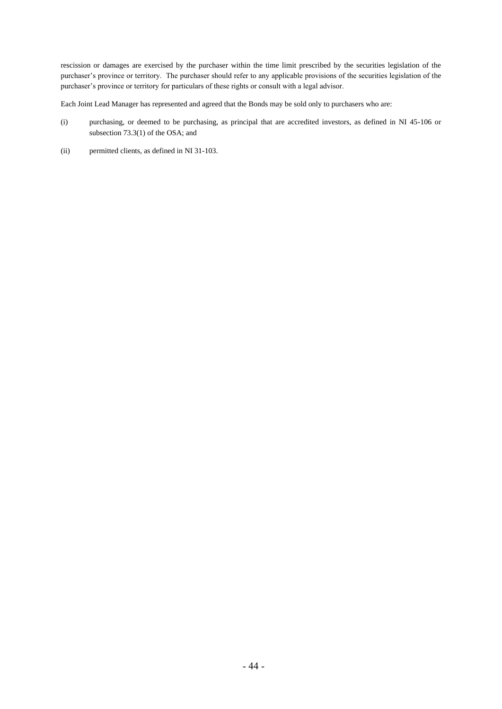rescission or damages are exercised by the purchaser within the time limit prescribed by the securities legislation of the purchaser's province or territory. The purchaser should refer to any applicable provisions of the securities legislation of the purchaser's province or territory for particulars of these rights or consult with a legal advisor.

Each Joint Lead Manager has represented and agreed that the Bonds may be sold only to purchasers who are:

- (i) purchasing, or deemed to be purchasing, as principal that are accredited investors, as defined in NI 45-106 or subsection 73.3(1) of the OSA; and
- (ii) permitted clients, as defined in NI 31-103.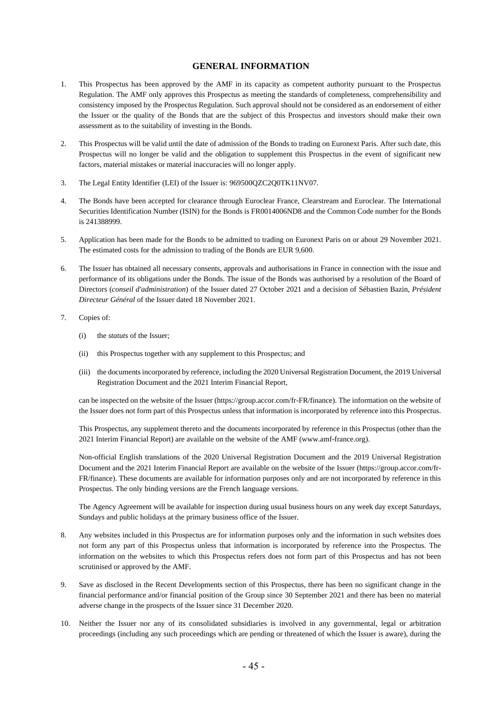## **GENERAL INFORMATION**

- 1. This Prospectus has been approved by the AMF in its capacity as competent authority pursuant to the Prospectus Regulation. The AMF only approves this Prospectus as meeting the standards of completeness, comprehensibility and consistency imposed by the Prospectus Regulation. Such approval should not be considered as an endorsement of either the Issuer or the quality of the Bonds that are the subject of this Prospectus and investors should make their own assessment as to the suitability of investing in the Bonds.
- 2. This Prospectus will be valid until the date of admission of the Bonds to trading on Euronext Paris. After such date, this Prospectus will no longer be valid and the obligation to supplement this Prospectus in the event of significant new factors, material mistakes or material inaccuracies will no longer apply.
- 3. The Legal Entity Identifier (LEI) of the Issuer is: 969500QZC2Q0TK11NV07.
- 4. The Bonds have been accepted for clearance through Euroclear France, Clearstream and Euroclear. The International Securities Identification Number (ISIN) for the Bonds is FR0014006ND8 and the Common Code number for the Bonds is 241388999.
- 5. Application has been made for the Bonds to be admitted to trading on Euronext Paris on or about 29 November 2021. The estimated costs for the admission to trading of the Bonds are EUR 9,600.
- 6. The Issuer has obtained all necessary consents, approvals and authorisations in France in connection with the issue and performance of its obligations under the Bonds. The issue of the Bonds was authorised by a resolution of the Board of Directors (*conseil d'administration*) of the Issuer dated 27 October 2021 and a decision of Sébastien Bazin, *Président Directeur Général* of the Issuer dated 18 November 2021.
- 7. Copies of:
	- (i) the *statuts* of the Issuer;
	- (ii) this Prospectus together with any supplement to this Prospectus; and
	- (iii) the documents incorporated by reference, including the 2020 Universal Registration Document, the 2019 Universal Registration Document and the 2021 Interim Financial Report,

can be inspected on the website of the Issuer [\(https://group.accor.com/fr-FR/finance\)](https://group.accor.com/fr-FR/finance). The information on the website of the Issuer does not form part of this Prospectus unless that information is incorporated by reference into this Prospectus.

This Prospectus, any supplement thereto and the documents incorporated by reference in this Prospectus (other than the 2021 Interim Financial Report) are available on the website of the AMF [\(www.amf-france.org\)](http://www.amf-france.org/).

Non-official English translations of the 2020 Universal Registration Document and the 2019 Universal Registration Document and the 2021 Interim Financial Report are available on the website of the Issuer [\(https://group.accor.com/fr-](https://group.accor.com/fr-FR/finance)[FR/finance\)](https://group.accor.com/fr-FR/finance). These documents are available for information purposes only and are not incorporated by reference in this Prospectus. The only binding versions are the French language versions.

The Agency Agreement will be available for inspection during usual business hours on any week day except Saturdays, Sundays and public holidays at the primary business office of the Issuer.

- 8. Any websites included in this Prospectus are for information purposes only and the information in such websites does not form any part of this Prospectus unless that information is incorporated by reference into the Prospectus. The information on the websites to which this Prospectus refers does not form part of this Prospectus and has not been scrutinised or approved by the AMF.
- 9. Save as disclosed in the Recent Developments section of this Prospectus, there has been no significant change in the financial performance and/or financial position of the Group since 30 September 2021 and there has been no material adverse change in the prospects of the Issuer since 31 December 2020.
- 10. Neither the Issuer nor any of its consolidated subsidiaries is involved in any governmental, legal or arbitration proceedings (including any such proceedings which are pending or threatened of which the Issuer is aware), during the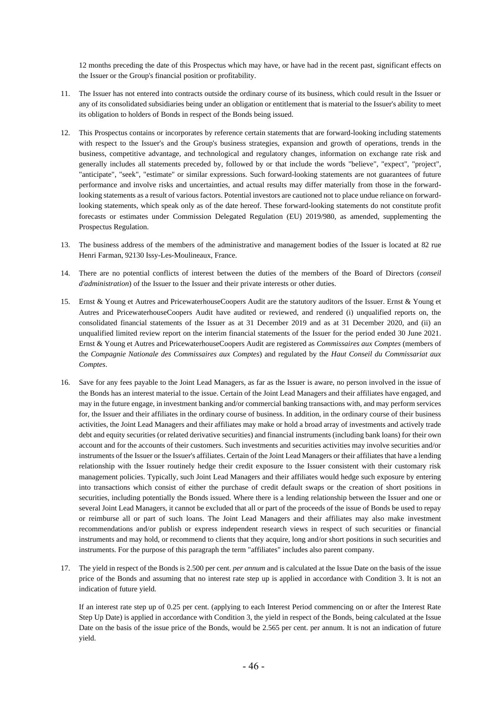12 months preceding the date of this Prospectus which may have, or have had in the recent past, significant effects on the Issuer or the Group's financial position or profitability.

- 11. The Issuer has not entered into contracts outside the ordinary course of its business, which could result in the Issuer or any of its consolidated subsidiaries being under an obligation or entitlement that is material to the Issuer's ability to meet its obligation to holders of Bonds in respect of the Bonds being issued.
- 12. This Prospectus contains or incorporates by reference certain statements that are forward-looking including statements with respect to the Issuer's and the Group's business strategies, expansion and growth of operations, trends in the business, competitive advantage, and technological and regulatory changes, information on exchange rate risk and generally includes all statements preceded by, followed by or that include the words "believe", "expect", "project", "anticipate", "seek", "estimate" or similar expressions. Such forward-looking statements are not guarantees of future performance and involve risks and uncertainties, and actual results may differ materially from those in the forwardlooking statements as a result of various factors. Potential investors are cautioned not to place undue reliance on forwardlooking statements, which speak only as of the date hereof. These forward-looking statements do not constitute profit forecasts or estimates under Commission Delegated Regulation (EU) 2019/980, as amended, supplementing the Prospectus Regulation.
- 13. The business address of the members of the administrative and management bodies of the Issuer is located at 82 rue Henri Farman, 92130 Issy-Les-Moulineaux, France.
- 14. There are no potential conflicts of interest between the duties of the members of the Board of Directors (*conseil d'administration*) of the Issuer to the Issuer and their private interests or other duties.
- 15. Ernst & Young et Autres and PricewaterhouseCoopers Audit are the statutory auditors of the Issuer. Ernst & Young et Autres and PricewaterhouseCoopers Audit have audited or reviewed, and rendered (i) unqualified reports on, the consolidated financial statements of the Issuer as at 31 December 2019 and as at 31 December 2020, and (ii) an unqualified limited review report on the interim financial statements of the Issuer for the period ended 30 June 2021. Ernst & Young et Autres and PricewaterhouseCoopers Audit are registered as *Commissaires aux Comptes* (members of the *Compagnie Nationale des Commissaires aux Comptes*) and regulated by the *Haut Conseil du Commissariat aux Comptes*.
- 16. Save for any fees payable to the Joint Lead Managers, as far as the Issuer is aware, no person involved in the issue of the Bonds has an interest material to the issue. Certain of the Joint Lead Managers and their affiliates have engaged, and may in the future engage, in investment banking and/or commercial banking transactions with, and may perform services for, the Issuer and their affiliates in the ordinary course of business. In addition, in the ordinary course of their business activities, the Joint Lead Managers and their affiliates may make or hold a broad array of investments and actively trade debt and equity securities (or related derivative securities) and financial instruments (including bank loans) for their own account and for the accounts of their customers. Such investments and securities activities may involve securities and/or instruments of the Issuer or the Issuer's affiliates. Certain of the Joint Lead Managers or their affiliates that have a lending relationship with the Issuer routinely hedge their credit exposure to the Issuer consistent with their customary risk management policies. Typically, such Joint Lead Managers and their affiliates would hedge such exposure by entering into transactions which consist of either the purchase of credit default swaps or the creation of short positions in securities, including potentially the Bonds issued. Where there is a lending relationship between the Issuer and one or several Joint Lead Managers, it cannot be excluded that all or part of the proceeds of the issue of Bonds be used to repay or reimburse all or part of such loans. The Joint Lead Managers and their affiliates may also make investment recommendations and/or publish or express independent research views in respect of such securities or financial instruments and may hold, or recommend to clients that they acquire, long and/or short positions in such securities and instruments. For the purpose of this paragraph the term "affiliates" includes also parent company.
- 17. The yield in respect of the Bonds is 2.500 per cent. *per annum* and is calculated at the Issue Date on the basis of the issue price of the Bonds and assuming that no interest rate step up is applied in accordance with Condition 3. It is not an indication of future yield.

If an interest rate step up of 0.25 per cent. (applying to each Interest Period commencing on or after the Interest Rate Step Up Date) is applied in accordance with Condition 3, the yield in respect of the Bonds, being calculated at the Issue Date on the basis of the issue price of the Bonds, would be 2.565 per cent. per annum. It is not an indication of future yield.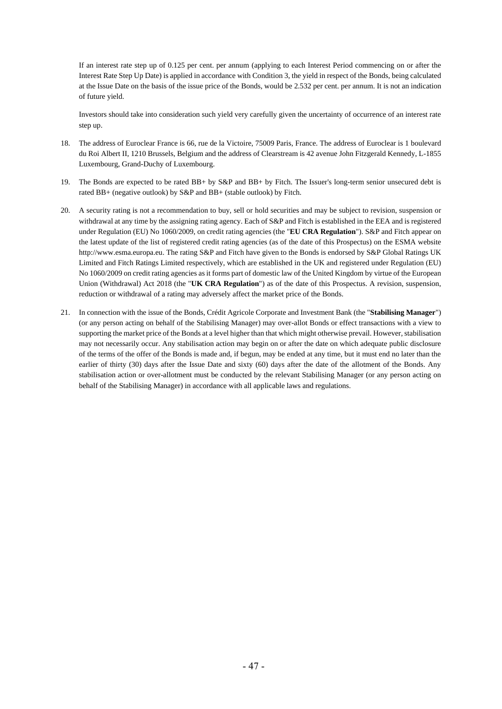If an interest rate step up of 0.125 per cent. per annum (applying to each Interest Period commencing on or after the Interest Rate Step Up Date) is applied in accordance with Condition 3, the yield in respect of the Bonds, being calculated at the Issue Date on the basis of the issue price of the Bonds, would be 2.532 per cent. per annum. It is not an indication of future yield.

Investors should take into consideration such yield very carefully given the uncertainty of occurrence of an interest rate step up.

- 18. The address of Euroclear France is 66, rue de la Victoire, 75009 Paris, France. The address of Euroclear is 1 boulevard du Roi Albert II, 1210 Brussels, Belgium and the address of Clearstream is 42 avenue John Fitzgerald Kennedy, L-1855 Luxembourg, Grand-Duchy of Luxembourg.
- 19. The Bonds are expected to be rated BB+ by S&P and BB+ by Fitch. The Issuer's long-term senior unsecured debt is rated BB+ (negative outlook) by S&P and BB+ (stable outlook) by Fitch.
- 20. A security rating is not a recommendation to buy, sell or hold securities and may be subject to revision, suspension or withdrawal at any time by the assigning rating agency. Each of S&P and Fitch is established in the EEA and is registered under Regulation (EU) No 1060/2009, on credit rating agencies (the "**EU CRA Regulation**"). S&P and Fitch appear on the latest update of the list of registered credit rating agencies (as of the date of this Prospectus) on the ESMA website [http://www.esma.europa.eu.](http://www.esma.europa.eu/) The rating S&P and Fitch have given to the Bonds is endorsed by S&P Global Ratings UK Limited and Fitch Ratings Limited respectively, which are established in the UK and registered under Regulation (EU) No 1060/2009 on credit rating agencies as it forms part of domestic law of the United Kingdom by virtue of the European Union (Withdrawal) Act 2018 (the "**UK CRA Regulation**") as of the date of this Prospectus. A revision, suspension, reduction or withdrawal of a rating may adversely affect the market price of the Bonds.
- 21. In connection with the issue of the Bonds, Crédit Agricole Corporate and Investment Bank (the "**Stabilising Manager**") (or any person acting on behalf of the Stabilising Manager) may over-allot Bonds or effect transactions with a view to supporting the market price of the Bonds at a level higher than that which might otherwise prevail. However, stabilisation may not necessarily occur. Any stabilisation action may begin on or after the date on which adequate public disclosure of the terms of the offer of the Bonds is made and, if begun, may be ended at any time, but it must end no later than the earlier of thirty (30) days after the Issue Date and sixty (60) days after the date of the allotment of the Bonds. Any stabilisation action or over-allotment must be conducted by the relevant Stabilising Manager (or any person acting on behalf of the Stabilising Manager) in accordance with all applicable laws and regulations.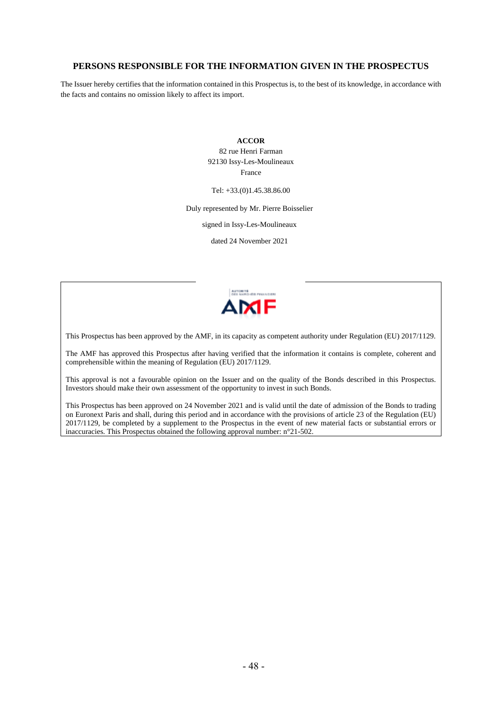## **PERSONS RESPONSIBLE FOR THE INFORMATION GIVEN IN THE PROSPECTUS**

The Issuer hereby certifies that the information contained in this Prospectus is, to the best of its knowledge, in accordance with the facts and contains no omission likely to affect its import.

> **ACCOR** 82 rue Henri Farman 92130 Issy-Les-Moulineaux France

Tel: +33.(0)1.45.38.86.00

Duly represented by Mr. Pierre Boisselier

signed in Issy-Les-Moulineaux

dated 24 November 2021



This Prospectus has been approved by the AMF, in its capacity as competent authority under Regulation (EU) 2017/1129.

The AMF has approved this Prospectus after having verified that the information it contains is complete, coherent and comprehensible within the meaning of Regulation (EU) 2017/1129.

This approval is not a favourable opinion on the Issuer and on the quality of the Bonds described in this Prospectus. Investors should make their own assessment of the opportunity to invest in such Bonds.

This Prospectus has been approved on 24 November 2021 and is valid until the date of admission of the Bonds to trading on Euronext Paris and shall, during this period and in accordance with the provisions of article 23 of the Regulation (EU) 2017/1129, be completed by a supplement to the Prospectus in the event of new material facts or substantial errors or inaccuracies. This Prospectus obtained the following approval number: n°21-502.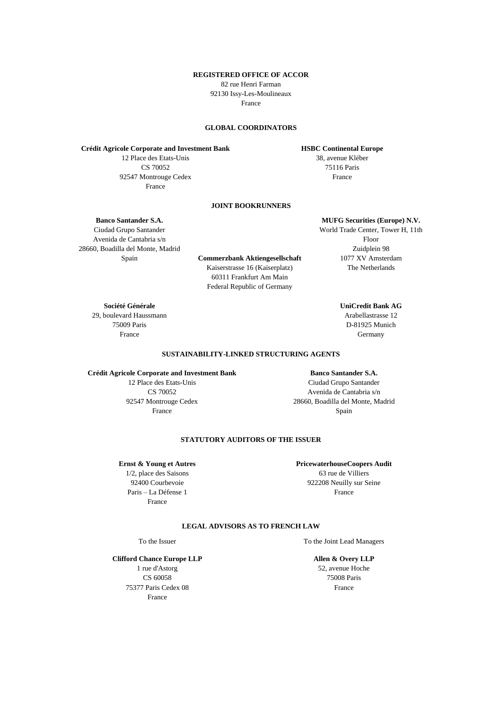#### **REGISTERED OFFICE OF ACCOR**

82 rue Henri Farman 92130 Issy-Les-Moulineaux

France

### **GLOBAL COORDINATORS**

**Crédit Agricole Corporate and Investment Bank**

12 Place des Etats-Unis CS 70052 92547 Montrouge Cedex France

# 75116 Paris France

**HSBC Continental Europe** 38, avenue Kléber

# **JOINT BOOKRUNNERS**

**Banco Santander S.A.**

Ciudad Grupo Santander Avenida de Cantabria s/n 28660, Boadilla del Monte, Madrid

Spain **Commerzbank Aktiengesellschaft** Kaiserstrasse 16 (Kaiserplatz) 60311 Frankfurt Am Main Federal Republic of Germany

**Société Générale** 29, boulevard Haussmann 75009 Paris France

World Trade Center, Tower H, 11th Floor Zuidplein 98 1077 XV Amsterdam The Netherlands

**MUFG Securities (Europe) N.V.**

**UniCredit Bank AG** Arabellastrasse 12 D-81925 Munich Germany

**SUSTAINABILITY-LINKED STRUCTURING AGENTS**

#### **Crédit Agricole Corporate and Investment Bank**

12 Place des Etats-Unis CS 70052 92547 Montrouge Cedex France

**Banco Santander S.A.** Ciudad Grupo Santander Avenida de Cantabria s/n 28660, Boadilla del Monte, Madrid Spain

#### **STATUTORY AUDITORS OF THE ISSUER**

**Ernst & Young et Autres**

1/2, place des Saisons 92400 Courbevoie Paris – La Défense 1 France

**PricewaterhouseCoopers Audit** 63 rue de Villiers 922208 Neuilly sur Seine France

#### **LEGAL ADVISORS AS TO FRENCH LAW**

To the Issuer To the Joint Lead Managers

**Allen & Overy LLP** 52, avenue Hoche .<br>75008 Paris France

**Clifford Chance Europe LLP** 1 rue d'Astorg CS 60058 75377 Paris Cedex 08 France